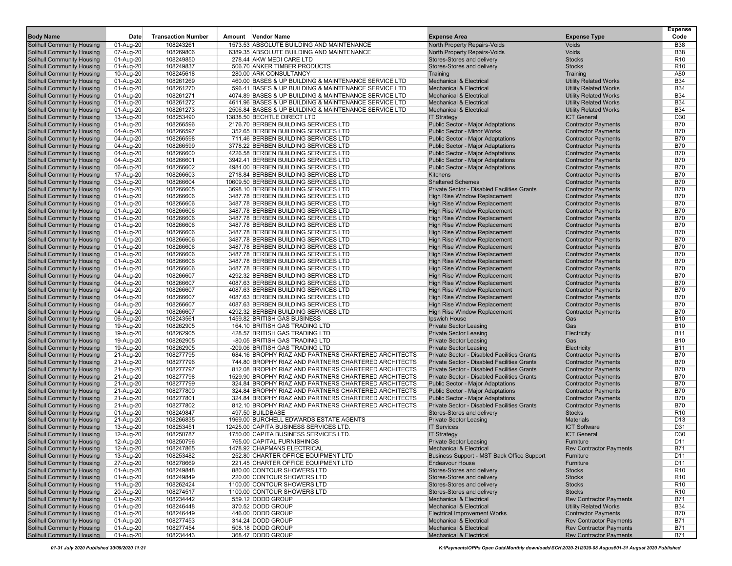| <b>Body Name</b>                                                | Date                   | <b>Transaction Number</b> | Amount Vendor Name                                                                                           | <b>Expense Area</b>                                                              | <b>Expense Type</b>                                      | <b>Expense</b><br>Code        |
|-----------------------------------------------------------------|------------------------|---------------------------|--------------------------------------------------------------------------------------------------------------|----------------------------------------------------------------------------------|----------------------------------------------------------|-------------------------------|
| <b>Solihull Community Housing</b>                               | 01-Aug-20              | 108243261                 | 1573.53 ABSOLUTE BUILDING AND MAINTENANCE                                                                    | North Property Repairs-Voids                                                     | Voids                                                    | <b>B38</b>                    |
| Solihull Community Housing                                      | 07-Aug-20              | 108269806                 | 6389.35 ABSOLUTE BUILDING AND MAINTENANCE                                                                    | North Property Repairs-Voids                                                     | Voids                                                    | <b>B38</b>                    |
| Solihull Community Housing                                      | 01-Aug-20              | 108249850                 | 278.44 AKW MEDI CARE LTD                                                                                     | Stores-Stores and delivery                                                       | <b>Stocks</b>                                            | R <sub>10</sub>               |
| Solihull Community Housing<br><b>Solihull Community Housing</b> | 01-Aug-20              | 108249837                 | 506.70 ANKER TIMBER PRODUCTS<br>280.00 ARK CONSULTANCY                                                       | Stores-Stores and delivery                                                       | <b>Stocks</b><br>Training                                | R <sub>10</sub><br>A80        |
| Solihull Community Housing                                      | 10-Aug-20<br>01-Aug-20 | 108245618<br>108261269    | 460.00 BASES & UP BUILDING & MAINTENANCE SERVICE LTD                                                         | Training<br><b>Mechanical &amp; Electrical</b>                                   | <b>Utility Related Works</b>                             | <b>B34</b>                    |
| Solihull Community Housing                                      | 01-Aug-20              | 108261270                 | 596.41 BASES & UP BUILDING & MAINTENANCE SERVICE LTD                                                         | <b>Mechanical &amp; Electrical</b>                                               | <b>Utility Related Works</b>                             | <b>B34</b>                    |
| Solihull Community Housing                                      | 01-Aug-20              | 108261271                 | 4074.89 BASES & UP BUILDING & MAINTENANCE SERVICE LTD                                                        | <b>Mechanical &amp; Electrical</b>                                               | <b>Utility Related Works</b>                             | <b>B34</b>                    |
| Solihull Community Housing                                      | 01-Aug-20              | 108261272                 | 4611.96 BASES & UP BUILDING & MAINTENANCE SERVICE LTD                                                        | <b>Mechanical &amp; Electrical</b>                                               | <b>Utility Related Works</b>                             | <b>B34</b>                    |
| Solihull Community Housing                                      | 01-Aug-20              | 108261273                 | 2506.84 BASES & UP BUILDING & MAINTENANCE SERVICE LTD                                                        | <b>Mechanical &amp; Electrical</b>                                               | <b>Utility Related Works</b>                             | <b>B34</b>                    |
| Solihull Community Housing                                      | 13-Aug-20              | 108253490                 | 13838.50 BECHTLE DIRECT LTD                                                                                  | <b>IT Strategy</b>                                                               | <b>ICT General</b>                                       | D30                           |
| Solihull Community Housing                                      | 01-Aug-20              | 108266596                 | 2176.70 BERBEN BUILDING SERVICES LTD                                                                         | <b>Public Sector - Major Adaptations</b>                                         | <b>Contractor Payments</b>                               | <b>B70</b>                    |
| Solihull Community Housing                                      | 04-Aug-20              | 108266597                 | 352.65 BERBEN BUILDING SERVICES LTD                                                                          | <b>Public Sector - Minor Works</b>                                               | <b>Contractor Payments</b>                               | <b>B70</b>                    |
| Solihull Community Housing                                      | 04-Aug-20              | 108266598                 | 711.46 BERBEN BUILDING SERVICES LTD                                                                          | <b>Public Sector - Major Adaptations</b>                                         | <b>Contractor Payments</b>                               | <b>B70</b>                    |
| Solihull Community Housing                                      | 04-Aug-20              | 108266599                 | 3778.22 BERBEN BUILDING SERVICES LTD                                                                         | Public Sector - Major Adaptations                                                | <b>Contractor Payments</b>                               | <b>B70</b>                    |
| <b>Solihull Community Housing</b><br>Solihull Community Housing | 04-Aug-20<br>04-Aug-20 | 108266600<br>108266601    | 4226.58 BERBEN BUILDING SERVICES LTD<br>3942.41 BERBEN BUILDING SERVICES LTD                                 | Public Sector - Major Adaptations<br>Public Sector - Major Adaptations           | <b>Contractor Payments</b><br><b>Contractor Payments</b> | <b>B70</b><br><b>B70</b>      |
| Solihull Community Housing                                      | 06-Aug-20              | 108266602                 | 4984.00 BERBEN BUILDING SERVICES LTD                                                                         | Public Sector - Major Adaptations                                                | <b>Contractor Payments</b>                               | <b>B70</b>                    |
| Solihull Community Housing                                      | 17-Aug-20              | 108266603                 | 2718.84 BERBEN BUILDING SERVICES LTD                                                                         | Kitchens                                                                         | <b>Contractor Payments</b>                               | <b>B70</b>                    |
| Solihull Community Housing                                      | 03-Aug-20              | 108266604                 | 10609.50 BERBEN BUILDING SERVICES LTD                                                                        | <b>Sheltered Schemes</b>                                                         | <b>Contractor Payments</b>                               | <b>B70</b>                    |
| Solihull Community Housing                                      | 04-Aug-20              | 108266605                 | 3698.10 BERBEN BUILDING SERVICES LTD                                                                         | Private Sector - Disabled Facilities Grants                                      | <b>Contractor Payments</b>                               | <b>B70</b>                    |
| Solihull Community Housing                                      | 01-Aug-20              | 108266606                 | 3487.78 BERBEN BUILDING SERVICES LTD                                                                         | High Rise Window Replacement                                                     | <b>Contractor Payments</b>                               | <b>B70</b>                    |
| Solihull Community Housing                                      | 01-Aug-20              | 108266606                 | 3487.78 BERBEN BUILDING SERVICES LTD                                                                         | High Rise Window Replacement                                                     | <b>Contractor Payments</b>                               | <b>B70</b>                    |
| Solihull Community Housing                                      | 01-Aug-20              | 108266606                 | 3487.78 BERBEN BUILDING SERVICES LTD                                                                         | High Rise Window Replacement                                                     | <b>Contractor Payments</b>                               | <b>B70</b>                    |
| <b>Solihull Community Housing</b>                               | 01-Aug-20              | 108266606                 | 3487.78 BERBEN BUILDING SERVICES LTD                                                                         | <b>High Rise Window Replacement</b>                                              | <b>Contractor Payments</b>                               | <b>B70</b>                    |
| Solihull Community Housing                                      | 01-Aug-20              | 108266606                 | 3487.78 BERBEN BUILDING SERVICES LTD                                                                         | High Rise Window Replacement                                                     | <b>Contractor Payments</b>                               | <b>B70</b>                    |
| Solihull Community Housing                                      | 01-Aug-20              | 108266606                 | 3487.78 BERBEN BUILDING SERVICES LTD                                                                         | High Rise Window Replacement                                                     | <b>Contractor Payments</b>                               | <b>B70</b>                    |
| Solihull Community Housing<br>Solihull Community Housing        | 01-Aug-20<br>01-Aug-20 | 108266606<br>108266606    | 3487.78 BERBEN BUILDING SERVICES LTD<br>3487.78 BERBEN BUILDING SERVICES LTD                                 | High Rise Window Replacement<br>High Rise Window Replacement                     | <b>Contractor Payments</b><br><b>Contractor Payments</b> | <b>B70</b><br><b>B70</b>      |
| Solihull Community Housing                                      | 01-Aug-20              | 108266606                 | 3487.78 BERBEN BUILDING SERVICES LTD                                                                         | <b>High Rise Window Replacement</b>                                              | <b>Contractor Payments</b>                               | <b>B70</b>                    |
| Solihull Community Housing                                      | 01-Aug-20              | 108266606                 | 3487.78 BERBEN BUILDING SERVICES LTD                                                                         | <b>High Rise Window Replacement</b>                                              | <b>Contractor Payments</b>                               | <b>B70</b>                    |
| Solihull Community Housing                                      | 01-Aug-20              | 108266606                 | 3487.78 BERBEN BUILDING SERVICES LTD                                                                         | <b>High Rise Window Replacement</b>                                              | <b>Contractor Payments</b>                               | <b>B70</b>                    |
| Solihull Community Housing                                      | 04-Aug-20              | 108266607                 | 4292.32 BERBEN BUILDING SERVICES LTD                                                                         | High Rise Window Replacement                                                     | <b>Contractor Payments</b>                               | <b>B70</b>                    |
| Solihull Community Housing                                      | 04-Aug-20              | 108266607                 | 4087.63 BERBEN BUILDING SERVICES LTD                                                                         | High Rise Window Replacement                                                     | <b>Contractor Payments</b>                               | <b>B70</b>                    |
| Solihull Community Housing                                      | 04-Aug-20              | 108266607                 | 4087.63 BERBEN BUILDING SERVICES LTD                                                                         | <b>High Rise Window Replacement</b>                                              | <b>Contractor Payments</b>                               | <b>B70</b>                    |
| <b>Solihull Community Housing</b>                               | 04-Aug-20              | 108266607                 | 4087.63 BERBEN BUILDING SERVICES LTD                                                                         | High Rise Window Replacement                                                     | <b>Contractor Payments</b>                               | <b>B70</b>                    |
| Solihull Community Housing                                      | 04-Aug-20              | 108266607                 | 4087.63 BERBEN BUILDING SERVICES LTD                                                                         | <b>High Rise Window Replacement</b>                                              | <b>Contractor Payments</b>                               | <b>B70</b>                    |
| Solihull Community Housing                                      | 04-Aug-20              | 108266607                 | 4292.32 BERBEN BUILDING SERVICES LTD                                                                         | High Rise Window Replacement                                                     | <b>Contractor Payments</b>                               | <b>B70</b>                    |
| Solihull Community Housing<br>Solihull Community Housing        | 06-Aug-20              | 108243561<br>108262905    | 1459.82 BRITISH GAS BUSINESS<br>164.10 BRITISH GAS TRADING LTD                                               | Ipswich House<br><b>Private Sector Leasing</b>                                   | Gas<br>Gas                                               | <b>B10</b><br><b>B10</b>      |
| Solihull Community Housing                                      | 19-Aug-20<br>19-Aug-20 | 108262905                 | 428.57 BRITISH GAS TRADING LTD                                                                               | <b>Private Sector Leasing</b>                                                    | Electricity                                              | <b>B11</b>                    |
| Solihull Community Housing                                      | 19-Aug-20              | 108262905                 | -80.05 BRITISH GAS TRADING LTD                                                                               | <b>Private Sector Leasing</b>                                                    | Gas                                                      | <b>B10</b>                    |
| Solihull Community Housing                                      | 19-Aug-20              | 108262905                 | -209.06 BRITISH GAS TRADING LTD                                                                              | <b>Private Sector Leasing</b>                                                    | Electricity                                              | <b>B11</b>                    |
| Solihull Community Housing                                      | 21-Aug-20              | 108277795                 | 684.16 BROPHY RIAZ AND PARTNERS CHARTERED ARCHITECTS                                                         | Private Sector - Disabled Facilities Grants                                      | <b>Contractor Payments</b>                               | <b>B70</b>                    |
| <b>Solihull Community Housing</b>                               | 21-Aug-20              | 108277796                 | 744.80 BROPHY RIAZ AND PARTNERS CHARTERED ARCHITECTS                                                         | Private Sector - Disabled Facilities Grants                                      | <b>Contractor Payments</b>                               | <b>B70</b>                    |
| Solihull Community Housing                                      | 21-Aug-20              | 108277797                 | 812.08 BROPHY RIAZ AND PARTNERS CHARTERED ARCHITECTS                                                         | Private Sector - Disabled Facilities Grants                                      | <b>Contractor Payments</b>                               | <b>B70</b>                    |
| Solihull Community Housing                                      | 21-Aug-20              | 108277798                 | 1529.90 BROPHY RIAZ AND PARTNERS CHARTERED ARCHITECTS                                                        | Private Sector - Disabled Facilities Grants                                      | <b>Contractor Payments</b>                               | <b>B70</b>                    |
| Solihull Community Housing                                      | 21-Aug-20              | 108277799                 | 324.84 BROPHY RIAZ AND PARTNERS CHARTERED ARCHITECTS                                                         | Public Sector - Major Adaptations                                                | <b>Contractor Payments</b>                               | <b>B70</b>                    |
| Solihull Community Housing                                      | 21-Aug-20              | 108277800                 | 324.84 BROPHY RIAZ AND PARTNERS CHARTERED ARCHITECTS<br>324.84 BROPHY RIAZ AND PARTNERS CHARTERED ARCHITECTS | <b>Public Sector - Major Adaptations</b>                                         | <b>Contractor Payments</b>                               | <b>B70</b>                    |
| Solihull Community Housing<br>Solihull Community Housing        | 21-Aug-20              | 108277801<br>108277802    | 812.10 BROPHY RIAZ AND PARTNERS CHARTERED ARCHITECTS                                                         | Public Sector - Major Adaptations<br>Private Sector - Disabled Facilities Grants | <b>Contractor Payments</b><br><b>Contractor Payments</b> | <b>B70</b><br><b>B70</b>      |
| Solihull Community Housing                                      | 21-Aug-20<br>01-Aug-20 | 108249847                 | 497.50 BUILDBASE                                                                                             | Stores-Stores and delivery                                                       | <b>Stocks</b>                                            | R <sub>10</sub>               |
| Solihull Community Housing                                      | 21-Aug-20              | 108266835                 | 1969.00 BURCHELL EDWARDS ESTATE AGENTS                                                                       | <b>Private Sector Leasing</b>                                                    | <b>Materials</b>                                         | D <sub>13</sub>               |
| Solihull Community Housing                                      | 13-Aug-20              | 108253451                 | 12425.00 CAPITA BUSINESS SERVICES LTD.                                                                       | <b>IT Services</b>                                                               | <b>ICT Software</b>                                      | D31                           |
| Solihull Community Housing                                      | 12-Aug-20              | 108250787                 | 1750.00 CAPITA BUSINESS SERVICES LTD.                                                                        | <b>IT Strategy</b>                                                               | <b>ICT General</b>                                       | D30                           |
| Solihull Community Housing                                      | 12-Aug-20              | 108250796                 | 765.00 CAPITAL FURNISHINGS                                                                                   | <b>Private Sector Leasing</b>                                                    | Furniture                                                | D11                           |
| Solihull Community Housing                                      | 12-Aug-20              | 108247865                 | 1478.92 CHAPMANS ELECTRICAL                                                                                  | <b>Mechanical &amp; Electrical</b>                                               | <b>Rev Contractor Payments</b>                           | <b>B71</b>                    |
| Solihull Community Housing                                      | 13-Aug-20              | 108253482                 | 252.80 CHARTER OFFICE EQUIPMENT LTD                                                                          | Business Support - MST Back Office Support                                       | Furniture                                                | D <sub>11</sub>               |
| Solihull Community Housing                                      | 27-Aug-20              | 108278669                 | 221.45 CHARTER OFFICE EQUIPMENT LTD                                                                          | <b>Endeavour House</b>                                                           | Furniture                                                | D <sub>11</sub>               |
| Solihull Community Housing                                      | 01-Aug-20              | 108249848                 | 880.00 CONTOUR SHOWERS LTD                                                                                   | Stores-Stores and delivery                                                       | <b>Stocks</b>                                            | R <sub>10</sub>               |
| Solihull Community Housing                                      | 01-Aug-20              | 108249849                 | 220.00 CONTOUR SHOWERS LTD                                                                                   | Stores-Stores and delivery                                                       | <b>Stocks</b>                                            | R <sub>10</sub>               |
| Solihull Community Housing<br>Solihull Community Housing        | 11-Aug-20              | 108262424<br>108274517    | 1100.00 CONTOUR SHOWERS LTD                                                                                  | Stores-Stores and delivery                                                       | <b>Stocks</b><br><b>Stocks</b>                           | R <sub>10</sub>               |
| Solihull Community Housing                                      | 20-Aug-20<br>01-Aug-20 | 108234442                 | 1100.00 CONTOUR SHOWERS LTD<br>559.12 DODD GROUP                                                             | Stores-Stores and delivery<br><b>Mechanical &amp; Electrical</b>                 | <b>Rev Contractor Payments</b>                           | R <sub>10</sub><br><b>B71</b> |
| Solihull Community Housing                                      | 01-Aug-20              | 108246448                 | 370.52 DODD GROUP                                                                                            | <b>Mechanical &amp; Electrical</b>                                               | <b>Utility Related Works</b>                             | <b>B34</b>                    |
| Solihull Community Housing                                      | 01-Aug-20              | 108246449                 | 446.00 DODD GROUP                                                                                            | <b>Electrical Improvement Works</b>                                              | <b>Contractor Payments</b>                               | <b>B70</b>                    |
| Solihull Community Housing                                      | 01-Aug-20              | 108277453                 | 314.24 DODD GROUP                                                                                            | <b>Mechanical &amp; Electrical</b>                                               | <b>Rev Contractor Payments</b>                           | <b>B71</b>                    |
| <b>Solihull Community Housing</b>                               | 01-Aug-20              | 108277454                 | 508.18 DODD GROUP                                                                                            | <b>Mechanical &amp; Electrical</b>                                               | <b>Rev Contractor Payments</b>                           | <b>B71</b>                    |
| Solihull Community Housing                                      | 01-Aug-20              | 108234443                 | 368.47 DODD GROUP                                                                                            | <b>Mechanical &amp; Electrical</b>                                               | <b>Rev Contractor Payments</b>                           | <b>B71</b>                    |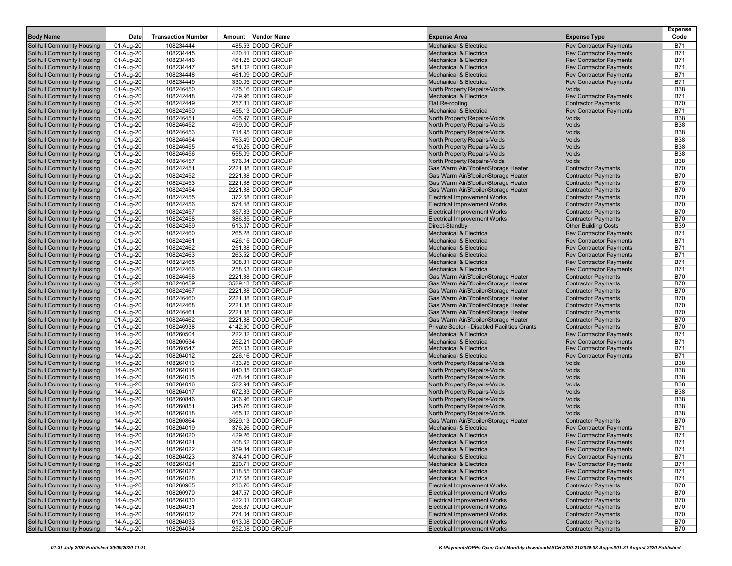| <b>Body Name</b>                                         | Date                     | <b>Transaction Number</b> | Amount Vendor Name                      | <b>Expense Area</b>                                                          | <b>Expense Type</b>                                              | Expense<br>Code          |
|----------------------------------------------------------|--------------------------|---------------------------|-----------------------------------------|------------------------------------------------------------------------------|------------------------------------------------------------------|--------------------------|
| Solihull Community Housing                               | 01-Aug-20                | 108234444                 | 485.53 DODD GROUP                       | <b>Mechanical &amp; Electrical</b>                                           | <b>Rev Contractor Payments</b>                                   | <b>B71</b>               |
| <b>Solihull Community Housing</b>                        | $01-Aug-20$              | 108234445                 | 420.41 DODD GROUP                       | <b>Mechanical &amp; Electrical</b>                                           | <b>Rev Contractor Payments</b>                                   | <b>B71</b>               |
| Solihull Community Housing                               | 01-Aug-20                | 108234446                 | 461.25 DODD GROUP                       | <b>Mechanical &amp; Electrical</b>                                           | <b>Rev Contractor Payments</b>                                   | <b>B71</b>               |
| Solihull Community Housing                               | 01-Aug-20                | 108234447                 | 581.02 DODD GROUP                       | <b>Mechanical &amp; Electrical</b>                                           | <b>Rev Contractor Payments</b>                                   | <b>B71</b>               |
| Solihull Community Housing                               | 01-Aug-20                | 108234448                 | 461.09 DODD GROUP                       | <b>Mechanical &amp; Electrical</b>                                           | <b>Rev Contractor Payments</b>                                   | <b>B71</b>               |
| Solihull Community Housing                               | 01-Aug-20                | 108234449                 | 330.05 DODD GROUP                       | <b>Mechanical &amp; Electrical</b>                                           | <b>Rev Contractor Payments</b>                                   | <b>B71</b>               |
| Solihull Community Housing                               | $01-Aug-20$              | 108246450                 | 425.16 DODD GROUP                       | North Property Repairs-Voids                                                 | Voids                                                            | <b>B38</b>               |
| Solihull Community Housing                               | 01-Aug-20                | 108242448                 | 479.96 DODD GROUP                       | <b>Mechanical &amp; Electrical</b>                                           | <b>Rev Contractor Payments</b>                                   | <b>B71</b>               |
| Solihull Community Housing                               | 01-Aug-20                | 108242449                 | 257.81 DODD GROUP                       | Flat Re-roofing                                                              | <b>Contractor Payments</b>                                       | <b>B70</b>               |
| Solihull Community Housing<br>Solihull Community Housing | 01-Aug-20                | 108242450<br>108246451    | 455.13 DODD GROUP<br>405.97 DODD GROUP  | <b>Mechanical &amp; Electrical</b><br>North Property Repairs-Voids           | <b>Rev Contractor Payments</b><br>Voids                          | <b>B71</b><br><b>B38</b> |
| Solihull Community Housing                               | 01-Aug-20<br>$01-Aug-20$ | 108246452                 | 499.00 DODD GROUP                       | North Property Repairs-Voids                                                 | Voids                                                            | <b>B38</b>               |
| Solihull Community Housing                               | 01-Aug-20                | 108246453                 | 714.95 DODD GROUP                       | North Property Repairs-Voids                                                 | Voids                                                            | <b>B38</b>               |
| Solihull Community Housing                               | 01-Aug-20                | 108246454                 | 763.49 DODD GROUP                       | North Property Repairs-Voids                                                 | Voids                                                            | <b>B38</b>               |
| Solihull Community Housing                               | 01-Aug-20                | 108246455                 | 419.25 DODD GROUP                       | North Property Repairs-Voids                                                 | Voids                                                            | <b>B38</b>               |
| Solihull Community Housing                               | 01-Aug-20                | 108246456                 | 555.09 DODD GROUP                       | North Property Repairs-Voids                                                 | Voids                                                            | <b>B38</b>               |
| Solihull Community Housing                               | 01-Aug-20                | 108246457                 | 576.04 DODD GROUP                       | North Property Repairs-Voids                                                 | Voids                                                            | <b>B38</b>               |
| Solihull Community Housing                               | 01-Aug-20                | 108242451                 | 2221.38 DODD GROUP                      | Gas Warm Air/B'boiler/Storage Heater                                         | <b>Contractor Payments</b>                                       | <b>B70</b>               |
| Solihull Community Housing                               | 01-Aug-20                | 108242452                 | 2221.38 DODD GROUP                      | Gas Warm Air/B'boiler/Storage Heater                                         | <b>Contractor Payments</b>                                       | <b>B70</b>               |
| <b>Solihull Community Housing</b>                        | 01-Aug-20                | 108242453                 | 2221.38 DODD GROUP                      | Gas Warm Air/B'boiler/Storage Heater                                         | <b>Contractor Payments</b>                                       | <b>B70</b>               |
| Solihull Community Housing                               | 01-Aug-20                | 108242454                 | 2221.38 DODD GROUP                      | Gas Warm Air/B'boiler/Storage Heater                                         | <b>Contractor Payments</b>                                       | <b>B70</b>               |
| Solihull Community Housing                               | 01-Aug-20                | 108242455                 | 372.68 DODD GROUP                       | <b>Electrical Improvement Works</b>                                          | <b>Contractor Payments</b>                                       | <b>B70</b>               |
| Solihull Community Housing                               | 01-Aug-20                | 108242456                 | 574.48 DODD GROUP                       | <b>Electrical Improvement Works</b>                                          | <b>Contractor Payments</b>                                       | <b>B70</b>               |
| Solihull Community Housing                               | 01-Aug-20                | 108242457                 | 357.83 DODD GROUP                       | <b>Electrical Improvement Works</b>                                          | <b>Contractor Payments</b>                                       | <b>B70</b>               |
| Solihull Community Housing                               | 01-Aug-20                | 108242458                 | 386.85 DODD GROUP                       | <b>Electrical Improvement Works</b>                                          | <b>Contractor Payments</b>                                       | <b>B70</b>               |
| Solihull Community Housing                               | 01-Aug-20                | 108242459                 | 513.07 DODD GROUP                       | Direct-Standby                                                               | <b>Other Building Costs</b>                                      | <b>B39</b>               |
| Solihull Community Housing                               | $01-Aug-20$              | 108242460                 | 265.28 DODD GROUP                       | <b>Mechanical &amp; Electrical</b>                                           | <b>Rev Contractor Payments</b>                                   | <b>B71</b>               |
| Solihull Community Housing                               | 01-Aug-20                | 108242461                 | 426.15 DODD GROUP                       | <b>Mechanical &amp; Electrical</b>                                           | <b>Rev Contractor Payments</b>                                   | <b>B71</b>               |
| Solihull Community Housing                               | 01-Aug-20                | 108242462                 | 251.38 DODD GROUP                       | <b>Mechanical &amp; Electrical</b>                                           | <b>Rev Contractor Payments</b>                                   | <b>B71</b>               |
| Solihull Community Housing                               | 01-Aug-20                | 108242463                 | 263.52 DODD GROUP                       | <b>Mechanical &amp; Electrical</b>                                           | <b>Rev Contractor Payments</b>                                   | <b>B71</b>               |
| Solihull Community Housing                               | 01-Aug-20                | 108242465                 | 308.31 DODD GROUP                       | <b>Mechanical &amp; Electrical</b>                                           | <b>Rev Contractor Payments</b>                                   | <b>B71</b>               |
| Solihull Community Housing                               | $01-Aug-20$              | 108242466                 | 258.63 DODD GROUP<br>2221.38 DODD GROUP | <b>Mechanical &amp; Electrical</b>                                           | <b>Rev Contractor Payments</b>                                   | <b>B71</b>               |
| Solihull Community Housing<br>Solihull Community Housing | 01-Aug-20                | 108246458                 | 3529.13 DODD GROUP                      | Gas Warm Air/B'boiler/Storage Heater                                         | <b>Contractor Payments</b>                                       | <b>B70</b><br><b>B70</b> |
| Solihull Community Housing                               | 01-Aug-20<br>01-Aug-20   | 108246459<br>108242467    | 2221.38 DODD GROUP                      | Gas Warm Air/B'boiler/Storage Heater<br>Gas Warm Air/B'boiler/Storage Heater | <b>Contractor Payments</b><br><b>Contractor Payments</b>         | <b>B70</b>               |
| Solihull Community Housing                               | 01-Aug-20                | 108246460                 | 2221.38 DODD GROUP                      | Gas Warm Air/B'boiler/Storage Heater                                         | <b>Contractor Payments</b>                                       | <b>B70</b>               |
| Solihull Community Housing                               | 01-Aug-20                | 108242468                 | 2221.38 DODD GROUP                      | Gas Warm Air/B'boiler/Storage Heater                                         | <b>Contractor Payments</b>                                       | <b>B70</b>               |
| Solihull Community Housing                               | 01-Aug-20                | 108246461                 | 2221.38 DODD GROUP                      | Gas Warm Air/B'boiler/Storage Heater                                         | <b>Contractor Payments</b>                                       | <b>B70</b>               |
| <b>Solihull Community Housing</b>                        | 01-Aug-20                | 108246462                 | 2221.38 DODD GROUP                      | Gas Warm Air/B'boiler/Storage Heater                                         | <b>Contractor Payments</b>                                       | <b>B70</b>               |
| Solihull Community Housing                               | 01-Aug-20                | 108246938                 | 4142.60 DODD GROUP                      | Private Sector - Disabled Facilities Grants                                  | <b>Contractor Payments</b>                                       | <b>B70</b>               |
| Solihull Community Housing                               | 14-Aug-20                | 108260504                 | 222.32 DODD GROUP                       | <b>Mechanical &amp; Electrical</b>                                           | <b>Rev Contractor Payments</b>                                   | <b>B71</b>               |
| Solihull Community Housing                               | 14-Aug-20                | 108260534                 | 252.21 DODD GROUP                       | <b>Mechanical &amp; Electrical</b>                                           | <b>Rev Contractor Payments</b>                                   | <b>B71</b>               |
| Solihull Community Housing                               | 14-Aug-20                | 108260547                 | 260.03 DODD GROUP                       | <b>Mechanical &amp; Electrical</b>                                           | <b>Rev Contractor Payments</b>                                   | <b>B71</b>               |
| Solihull Community Housing                               | 14-Aug-20                | 108264012                 | 226.16 DODD GROUP                       | <b>Mechanical &amp; Electrical</b>                                           | <b>Rev Contractor Payments</b>                                   | <b>B71</b>               |
| Solihull Community Housing                               | 14-Aug-20                | 108264013                 | 433.95 DODD GROUP                       | North Property Repairs-Voids                                                 | Voids                                                            | <b>B38</b>               |
| <b>Solihull Community Housing</b>                        | 14-Aug-20                | 108264014                 | 840.35 DODD GROUP                       | North Property Repairs-Voids                                                 | Voids                                                            | <b>B38</b>               |
| Solihull Community Housing                               | 14-Aug-20                | 108264015                 | 478.44 DODD GROUP                       | North Property Repairs-Voids                                                 | Voids                                                            | <b>B38</b>               |
| Solihull Community Housing                               | 14-Aug-20                | 108264016                 | 522.94 DODD GROUP                       | North Property Repairs-Voids                                                 | Voids                                                            | <b>B38</b>               |
| <b>Solihull Community Housing</b>                        | 14-Aug-20                | 108264017                 | 672.33 DODD GROUP                       | North Property Repairs-Voids                                                 | Voids                                                            | <b>B38</b>               |
| Solihull Community Housing                               | 14-Aug-20                | 108260846                 | 306.96 DODD GROUP                       | North Property Repairs-Voids                                                 | Voids                                                            | <b>B38</b>               |
| Solihull Community Housing                               | 14-Aug-20                | 108260851                 | 345.76 DODD GROUP                       | North Property Repairs-Voids                                                 | Voids                                                            | <b>B38</b>               |
| Solihull Community Housing                               | 14-Aug-20                | 108264018                 | 465.32 DODD GROUP                       | North Property Repairs-Voids                                                 | Voids                                                            | <b>B38</b>               |
| Solihull Community Housing                               | 14-Aug-20                | 108260864                 | 3529.13 DODD GROUP                      | Gas Warm Air/B'boiler/Storage Heater                                         | <b>Contractor Payments</b>                                       | <b>B70</b>               |
| Solihull Community Housing                               | 14-Aug-20                | 108264019                 | 376.26 DODD GROUP                       | <b>Mechanical &amp; Electrical</b>                                           | <b>Rev Contractor Payments</b>                                   | <b>B71</b>               |
| Solihull Community Housing                               | 14-Aug-20                | 108264020                 | 429.26 DODD GROUP                       | <b>Mechanical &amp; Electrical</b>                                           | <b>Rev Contractor Payments</b>                                   | <b>B71</b>               |
| Solihull Community Housing                               | 14-Aug-20                | 108264021                 | 408.62 DODD GROUP                       | Mechanical & Electrical                                                      | <b>Rev Contractor Payments</b>                                   | B71                      |
| Solihull Community Housing<br>Solihull Community Housing | 14-Aug-20<br>14-Aug-20   | 108264022<br>108264023    | 359.84 DODD GROUP<br>374.41 DODD GROUP  | Mechanical & Electrical<br><b>Mechanical &amp; Electrical</b>                | <b>Rev Contractor Payments</b><br><b>Rev Contractor Payments</b> | <b>B71</b><br><b>B71</b> |
| Solihull Community Housing                               | 14-Aug-20                | 108264024                 | 220.71 DODD GROUP                       | <b>Mechanical &amp; Electrical</b>                                           | <b>Rev Contractor Payments</b>                                   | <b>B71</b>               |
| Solihull Community Housing                               | 14-Aug-20                | 108264027                 | 318.55 DODD GROUP                       | Mechanical & Electrical                                                      | <b>Rev Contractor Payments</b>                                   | <b>B71</b>               |
| Solihull Community Housing                               | 14-Aug-20                | 108264028                 | 217.68 DODD GROUP                       | <b>Mechanical &amp; Electrical</b>                                           | <b>Rev Contractor Payments</b>                                   | <b>B71</b>               |
| Solihull Community Housing                               | 14-Aug-20                | 108260965                 | 233.76 DODD GROUP                       | <b>Electrical Improvement Works</b>                                          | <b>Contractor Payments</b>                                       | <b>B70</b>               |
| Solihull Community Housing                               | 14-Aug-20                | 108260970                 | 247.57 DODD GROUP                       | <b>Electrical Improvement Works</b>                                          | <b>Contractor Payments</b>                                       | <b>B70</b>               |
| Solihull Community Housing                               | 14-Aug-20                | 108264030                 | 422.01 DODD GROUP                       | <b>Electrical Improvement Works</b>                                          | <b>Contractor Payments</b>                                       | <b>B70</b>               |
| Solihull Community Housing                               | 14-Aug-20                | 108264031                 | 266.87 DODD GROUP                       | <b>Electrical Improvement Works</b>                                          | <b>Contractor Payments</b>                                       | <b>B70</b>               |
| Solihull Community Housing                               | 14-Aug-20                | 108264032                 | 274.04 DODD GROUP                       | <b>Electrical Improvement Works</b>                                          | <b>Contractor Payments</b>                                       | <b>B70</b>               |
| Solihull Community Housing                               | 14-Aug-20                | 108264033                 | 613.08 DODD GROUP                       | <b>Electrical Improvement Works</b>                                          | <b>Contractor Payments</b>                                       | <b>B70</b>               |
| <b>Solihull Community Housing</b>                        | 14-Aug-20                | 108264034                 | 252.08 DODD GROUP                       | <b>Electrical Improvement Works</b>                                          | <b>Contractor Payments</b>                                       | <b>B70</b>               |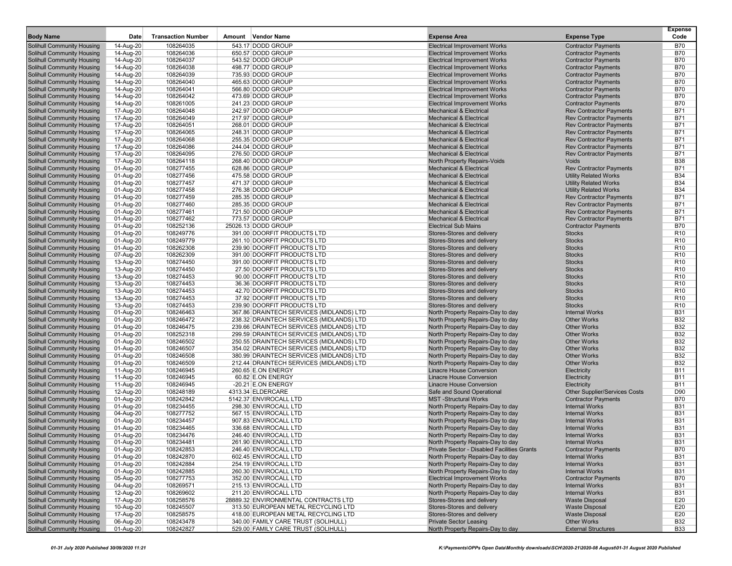|                                   |             |                           |                                          |                                             |                                      | Expense         |
|-----------------------------------|-------------|---------------------------|------------------------------------------|---------------------------------------------|--------------------------------------|-----------------|
| <b>Body Name</b>                  | Date        | <b>Transaction Number</b> | Amount Vendor Name                       | <b>Expense Area</b>                         | <b>Expense Type</b>                  | Code            |
| <b>Solihull Community Housing</b> | 14-Aug-20   | 108264035                 | 543.17 DODD GROUP                        | <b>Electrical Improvement Works</b>         | <b>Contractor Payments</b>           | <b>B70</b>      |
| <b>Solihull Community Housing</b> | 14-Aug-20   | 108264036                 | 650.57 DODD GROUP                        | <b>Electrical Improvement Works</b>         | <b>Contractor Payments</b>           | <b>B70</b>      |
| Solihull Community Housing        | 14-Aug-20   | 108264037                 | 543.52 DODD GROUP                        | <b>Electrical Improvement Works</b>         | <b>Contractor Payments</b>           | <b>B70</b>      |
| <b>Solihull Community Housing</b> | 14-Aug-20   | 108264038                 | 498.77 DODD GROUP                        | <b>Electrical Improvement Works</b>         | <b>Contractor Payments</b>           | <b>B70</b>      |
| Solihull Community Housing        | 14-Aug-20   | 108264039                 | 735.93 DODD GROUP                        | <b>Electrical Improvement Works</b>         | <b>Contractor Payments</b>           | <b>B70</b>      |
| Solihull Community Housing        | 14-Aug-20   | 108264040                 | 465.63 DODD GROUP                        | <b>Electrical Improvement Works</b>         | <b>Contractor Payments</b>           | <b>B70</b>      |
| Solihull Community Housing        | 14-Aug-20   | 108264041                 | 566.80 DODD GROUP                        | <b>Electrical Improvement Works</b>         | <b>Contractor Payments</b>           | <b>B70</b>      |
| Solihull Community Housing        | 14-Aug-20   | 108264042                 | 473.69 DODD GROUP                        | <b>Electrical Improvement Works</b>         | <b>Contractor Payments</b>           | <b>B70</b>      |
| Solihull Community Housing        | 14-Aug-20   | 108261005                 | 241.23 DODD GROUP                        | <b>Electrical Improvement Works</b>         | <b>Contractor Payments</b>           | <b>B70</b>      |
| Solihull Community Housing        | 17-Aug-20   | 108264048                 | 242.97 DODD GROUP                        | <b>Mechanical &amp; Electrical</b>          | <b>Rev Contractor Payments</b>       | <b>B71</b>      |
| Solihull Community Housing        | 17-Aug-20   | 108264049                 | 217.97 DODD GROUP                        | <b>Mechanical &amp; Electrical</b>          | <b>Rev Contractor Payments</b>       | <b>B71</b>      |
| <b>Solihull Community Housing</b> | 17-Aug-20   | 108264051                 | 268.01 DODD GROUP                        | <b>Mechanical &amp; Electrical</b>          | <b>Rev Contractor Payments</b>       | <b>B71</b>      |
| Solihull Community Housing        | 17-Aug-20   | 108264065                 | 248.31 DODD GROUP                        | <b>Mechanical &amp; Electrical</b>          | <b>Rev Contractor Payments</b>       | <b>B71</b>      |
| Solihull Community Housing        | 17-Aug-20   | 108264068                 | 255.35 DODD GROUP                        | <b>Mechanical &amp; Electrical</b>          | <b>Rev Contractor Payments</b>       | <b>B71</b>      |
| Solihull Community Housing        | 17-Aug-20   | 108264086                 | 244.04 DODD GROUP                        | <b>Mechanical &amp; Electrical</b>          | <b>Rev Contractor Payments</b>       | <b>B71</b>      |
| Solihull Community Housing        | 17-Aug-20   | 108264095                 | 276.50 DODD GROUP                        | <b>Mechanical &amp; Electrical</b>          | <b>Rev Contractor Payments</b>       | <b>B71</b>      |
| <b>Solihull Community Housing</b> | 17-Aug-20   | 108264118                 | 268.40 DODD GROUP                        | North Property Repairs-Voids                | Voids                                | <b>B38</b>      |
| Solihull Community Housing        | 01-Aug-20   | 108277455                 | 628.86 DODD GROUP                        | <b>Mechanical &amp; Electrical</b>          | <b>Rev Contractor Payments</b>       | <b>B71</b>      |
| Solihull Community Housing        | 01-Aug-20   | 108277456                 | 475.58 DODD GROUP                        | <b>Mechanical &amp; Electrical</b>          | <b>Utility Related Works</b>         | <b>B34</b>      |
| <b>Solihull Community Housing</b> | 01-Aug-20   | 108277457                 | 471.37 DODD GROUP                        | <b>Mechanical &amp; Electrical</b>          | <b>Utility Related Works</b>         | <b>B34</b>      |
| Solihull Community Housing        | 01-Aug-20   | 108277458                 | 276.38 DODD GROUP                        | <b>Mechanical &amp; Electrical</b>          | <b>Utility Related Works</b>         | <b>B34</b>      |
| <b>Solihull Community Housing</b> | 01-Aug-20   | 108277459                 | 285.35 DODD GROUP                        | <b>Mechanical &amp; Electrical</b>          | <b>Rev Contractor Payments</b>       | <b>B71</b>      |
| Solihull Community Housing        | 01-Aug-20   | 108277460                 | 285.35 DODD GROUP                        | <b>Mechanical &amp; Electrical</b>          | <b>Rev Contractor Payments</b>       | <b>B71</b>      |
| <b>Solihull Community Housing</b> | 01-Aug-20   | 108277461                 | 721.50 DODD GROUP                        | <b>Mechanical &amp; Electrical</b>          | <b>Rev Contractor Payments</b>       | <b>B71</b>      |
| Solihull Community Housing        | 01-Aug-20   | 108277462                 | 773.57 DODD GROUP                        | <b>Mechanical &amp; Electrical</b>          | <b>Rev Contractor Payments</b>       | <b>B71</b>      |
| Solihull Community Housing        | 01-Aug-20   | 108252136                 | 25026.13 DODD GROUP                      | <b>Electrical Sub Mains</b>                 | <b>Contractor Payments</b>           | <b>B70</b>      |
| Solihull Community Housing        | 01-Aug-20   | 108249776                 | 391.00 DOORFIT PRODUCTS LTD              | Stores-Stores and delivery                  | <b>Stocks</b>                        | R <sub>10</sub> |
| Solihull Community Housing        | 01-Aug-20   | 108249779                 | 261.10 DOORFIT PRODUCTS LTD              | Stores-Stores and delivery                  | <b>Stocks</b>                        | R <sub>10</sub> |
| <b>Solihull Community Housing</b> | 01-Aug-20   | 108262308                 | 239.90 DOORFIT PRODUCTS LTD              | Stores-Stores and delivery                  | <b>Stocks</b>                        | R <sub>10</sub> |
| Solihull Community Housing        | 07-Aug-20   | 108262309                 | 391.00 DOORFIT PRODUCTS LTD              | Stores-Stores and delivery                  | <b>Stocks</b>                        | R <sub>10</sub> |
| Solihull Community Housing        | 13-Aug-20   | 108274450                 | 391.00 DOORFIT PRODUCTS LTD              | Stores-Stores and delivery                  | <b>Stocks</b>                        | R <sub>10</sub> |
| <b>Solihull Community Housing</b> | 13-Aug-20   | 108274450                 | 27.50 DOORFIT PRODUCTS LTD               | Stores-Stores and delivery                  | <b>Stocks</b>                        | R <sub>10</sub> |
| Solihull Community Housing        | 13-Aug-20   | 108274453                 | 90.00 DOORFIT PRODUCTS LTD               | Stores-Stores and delivery                  | <b>Stocks</b>                        | R <sub>10</sub> |
| <b>Solihull Community Housing</b> | 13-Aug-20   | 108274453                 | 36.36 DOORFIT PRODUCTS LTD               | Stores-Stores and delivery                  | <b>Stocks</b>                        | R <sub>10</sub> |
| Solihull Community Housing        | 13-Aug-20   | 108274453                 | 42.70 DOORFIT PRODUCTS LTD               | Stores-Stores and delivery                  | <b>Stocks</b>                        | R <sub>10</sub> |
| Solihull Community Housing        | 13-Aug-20   | 108274453                 | 37.92 DOORFIT PRODUCTS LTD               | Stores-Stores and delivery                  | <b>Stocks</b>                        | R <sub>10</sub> |
| <b>Solihull Community Housing</b> | 13-Aug-20   | 108274453                 | 239.90 DOORFIT PRODUCTS LTD              | Stores-Stores and delivery                  | <b>Stocks</b>                        | R <sub>10</sub> |
| Solihull Community Housing        | 01-Aug-20   | 108246463                 | 367.86 DRAINTECH SERVICES (MIDLANDS) LTD | North Property Repairs-Day to day           | <b>Internal Works</b>                | <b>B31</b>      |
| Solihull Community Housing        | 01-Aug-20   | 108246472                 | 238.32 DRAINTECH SERVICES (MIDLANDS) LTD | North Property Repairs-Day to day           | <b>Other Works</b>                   | <b>B32</b>      |
| Solihull Community Housing        | 01-Aug-20   | 108246475                 | 239.66 DRAINTECH SERVICES (MIDLANDS) LTD | North Property Repairs-Day to day           | <b>Other Works</b>                   | <b>B32</b>      |
| Solihull Community Housing        | 01-Aug-20   | 108252318                 | 299.59 DRAINTECH SERVICES (MIDLANDS) LTD | North Property Repairs-Day to day           | <b>Other Works</b>                   | <b>B32</b>      |
| <b>Solihull Community Housing</b> | 01-Aug-20   | 108246502                 | 250.55 DRAINTECH SERVICES (MIDLANDS) LTD | North Property Repairs-Day to day           | <b>Other Works</b>                   | <b>B32</b>      |
| Solihull Community Housing        | 01-Aug-20   | 108246507                 | 354.02 DRAINTECH SERVICES (MIDLANDS) LTD | North Property Repairs-Day to day           | <b>Other Works</b>                   | <b>B32</b>      |
| <b>Solihull Community Housing</b> | 01-Aug-20   | 108246508                 | 380.99 DRAINTECH SERVICES (MIDLANDS) LTD | North Property Repairs-Day to day           | <b>Other Works</b>                   | <b>B32</b>      |
| Solihull Community Housing        | 01-Aug-20   | 108246509                 | 212.44 DRAINTECH SERVICES (MIDLANDS) LTD | North Property Repairs-Day to day           | <b>Other Works</b>                   | <b>B32</b>      |
| Solihull Community Housing        | 11-Aug-20   | 108246945                 | 260.65 E.ON ENERGY                       | <b>Linacre House Conversion</b>             | Electricity                          | <b>B11</b>      |
| Solihull Community Housing        | 11-Aug-20   | 108246945                 | 60.82 E.ON ENERGY                        | <b>Linacre House Conversion</b>             | Electricity                          | <b>B11</b>      |
| Solihull Community Housing        | 11-Aug-20   | 108246945                 | $-20.21$ E.ON ENERGY                     | <b>Linacre House Conversion</b>             | Electricity                          | <b>B11</b>      |
| Solihull Community Housing        | 12-Aug-20   | 108248189                 | 4313.34 ELDERCARE                        | Safe and Sound Operational                  | <b>Other Supplier/Services Costs</b> | D90             |
| Solihull Community Housing        | 01-Aug-20   | 108242842                 | 5142.37 ENVIROCALL LTD                   | <b>MST-Structural Works</b>                 | <b>Contractor Payments</b>           | <b>B70</b>      |
| Solihull Community Housing        | 01-Aug-20   | 108234455                 | 298.30 ENVIROCALL LTD                    | North Property Repairs-Day to day           | <b>Internal Works</b>                | <b>B31</b>      |
| <b>Solihull Community Housing</b> | 04-Aug-20   | 108277752                 | 567.15 ENVIROCALL LTD                    | North Property Repairs-Day to day           | <b>Internal Works</b>                | <b>B31</b>      |
| Solihull Community Housing        | 01-Aug-20   | 108234457                 | 907.83 ENVIROCALL LTD                    | North Property Repairs-Day to day           | <b>Internal Works</b>                | <b>B31</b>      |
| Solihull Community Housing        | 01-Aug-20   | 108234465                 | 336.68 ENVIROCALL LTD                    | North Property Repairs-Day to day           | <b>Internal Works</b>                | <b>B31</b>      |
| Solihull Community Housing        | 01-Aug-20   | 108234476                 | 246.40 ENVIROCALL LTD                    | North Property Repairs-Day to day           | <b>Internal Works</b>                | <b>B31</b>      |
| Solihull Community Housing        | 01-Aug-20   | 108234481                 | 261.90 ENVIROCALL LTD                    | North Property Repairs-Day to day           | Internal Works                       | B31             |
| Solihull Community Housing        | 01-Aug-20   | 108242853                 | 246.40 ENVIROCALL LTD                    | Private Sector - Disabled Facilities Grants | <b>Contractor Payments</b>           | <b>B70</b>      |
| Solihull Community Housing        | 01-Aug-20   | 108242870                 | 602.45 ENVIROCALL LTD                    | North Property Repairs-Day to day           | <b>Internal Works</b>                | <b>B31</b>      |
| Solihull Community Housing        | 01-Aug-20   | 108242884                 | 254.19 ENVIROCALL LTD                    | North Property Repairs-Day to day           | <b>Internal Works</b>                | <b>B31</b>      |
| Solihull Community Housing        | 01-Aug-20   | 108242885                 | 260.30 ENVIROCALL LTD                    | North Property Repairs-Day to day           | <b>Internal Works</b>                | <b>B31</b>      |
| Solihull Community Housing        | 05-Aug-20   | 108277753                 | 352.00 ENVIROCALL LTD                    | <b>Electrical Improvement Works</b>         | <b>Contractor Payments</b>           | <b>B70</b>      |
| Solihull Community Housing        | 04-Aug-20   | 108269571                 | 215.13 ENVIROCALL LTD                    | North Property Repairs-Day to day           | <b>Internal Works</b>                | <b>B31</b>      |
| Solihull Community Housing        | 12-Aug-20   | 108269602                 | 211.20 ENVIROCALL LTD                    | North Property Repairs-Day to day           | <b>Internal Works</b>                | <b>B31</b>      |
| Solihull Community Housing        | 17-Aug-20   | 108258576                 | 28889.32 ENVIRONMENTAL CONTRACTS LTD     | Stores-Stores and delivery                  | <b>Waste Disposal</b>                | E20             |
| Solihull Community Housing        | 10-Aug-20   | 108245507                 | 313.50 EUROPEAN METAL RECYCLING LTD      | Stores-Stores and delivery                  | <b>Waste Disposal</b>                | E20             |
| Solihull Community Housing        | 17-Aug-20   | 108258575                 | 418.00 EUROPEAN METAL RECYCLING LTD      | Stores-Stores and delivery                  | <b>Waste Disposal</b>                | E20             |
| Solihull Community Housing        | 06-Aug-20   | 108243478                 | 340.00 FAMILY CARE TRUST (SOLIHULL)      | <b>Private Sector Leasing</b>               | <b>Other Works</b>                   | <b>B32</b>      |
| <b>Solihull Community Housing</b> | $01-Auq-20$ | 108242827                 | 529.00 FAMILY CARE TRUST (SOLIHULL)      | North Property Repairs-Day to day           | <b>External Structures</b>           | <b>B33</b>      |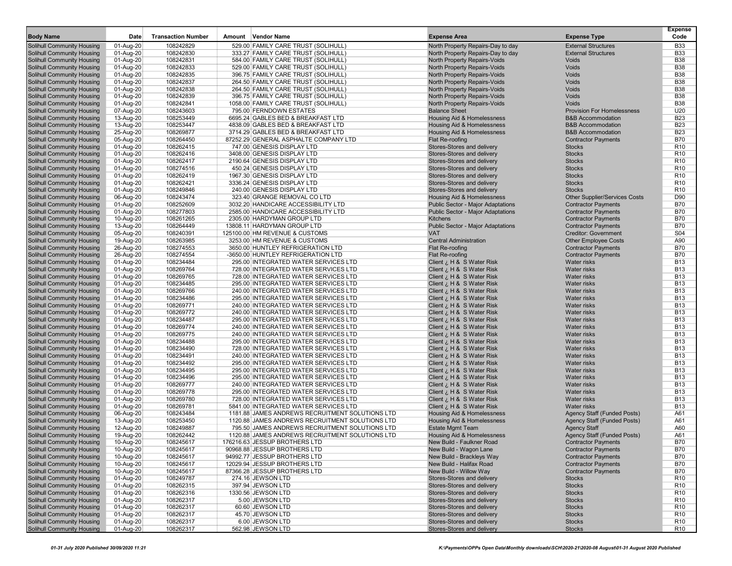|                                                                 | Date                   | <b>Transaction Number</b> | Amount Vendor Name                                                         | <b>Expense Area</b>                                          |                                      | Expense<br>Code                    |
|-----------------------------------------------------------------|------------------------|---------------------------|----------------------------------------------------------------------------|--------------------------------------------------------------|--------------------------------------|------------------------------------|
| <b>Body Name</b>                                                |                        |                           |                                                                            |                                                              | <b>Expense Type</b>                  |                                    |
| Solihull Community Housing                                      | 01-Aug-20              | 108242829                 | 529.00 FAMILY CARE TRUST (SOLIHULL                                         | North Property Repairs-Day to day                            | <b>External Structures</b>           | <b>B33</b>                         |
| <b>Solihull Community Housing</b>                               | 01-Aug-20              | 108242830                 | 333.27 FAMILY CARE TRUST (SOLIHULL)                                        | North Property Repairs-Day to day                            | <b>External Structures</b>           | <b>B33</b>                         |
| Solihull Community Housing                                      | 01-Aug-20              | 108242831                 | 584.00 FAMILY CARE TRUST (SOLIHULL                                         | North Property Repairs-Voids                                 | <b>Voids</b>                         | <b>B38</b><br><b>B38</b>           |
| <b>Solihull Community Housing</b><br>Solihull Community Housing | 01-Aug-20<br>01-Aug-20 | 108242833<br>108242835    | 529.00 FAMILY CARE TRUST (SOLIHULL)<br>396.75 FAMILY CARE TRUST (SOLIHULL) | North Property Repairs-Voids<br>North Property Repairs-Voids | Voids<br>Voids                       | <b>B38</b>                         |
| Solihull Community Housing                                      | 01-Aug-20              | 108242837                 | 264.50 FAMILY CARE TRUST (SOLIHULL)                                        | North Property Repairs-Voids                                 | Voids                                | <b>B38</b>                         |
| <b>Solihull Community Housing</b>                               | 01-Aug-20              | 108242838                 | 264.50 FAMILY CARE TRUST (SOLIHULL)                                        | North Property Repairs-Voids                                 | Voids                                | <b>B38</b>                         |
| Solihull Community Housing                                      | 01-Aug-20              | 108242839                 | 396.75 FAMILY CARE TRUST (SOLIHULL)                                        | North Property Repairs-Voids                                 | Voids                                | <b>B38</b>                         |
| Solihull Community Housing                                      | 01-Aug-20              | 108242841                 | 1058.00 FAMILY CARE TRUST (SOLIHULL)                                       | North Property Repairs-Voids                                 | Voids                                | <b>B38</b>                         |
| Solihull Community Housing                                      | 07-Aug-20              | 108243603                 | 795.00 FERNDOWN ESTATES                                                    | <b>Balance Sheet</b>                                         | <b>Provision For Homelessness</b>    | U20                                |
| Solihull Community Housing                                      | 13-Aug-20              | 108253449                 | 6695.24 GABLES BED & BREAKFAST LTD                                         | Housing Aid & Homelessness                                   | <b>B&amp;B Accommodation</b>         | <b>B23</b>                         |
| <b>Solihull Community Housing</b>                               | 13-Aug-20              | 108253447                 | 4838.09 GABLES BED & BREAKFAST LTD                                         | Housing Aid & Homelessness                                   | <b>B&amp;B Accommodation</b>         | <b>B23</b>                         |
| Solihull Community Housing                                      | 25-Aug-20              | 108269877                 | 3714.29 GABLES BED & BREAKFAST LTD                                         | <b>Housing Aid &amp; Homelessness</b>                        | <b>B&amp;B Accommodation</b>         | <b>B23</b>                         |
| Solihull Community Housing                                      | 05-Aug-20              | 108264450                 | 87252.29 GENERAL ASPHALTE COMPANY LTD                                      | Flat Re-roofing                                              | <b>Contractor Payments</b>           | <b>B70</b>                         |
| Solihull Community Housing                                      | 01-Aug-20              | 108262415                 | 747.00 GENESIS DISPLAY LTD                                                 | Stores-Stores and delivery                                   | <b>Stocks</b>                        | R <sub>10</sub>                    |
| Solihull Community Housing                                      | 01-Aug-20              | 108262416                 | 3408.00 GENESIS DISPLAY LTD                                                | Stores-Stores and delivery                                   | <b>Stocks</b>                        | R <sub>10</sub>                    |
| <b>Solihull Community Housing</b>                               | 01-Aug-20              | 108262417                 | 2190.64 GENESIS DISPLAY LTD                                                | Stores-Stores and delivery                                   | <b>Stocks</b>                        | R <sub>10</sub>                    |
| Solihull Community Housing                                      | 01-Aug-20              | 108274516                 | 450.24 GENESIS DISPLAY LTD                                                 | Stores-Stores and delivery                                   | <b>Stocks</b>                        | R <sub>10</sub>                    |
| Solihull Community Housing                                      | 01-Aug-20              | 108262419                 | 1967.30 GENESIS DISPLAY LTD                                                | Stores-Stores and delivery                                   | <b>Stocks</b>                        | R <sub>10</sub>                    |
| Solihull Community Housing                                      | 01-Aug-20              | 108262421                 | 3336.24 GENESIS DISPLAY LTD                                                | Stores-Stores and delivery                                   | <b>Stocks</b>                        | R <sub>10</sub>                    |
| Solihull Community Housing                                      | 01-Aug-20              | 108249846                 | 240.00 GENESIS DISPLAY LTD                                                 | Stores-Stores and delivery                                   | <b>Stocks</b>                        | R <sub>10</sub>                    |
| <b>Solihull Community Housing</b>                               | 06-Aug-20              | 108243474                 | 323.40 GRANGE REMOVAL CO LTD                                               | Housing Aid & Homelessness                                   | <b>Other Supplier/Services Costs</b> | D90                                |
| <b>Solihull Community Housing</b>                               | 01-Aug-20              | 108252609                 | 3032.20 HANDICARE ACCESSIBILITY LTD                                        | Public Sector - Major Adaptations                            | <b>Contractor Payments</b>           | <b>B70</b>                         |
| <b>Solihull Community Housing</b>                               | 01-Aug-20              | 108277803                 | 2585.00 HANDICARE ACCESSIBILITY LTD                                        | Public Sector - Major Adaptations                            | <b>Contractor Payments</b>           | <b>B70</b>                         |
| Solihull Community Housing                                      | 10-Aug-20              | 108261265                 | 2305.00 HARDYMAN GROUP LTD                                                 | Kitchens                                                     | <b>Contractor Payments</b>           | <b>B70</b>                         |
| Solihull Community Housing                                      | 13-Aug-20              | 108264449                 | 13808.11 HARDYMAN GROUP LTD                                                | Public Sector - Major Adaptations                            | <b>Contractor Payments</b>           | <b>B70</b>                         |
| <b>Solihull Community Housing</b>                               | 05-Aug-20              | 108240391                 | 125100.00 HM REVENUE & CUSTOMS                                             | <b>VAT</b>                                                   | <b>Creditor: Government</b>          | S <sub>04</sub>                    |
| Solihull Community Housing                                      | 19-Aug-20              | 108263985                 | 3253.00 HM REVENUE & CUSTOMS                                               | <b>Central Administration</b>                                | <b>Other Employee Costs</b>          | A90                                |
| Solihull Community Housing                                      | 26-Aug-20              | 108274553                 | 3650.00 HUNTLEY REFRIGERATION LTD                                          | Flat Re-roofing                                              | <b>Contractor Payments</b>           | <b>B70</b>                         |
| Solihull Community Housing                                      | 26-Aug-20              | 108274554                 | -3650.00 HUNTLEY REFRIGERATION LTD                                         | Flat Re-roofing                                              | <b>Contractor Payments</b>           | <b>B70</b>                         |
| Solihull Community Housing                                      | 01-Aug-20              | 108234484                 | 295.00 INTEGRATED WATER SERVICES LTD                                       | Client ¿ H & S Water Risk                                    | <b>Water risks</b>                   | <b>B13</b>                         |
| <b>Solihull Community Housing</b>                               | 01-Aug-20              | 108269764                 | 728.00 INTEGRATED WATER SERVICES LTD                                       | Client $\lambda$ , H & S Water Risk                          | <b>Water risks</b>                   | <b>B13</b>                         |
| <b>Solihull Community Housing</b>                               | 01-Aug-20              | 108269765                 | 728.00 INTEGRATED WATER SERVICES LTD                                       | Client ¿ H & S Water Risk                                    | <b>Water risks</b>                   | <b>B13</b>                         |
| Solihull Community Housing                                      | 01-Aug-20              | 108234485                 | 295.00 INTEGRATED WATER SERVICES LTD                                       | Client ¿ H & S Water Risk                                    | <b>Water risks</b>                   | <b>B13</b>                         |
| Solihull Community Housing                                      | 01-Aug-20              | 108269766                 | 240.00 INTEGRATED WATER SERVICES LTD                                       | Client $\lambda$ , H & S Water Risk                          | <b>Water risks</b>                   | <b>B13</b>                         |
| Solihull Community Housing                                      | 01-Aug-20              | 108234486                 | 295.00 INTEGRATED WATER SERVICES LTD                                       | Client ¿ H & S Water Risk                                    | <b>Water risks</b>                   | <b>B13</b>                         |
| <b>Solihull Community Housing</b>                               | 01-Aug-20              | 108269771                 | 240.00 INTEGRATED WATER SERVICES LTD                                       | Client $\lambda$ , H & S Water Risk                          | <b>Water risks</b>                   | <b>B13</b>                         |
| <b>Solihull Community Housing</b>                               | 01-Aug-20              | 108269772                 | 240.00 INTEGRATED WATER SERVICES LTD                                       | Client $\lambda$ , H & S Water Risk                          | <b>Water risks</b>                   | <b>B13</b>                         |
| Solihull Community Housing                                      | 01-Aug-20              | 108234487                 | 295.00 INTEGRATED WATER SERVICES LTD                                       | Client ¿ H & S Water Risk                                    | <b>Water risks</b>                   | <b>B13</b>                         |
| Solihull Community Housing                                      | 01-Aug-20              | 108269774                 | 240.00 INTEGRATED WATER SERVICES LTD                                       | Client ¿ H & S Water Risk                                    | <b>Water risks</b>                   | <b>B13</b>                         |
| Solihull Community Housing                                      | 01-Aug-20              | 108269775                 | 240.00 INTEGRATED WATER SERVICES LTD                                       | Client $\lambda$ , H & S Water Risk                          | <b>Water risks</b>                   | <b>B13</b>                         |
| <b>Solihull Community Housing</b>                               | 01-Aug-20              | 108234488                 | 295.00 INTEGRATED WATER SERVICES LTD                                       | Client $\lambda$ , H & S Water Risk                          | <b>Water risks</b>                   | <b>B13</b>                         |
| Solihull Community Housing                                      | 01-Aug-20              | 108234490                 | 728.00 INTEGRATED WATER SERVICES LTD                                       | Client ¿ H & S Water Risk                                    | <b>Water risks</b>                   | <b>B13</b>                         |
| Solihull Community Housing                                      | 01-Aug-20              | 108234491                 | 240.00 INTEGRATED WATER SERVICES LTD                                       | Client ¿ H & S Water Risk                                    | <b>Water risks</b>                   | <b>B13</b>                         |
| Solihull Community Housing                                      | 01-Aug-20              | 108234492                 | 295.00 INTEGRATED WATER SERVICES LTD                                       | Client $\lambda$ , H & S Water Risk                          | <b>Water risks</b>                   | <b>B13</b>                         |
| Solihull Community Housing                                      | 01-Aug-20              | 108234495                 | 295.00 INTEGRATED WATER SERVICES LTD                                       | Client ¿ H & S Water Risk                                    | <b>Water risks</b>                   | <b>B13</b>                         |
| <b>Solihull Community Housing</b>                               | 01-Aug-20              | 108234496                 | 295.00 INTEGRATED WATER SERVICES LTD                                       | Client $\lambda$ , H & S Water Risk                          | <b>Water risks</b>                   | <b>B13</b>                         |
| Solihull Community Housing                                      | 01-Aug-20              | 108269777                 | 240.00 INTEGRATED WATER SERVICES LTD                                       | Client ¿ H & S Water Risk                                    | <b>Water risks</b>                   | <b>B13</b>                         |
| Solihull Community Housing                                      | 01-Aug-20              | 108269778                 | 295.00 INTEGRATED WATER SERVICES LTD                                       | Client ¿ H & S Water Risk                                    | <b>Water risks</b>                   | <b>B13</b>                         |
| Solihull Community Housing                                      | 01-Aug-20              | 108269780                 | 728.00 INTEGRATED WATER SERVICES LTD                                       | Client ¿ H & S Water Risk                                    | <b>Water risks</b>                   | <b>B13</b>                         |
| Solihull Community Housing                                      | 01-Aug-20              | 108269781                 | 5841.00 INTEGRATED WATER SERVICES LTD                                      | Client $\lambda$ , H & S Water Risk                          | <b>Water risks</b>                   | <b>B13</b>                         |
| <b>Solihull Community Housing</b>                               | 06-Aug-20              | 108243484                 | 1181.88 JAMES ANDREWS RECRUITMENT SOLUTIONS LTD                            | <b>Housing Aid &amp; Homelessness</b>                        | <b>Agency Staff (Funded Posts)</b>   | A61                                |
| Solihull Community Housing                                      | 13-Aug-20              | 108253450                 | 1120.88 JAMES ANDREWS RECRUITMENT SOLUTIONS LTD                            | Housing Aid & Homelessness                                   | <b>Agency Staff (Funded Posts)</b>   | A61                                |
| Solihull Community Housing                                      | 12-Aug-20              | 108249887                 | 795.50 JAMES ANDREWS RECRUITMENT SOLUTIONS LTD                             | <b>Estate Mgmt Team</b>                                      | <b>Agency Staff</b>                  | A60                                |
| <b>Solihull Community Housing</b>                               | 19-Aug-20              | 108262442                 | 1120.88 JAMES ANDREWS RECRUITMENT SOLUTIONS LTD                            | Housing Aid & Homelessness                                   | <b>Agency Staff (Funded Posts)</b>   | A61                                |
| Solihull Community Housing                                      | 10-Aug-20              | 108245617                 | 176216.63 JESSUP BROTHERS LTD                                              | New Build - Faulkner Road                                    | <b>Contractor Payments</b>           | B70                                |
| Solihull Community Housing                                      | 10-Aug-20              | 108245617                 | 90968.88 JESSUP BROTHERS LTD                                               | New Build - Wagon Lane                                       | <b>Contractor Payments</b>           | <b>B70</b>                         |
| Solihull Community Housing                                      | 10-Aug-20              | 108245617                 | 94992.77 JESSUP BROTHERS LTD                                               | New Build - Brackleys Way                                    | <b>Contractor Payments</b>           | <b>B70</b>                         |
| Solihull Community Housing                                      | 10-Aug-20              | 108245617                 | 12029.94 JESSUP BROTHERS LTD                                               | New Build - Halifax Road                                     | <b>Contractor Payments</b>           | <b>B70</b>                         |
| Solihull Community Housing                                      | 10-Aug-20              | 108245617                 | 87366.28 JESSUP BROTHERS LTD                                               | New Build - Willow Way                                       | <b>Contractor Payments</b>           | <b>B70</b>                         |
| Solihull Community Housing                                      | 01-Aug-20              | 108249787                 | 274.16 JEWSON LTD                                                          | Stores-Stores and delivery                                   | <b>Stocks</b>                        | R <sub>10</sub>                    |
| Solihull Community Housing                                      | 01-Aug-20              | 108262315                 | 397.94 JEWSON LTD                                                          | Stores-Stores and delivery                                   | <b>Stocks</b>                        | R <sub>10</sub>                    |
| Solihull Community Housing                                      | 01-Aug-20              | 108262316                 | 1330.56 JEWSON LTD                                                         | Stores-Stores and delivery                                   | <b>Stocks</b>                        | R <sub>10</sub>                    |
| Solihull Community Housing                                      | 01-Aug-20              | 108262317                 | 5.00 JEWSON LTD                                                            | Stores-Stores and delivery                                   | <b>Stocks</b>                        | R <sub>10</sub>                    |
| Solihull Community Housing<br>Solihull Community Housing        | 01-Aug-20              | 108262317                 | 60.60 JEWSON LTD                                                           | Stores-Stores and delivery<br>Stores-Stores and delivery     | <b>Stocks</b>                        | R <sub>10</sub>                    |
| Solihull Community Housing                                      | 01-Aug-20<br>01-Aug-20 | 108262317<br>108262317    | 45.70 JEWSON LTD<br>6.00 JEWSON LTD                                        | Stores-Stores and delivery                                   | <b>Stocks</b><br><b>Stocks</b>       | R <sub>10</sub><br>R <sub>10</sub> |
| <b>Solihull Community Housing</b>                               | $01-Auq-20$            | 108262317                 | 562.98 JEWSON LTD                                                          | Stores-Stores and delivery                                   | <b>Stocks</b>                        | R <sub>10</sub>                    |
|                                                                 |                        |                           |                                                                            |                                                              |                                      |                                    |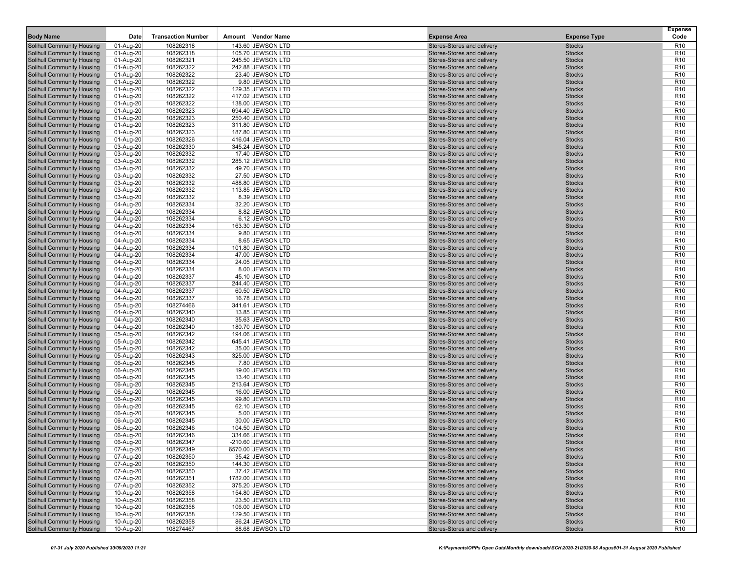| <b>Body Name</b>                                                       | Date                   | <b>Transaction Number</b> | Amount Vendor Name                   | <b>Expense Area</b>                                      | <b>Expense Type</b>            | <b>Expense</b><br>Code             |
|------------------------------------------------------------------------|------------------------|---------------------------|--------------------------------------|----------------------------------------------------------|--------------------------------|------------------------------------|
| <b>Solihull Community Housing</b>                                      | 01-Aug-20              | 108262318                 | 143.60 JEWSON LTD                    | Stores-Stores and delivery                               | <b>Stocks</b>                  | R <sub>10</sub>                    |
| <b>Solihull Community Housing</b>                                      | 01-Aug-20              | 108262318                 | 105.70 JEWSON LTD                    | Stores-Stores and delivery                               | <b>Stocks</b>                  | R <sub>10</sub>                    |
| <b>Solihull Community Housing</b>                                      | 01-Aug-20              | 108262321                 | 245.50 JEWSON LTD                    | Stores-Stores and delivery                               | <b>Stocks</b>                  | R <sub>10</sub>                    |
| <b>Solihull Community Housing</b>                                      | 01-Aug-20              | 108262322                 | 242.88 JEWSON LTD                    | Stores-Stores and delivery                               | <b>Stocks</b>                  | R <sub>10</sub>                    |
| <b>Solihull Community Housing</b>                                      | 01-Aug-20              | 108262322                 | 23.40 JEWSON LTD                     | Stores-Stores and delivery                               | <b>Stocks</b>                  | R <sub>10</sub>                    |
| Solihull Community Housing                                             | 01-Aug-20              | 108262322                 | 9.80 JEWSON LTD                      | Stores-Stores and delivery                               | <b>Stocks</b>                  | R <sub>10</sub>                    |
| Solihull Community Housing                                             | 01-Aug-20              | 108262322                 | 129.35 JEWSON LTD                    | Stores-Stores and delivery                               | <b>Stocks</b>                  | R <sub>10</sub>                    |
| <b>Solihull Community Housing</b>                                      | 01-Aug-20              | 108262322                 | 417.02 JEWSON LTD                    | Stores-Stores and delivery                               | <b>Stocks</b>                  | R <sub>10</sub>                    |
| <b>Solihull Community Housing</b>                                      | 01-Aug-20              | 108262322                 | 138.00 JEWSON LTD                    | Stores-Stores and delivery                               | <b>Stocks</b>                  | R <sub>10</sub>                    |
| Solihull Community Housing                                             | 01-Aug-20              | 108262323                 | 694.40 JEWSON LTD                    | Stores-Stores and delivery                               | <b>Stocks</b>                  | R <sub>10</sub>                    |
| Solihull Community Housing                                             | 01-Aug-20              | 108262323                 | 250.40 JEWSON LTD                    | Stores-Stores and delivery                               | <b>Stocks</b>                  | R <sub>10</sub>                    |
| Solihull Community Housing                                             | 01-Aug-20              | 108262323                 | 311.80 JEWSON LTD                    | Stores-Stores and delivery                               | <b>Stocks</b>                  | R <sub>10</sub>                    |
| <b>Solihull Community Housing</b>                                      | 01-Aug-20              | 108262323                 | 187.80 JEWSON LTD                    | Stores-Stores and delivery                               | <b>Stocks</b>                  | R <sub>10</sub>                    |
| <b>Solihull Community Housing</b>                                      | 01-Aug-20              | 108262326                 | 416.04 JEWSON LTD                    | Stores-Stores and delivery                               | <b>Stocks</b>                  | R <sub>10</sub>                    |
| <b>Solihull Community Housing</b>                                      | 03-Aug-20              | 108262330                 | 345.24 JEWSON LTD                    | Stores-Stores and delivery                               | <b>Stocks</b>                  | R <sub>10</sub>                    |
| Solihull Community Housing                                             | 03-Aug-20              | 108262332                 | 17.40 JEWSON LTD                     | Stores-Stores and delivery                               | <b>Stocks</b>                  | R <sub>10</sub>                    |
| Solihull Community Housing                                             | 03-Aug-20              | 108262332                 | 285.12 JEWSON LTD                    | Stores-Stores and delivery                               | <b>Stocks</b>                  | R <sub>10</sub>                    |
| <b>Solihull Community Housing</b>                                      | 03-Aug-20              | 108262332                 | 49.70 JEWSON LTD                     | Stores-Stores and delivery                               | <b>Stocks</b>                  | R <sub>10</sub>                    |
| <b>Solihull Community Housing</b>                                      | 03-Aug-20              | 108262332                 | 27.50 JEWSON LTD                     | Stores-Stores and delivery                               | <b>Stocks</b>                  | R <sub>10</sub>                    |
| Solihull Community Housing                                             | 03-Aug-20              | 108262332                 | 488.80 JEWSON LTD                    | Stores-Stores and delivery                               | <b>Stocks</b>                  | R <sub>10</sub>                    |
| Solihull Community Housing                                             | 03-Aug-20              | 108262332                 | 113.85 JEWSON LTD                    | Stores-Stores and delivery                               | <b>Stocks</b>                  | R <sub>10</sub>                    |
| <b>Solihull Community Housing</b>                                      | 03-Aug-20              | 108262332                 | 8.39 JEWSON LTD                      | Stores-Stores and delivery                               | <b>Stocks</b>                  | R <sub>10</sub>                    |
| <b>Solihull Community Housing</b>                                      | 04-Aug-20              | 108262334                 | 32.20 JEWSON LTD                     | Stores-Stores and delivery                               | <b>Stocks</b>                  | R <sub>10</sub>                    |
| <b>Solihull Community Housing</b>                                      | 04-Aug-20              | 108262334                 | 8.82 JEWSON LTD                      | Stores-Stores and delivery                               | <b>Stocks</b>                  | R <sub>10</sub>                    |
| <b>Solihull Community Housing</b>                                      | 04-Aug-20              | 108262334                 | 6.12 JEWSON LTD                      | Stores-Stores and delivery                               | <b>Stocks</b>                  | R <sub>10</sub>                    |
| Solihull Community Housing                                             | 04-Aug-20              | 108262334                 | 163.30 JEWSON LTD                    | Stores-Stores and delivery                               | <b>Stocks</b>                  | R <sub>10</sub>                    |
| Solihull Community Housing                                             | 04-Aug-20              | 108262334                 | 9.80 JEWSON LTD                      | Stores-Stores and delivery                               | <b>Stocks</b>                  | R <sub>10</sub>                    |
| <b>Solihull Community Housing</b>                                      | 04-Aug-20              | 108262334                 | 8.65 JEWSON LTD                      | Stores-Stores and delivery                               | <b>Stocks</b>                  | R <sub>10</sub>                    |
| <b>Solihull Community Housing</b>                                      | 04-Aug-20              | 108262334                 | 101.80 JEWSON LTD                    | Stores-Stores and delivery                               | <b>Stocks</b>                  | R <sub>10</sub>                    |
| <b>Solihull Community Housing</b>                                      | 04-Aug-20              | 108262334                 | 47.00 JEWSON LTD                     | Stores-Stores and delivery                               | <b>Stocks</b>                  | R <sub>10</sub>                    |
| Solihull Community Housing                                             | 04-Aug-20              | 108262334                 | 24.05 JEWSON LTD                     | Stores-Stores and delivery                               | <b>Stocks</b>                  | R <sub>10</sub>                    |
| Solihull Community Housing                                             | 04-Aug-20              | 108262334                 | 8.00 JEWSON LTD                      | Stores-Stores and delivery                               | <b>Stocks</b>                  | R <sub>10</sub>                    |
| <b>Solihull Community Housing</b>                                      | 04-Aug-20              | 108262337                 | 45.10 JEWSON LTD                     | Stores-Stores and delivery                               | <b>Stocks</b>                  | R <sub>10</sub>                    |
| <b>Solihull Community Housing</b>                                      | 04-Aug-20              | 108262337                 | 244.40 JEWSON LTD                    | Stores-Stores and delivery                               | <b>Stocks</b>                  | R <sub>10</sub>                    |
| <b>Solihull Community Housing</b>                                      | 04-Aug-20              | 108262337                 | 60.50 JEWSON LTD                     | Stores-Stores and delivery                               | <b>Stocks</b>                  | R <sub>10</sub>                    |
| Solihull Community Housing                                             | 04-Aug-20              | 108262337                 | 16.78 JEWSON LTD                     | Stores-Stores and delivery                               | <b>Stocks</b>                  | R <sub>10</sub>                    |
| Solihull Community Housing                                             | 05-Aug-20              | 108274466                 | 341.61 JEWSON LTD                    | Stores-Stores and delivery                               | <b>Stocks</b><br><b>Stocks</b> | R <sub>10</sub>                    |
| <b>Solihull Community Housing</b><br><b>Solihull Community Housing</b> | 04-Aug-20              | 108262340<br>108262340    | 13.85 JEWSON LTD<br>35.63 JEWSON LTD | Stores-Stores and delivery<br>Stores-Stores and delivery | <b>Stocks</b>                  | R <sub>10</sub><br>R <sub>10</sub> |
| Solihull Community Housing                                             | 04-Aug-20<br>04-Aug-20 | 108262340                 | 180.70 JEWSON LTD                    | Stores-Stores and delivery                               | <b>Stocks</b>                  | R <sub>10</sub>                    |
| Solihull Community Housing                                             | 05-Aug-20              | 108262342                 | 194.06 JEWSON LTD                    | Stores-Stores and delivery                               | <b>Stocks</b>                  | R <sub>10</sub>                    |
| Solihull Community Housing                                             | 05-Aug-20              | 108262342                 | 645.41 JEWSON LTD                    | Stores-Stores and delivery                               | <b>Stocks</b>                  | R <sub>10</sub>                    |
| <b>Solihull Community Housing</b>                                      | 05-Aug-20              | 108262342                 | 35.00 JEWSON LTD                     | Stores-Stores and delivery                               | <b>Stocks</b>                  | R <sub>10</sub>                    |
| <b>Solihull Community Housing</b>                                      | 05-Aug-20              | 108262343                 | 325.00 JEWSON LTD                    | Stores-Stores and delivery                               | <b>Stocks</b>                  | R <sub>10</sub>                    |
| <b>Solihull Community Housing</b>                                      | 06-Aug-20              | 108262345                 | 7.80 JEWSON LTD                      | Stores-Stores and delivery                               | <b>Stocks</b>                  | R <sub>10</sub>                    |
| Solihull Community Housing                                             | 06-Aug-20              | 108262345                 | 19.00 JEWSON LTD                     | Stores-Stores and delivery                               | <b>Stocks</b>                  | R <sub>10</sub>                    |
| Solihull Community Housing                                             | 06-Aug-20              | 108262345                 | 13.40 JEWSON LTD                     | Stores-Stores and delivery                               | <b>Stocks</b>                  | R <sub>10</sub>                    |
| <b>Solihull Community Housing</b>                                      | 06-Aug-20              | 108262345                 | 213.64 JEWSON LTD                    | Stores-Stores and delivery                               | <b>Stocks</b>                  | R <sub>10</sub>                    |
| <b>Solihull Community Housing</b>                                      | 06-Aug-20              | 108262345                 | 16.00 JEWSON LTD                     | Stores-Stores and delivery                               | <b>Stocks</b>                  | R <sub>10</sub>                    |
| <b>Solihull Community Housing</b>                                      | 06-Aug-20              | 108262345                 | 99.80 JEWSON LTD                     | Stores-Stores and delivery                               | <b>Stocks</b>                  | R <sub>10</sub>                    |
| Solihull Community Housing                                             | 06-Aug-20              | 108262345                 | 62.10 JEWSON LTD                     | Stores-Stores and delivery                               | <b>Stocks</b>                  | R <sub>10</sub>                    |
| Solihull Community Housing                                             | 06-Aug-20              | 108262345                 | 5.00 JEWSON LTD                      | Stores-Stores and delivery                               | <b>Stocks</b>                  | R <sub>10</sub>                    |
| <b>Solihull Community Housing</b>                                      | 06-Aug-20              | 108262345                 | 30.00 JEWSON LTD                     | Stores-Stores and delivery                               | <b>Stocks</b>                  | R <sub>10</sub>                    |
| <b>Solihull Community Housing</b>                                      | 06-Aug-20              | 108262346                 | 104.50 JEWSON LTD                    | Stores-Stores and delivery                               | <b>Stocks</b>                  | R <sub>10</sub>                    |
| <b>Solihull Community Housing</b>                                      | 06-Aug-20              | 108262346                 | 334.66 JEWSON LTD                    | Stores-Stores and delivery                               | <b>Stocks</b>                  | R <sub>10</sub>                    |
| Solihull Community Housing                                             | 06-Aug-20              | 108262347                 | -210.60 JEWSON LTD                   | Stores-Stores and delivery                               | <b>Stocks</b>                  | R <sub>10</sub>                    |
| Solihull Community Housing                                             | 07-Aug-20              | 108262349                 | 6570.00 JEWSON LTD                   | Stores-Stores and delivery                               | <b>Stocks</b>                  | R <sub>10</sub>                    |
| Solihull Community Housing                                             | 07-Aug-20              | 108262350                 | 35.42 JEWSON LTD                     | Stores-Stores and delivery                               | <b>Stocks</b>                  | R <sub>10</sub>                    |
| Solihull Community Housing                                             | 07-Aug-20              | 108262350                 | 144.30 JEWSON LTD                    | Stores-Stores and delivery                               | <b>Stocks</b>                  | R <sub>10</sub>                    |
| <b>Solihull Community Housing</b>                                      | 07-Aug-20              | 108262350                 | 37.42 JEWSON LTD                     | Stores-Stores and delivery                               | <b>Stocks</b>                  | R <sub>10</sub>                    |
| Solihull Community Housing                                             | 07-Aug-20              | 108262351                 | 1782.00 JEWSON LTD                   | Stores-Stores and delivery                               | <b>Stocks</b>                  | R <sub>10</sub>                    |
| Solihull Community Housing                                             | 07-Aug-20              | 108262352                 | 375.20 JEWSON LTD                    | Stores-Stores and delivery                               | <b>Stocks</b>                  | R <sub>10</sub>                    |
| Solihull Community Housing                                             | 10-Aug-20              | 108262358                 | 154.80 JEWSON LTD                    | Stores-Stores and delivery                               | <b>Stocks</b>                  | R <sub>10</sub>                    |
| Solihull Community Housing                                             | 10-Aug-20              | 108262358                 | 23.50 JEWSON LTD                     | Stores-Stores and delivery                               | <b>Stocks</b>                  | R <sub>10</sub>                    |
| Solihull Community Housing                                             | 10-Aug-20              | 108262358                 | 106.00 JEWSON LTD                    | Stores-Stores and delivery                               | <b>Stocks</b>                  | R <sub>10</sub>                    |
| <b>Solihull Community Housing</b>                                      | 10-Aug-20              | 108262358                 | 129.50 JEWSON LTD                    | Stores-Stores and delivery                               | <b>Stocks</b>                  | R <sub>10</sub>                    |
| Solihull Community Housing                                             | 10-Aug-20              | 108262358                 | 86.24 JEWSON LTD                     | Stores-Stores and delivery                               | <b>Stocks</b>                  | R <sub>10</sub>                    |
| Solihull Community Housing                                             | 10-Aug-20              | 108274467                 | 88.68 JEWSON LTD                     | Stores-Stores and delivery                               | <b>Stocks</b>                  | R <sub>10</sub>                    |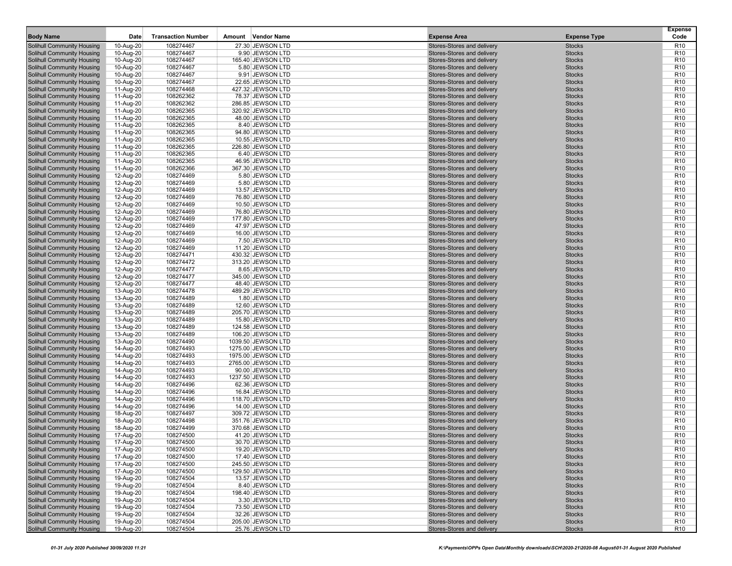| <b>Body Name</b>                                         | Date                   | <b>Transaction Number</b> | Amount Vendor Name                    | <b>Expense Area</b>                                      | <b>Expense Type</b>            | <b>Expense</b><br>Code             |
|----------------------------------------------------------|------------------------|---------------------------|---------------------------------------|----------------------------------------------------------|--------------------------------|------------------------------------|
| <b>Solihull Community Housing</b>                        | 10-Aug-20              | 108274467                 | 27.30 JEWSON LTD                      | Stores-Stores and delivery                               | <b>Stocks</b>                  | R <sub>10</sub>                    |
| <b>Solihull Community Housing</b>                        | 10-Aug-20              | 108274467                 | 9.90 JEWSON LTD                       | Stores-Stores and delivery                               | <b>Stocks</b>                  | R <sub>10</sub>                    |
| <b>Solihull Community Housing</b>                        | 10-Aug-20              | 108274467                 | 165.40 JEWSON LTD                     | Stores-Stores and delivery                               | <b>Stocks</b>                  | R <sub>10</sub>                    |
| <b>Solihull Community Housing</b>                        | 10-Aug-20              | 108274467                 | 5.80 JEWSON LTD                       | Stores-Stores and delivery                               | <b>Stocks</b>                  | R <sub>10</sub>                    |
| <b>Solihull Community Housing</b>                        | 10-Aug-20              | 108274467                 | 9.91 JEWSON LTD                       | Stores-Stores and delivery                               | <b>Stocks</b>                  | R <sub>10</sub>                    |
| Solihull Community Housing                               | 10-Aug-20              | 108274467                 | 22.65 JEWSON LTD                      | Stores-Stores and delivery                               | <b>Stocks</b>                  | R <sub>10</sub>                    |
| Solihull Community Housing                               | 11-Aug-20              | 108274468                 | 427.32 JEWSON LTD                     | Stores-Stores and delivery                               | <b>Stocks</b>                  | R <sub>10</sub>                    |
| <b>Solihull Community Housing</b>                        | 11-Aug-20              | 108262362                 | 78.37 JEWSON LTD                      | Stores-Stores and delivery                               | <b>Stocks</b>                  | R <sub>10</sub>                    |
| <b>Solihull Community Housing</b>                        | 11-Aug-20              | 108262362                 | 286.85 JEWSON LTD                     | Stores-Stores and delivery                               | <b>Stocks</b>                  | R <sub>10</sub>                    |
| Solihull Community Housing                               | 11-Aug-20              | 108262365                 | 320.92 JEWSON LTD                     | Stores-Stores and delivery                               | <b>Stocks</b>                  | R <sub>10</sub>                    |
| Solihull Community Housing                               | 11-Aug-20              | 108262365                 | 48.00 JEWSON LTD                      | Stores-Stores and delivery                               | <b>Stocks</b>                  | R <sub>10</sub>                    |
| Solihull Community Housing                               | 11-Aug-20              | 108262365                 | 8.40 JEWSON LTD                       | Stores-Stores and delivery                               | <b>Stocks</b>                  | R <sub>10</sub>                    |
| <b>Solihull Community Housing</b>                        | 11-Aug-20              | 108262365                 | 94.80 JEWSON LTD                      | Stores-Stores and delivery                               | <b>Stocks</b>                  | R <sub>10</sub>                    |
| <b>Solihull Community Housing</b>                        | 11-Aug-20              | 108262365                 | 10.55 JEWSON LTD                      | Stores-Stores and delivery                               | <b>Stocks</b>                  | R <sub>10</sub>                    |
| <b>Solihull Community Housing</b>                        | 11-Aug-20              | 108262365                 | 226.80 JEWSON LTD                     | Stores-Stores and delivery                               | <b>Stocks</b>                  | R <sub>10</sub>                    |
| Solihull Community Housing                               | 11-Aug-20              | 108262365                 | 6.40 JEWSON LTD                       | Stores-Stores and delivery                               | <b>Stocks</b>                  | R <sub>10</sub>                    |
| Solihull Community Housing                               | 11-Aug-20              | 108262365                 | 46.95 JEWSON LTD                      | Stores-Stores and delivery                               | <b>Stocks</b>                  | R <sub>10</sub>                    |
| <b>Solihull Community Housing</b>                        | 11-Aug-20              | 108262366                 | 367.30 JEWSON LTD                     | Stores-Stores and delivery                               | <b>Stocks</b>                  | R <sub>10</sub>                    |
| <b>Solihull Community Housing</b>                        | 12-Aug-20              | 108274469                 | 5.80 JEWSON LTD                       | Stores-Stores and delivery                               | <b>Stocks</b>                  | R <sub>10</sub>                    |
| Solihull Community Housing                               | 12-Aug-20              | 108274469                 | 5.80 JEWSON LTD                       | Stores-Stores and delivery                               | <b>Stocks</b>                  | R <sub>10</sub>                    |
| Solihull Community Housing                               | 12-Aug-20              | 108274469                 | 13.57 JEWSON LTD                      | Stores-Stores and delivery                               | <b>Stocks</b>                  | R <sub>10</sub>                    |
| <b>Solihull Community Housing</b>                        | 12-Aug-20              | 108274469                 | 76.80 JEWSON LTD                      | Stores-Stores and delivery                               | <b>Stocks</b>                  | R <sub>10</sub>                    |
| <b>Solihull Community Housing</b>                        | 12-Aug-20              | 108274469                 | 10.50 JEWSON LTD                      | Stores-Stores and delivery                               | <b>Stocks</b>                  | R <sub>10</sub>                    |
| <b>Solihull Community Housing</b>                        | 12-Aug-20              | 108274469                 | 76.80 JEWSON LTD                      | Stores-Stores and delivery                               | <b>Stocks</b>                  | R <sub>10</sub>                    |
| <b>Solihull Community Housing</b>                        | 12-Aug-20              | 108274469                 | 177.80 JEWSON LTD                     | Stores-Stores and delivery                               | <b>Stocks</b>                  | R <sub>10</sub>                    |
| Solihull Community Housing                               | 12-Aug-20              | 108274469                 | 47.97 JEWSON LTD                      | Stores-Stores and delivery                               | <b>Stocks</b>                  | R <sub>10</sub>                    |
| Solihull Community Housing                               | 12-Aug-20              | 108274469                 | 16.00 JEWSON LTD                      | Stores-Stores and delivery                               | <b>Stocks</b>                  | R <sub>10</sub>                    |
| <b>Solihull Community Housing</b>                        | 12-Aug-20              | 108274469                 | 7.50 JEWSON LTD                       | Stores-Stores and delivery                               | <b>Stocks</b>                  | R <sub>10</sub>                    |
| <b>Solihull Community Housing</b>                        | 12-Aug-20              | 108274469                 | 11.20 JEWSON LTD<br>430.32 JEWSON LTD | Stores-Stores and delivery<br>Stores-Stores and delivery | <b>Stocks</b>                  | R <sub>10</sub>                    |
| <b>Solihull Community Housing</b>                        | 12-Aug-20              | 108274471                 |                                       | Stores-Stores and delivery                               | <b>Stocks</b>                  | R <sub>10</sub>                    |
| Solihull Community Housing<br>Solihull Community Housing | 12-Aug-20              | 108274472<br>108274477    | 313.20 JEWSON LTD<br>8.65 JEWSON LTD  | Stores-Stores and delivery                               | <b>Stocks</b><br><b>Stocks</b> | R <sub>10</sub><br>R <sub>10</sub> |
| <b>Solihull Community Housing</b>                        | 12-Aug-20<br>12-Aug-20 | 108274477                 | 345.00 JEWSON LTD                     | Stores-Stores and delivery                               | <b>Stocks</b>                  | R <sub>10</sub>                    |
| <b>Solihull Community Housing</b>                        | 12-Aug-20              | 108274477                 | 48.40 JEWSON LTD                      | Stores-Stores and delivery                               | <b>Stocks</b>                  | R <sub>10</sub>                    |
| <b>Solihull Community Housing</b>                        | 13-Aug-20              | 108274478                 | 489.29 JEWSON LTD                     | Stores-Stores and delivery                               | <b>Stocks</b>                  | R <sub>10</sub>                    |
| Solihull Community Housing                               | 13-Aug-20              | 108274489                 | 1.80 JEWSON LTD                       | Stores-Stores and delivery                               | <b>Stocks</b>                  | R <sub>10</sub>                    |
| Solihull Community Housing                               | 13-Aug-20              | 108274489                 | 12.60 JEWSON LTD                      | Stores-Stores and delivery                               | <b>Stocks</b>                  | R <sub>10</sub>                    |
| <b>Solihull Community Housing</b>                        | 13-Aug-20              | 108274489                 | 205.70 JEWSON LTD                     | Stores-Stores and delivery                               | <b>Stocks</b>                  | R <sub>10</sub>                    |
| <b>Solihull Community Housing</b>                        | 13-Aug-20              | 108274489                 | 15.80 JEWSON LTD                      | Stores-Stores and delivery                               | <b>Stocks</b>                  | R <sub>10</sub>                    |
| Solihull Community Housing                               | 13-Aug-20              | 108274489                 | 124.58 JEWSON LTD                     | Stores-Stores and delivery                               | <b>Stocks</b>                  | R <sub>10</sub>                    |
| Solihull Community Housing                               | 13-Aug-20              | 108274489                 | 106.20 JEWSON LTD                     | Stores-Stores and delivery                               | <b>Stocks</b>                  | R <sub>10</sub>                    |
| <b>Solihull Community Housing</b>                        | 13-Aug-20              | 108274490                 | 1039.50 JEWSON LTD                    | Stores-Stores and delivery                               | <b>Stocks</b>                  | R <sub>10</sub>                    |
| <b>Solihull Community Housing</b>                        | 14-Aug-20              | 108274493                 | 1275.00 JEWSON LTD                    | Stores-Stores and delivery                               | <b>Stocks</b>                  | R <sub>10</sub>                    |
| <b>Solihull Community Housing</b>                        | 14-Aug-20              | 108274493                 | 1975.00 JEWSON LTD                    | Stores-Stores and delivery                               | <b>Stocks</b>                  | R <sub>10</sub>                    |
| <b>Solihull Community Housing</b>                        | 14-Aug-20              | 108274493                 | 2765.00 JEWSON LTD                    | Stores-Stores and delivery                               | <b>Stocks</b>                  | R <sub>10</sub>                    |
| Solihull Community Housing                               | 14-Aug-20              | 108274493                 | 90.00 JEWSON LTD                      | Stores-Stores and delivery                               | <b>Stocks</b>                  | R <sub>10</sub>                    |
| Solihull Community Housing                               | 14-Aug-20              | 108274493                 | 1237.50 JEWSON LTD                    | Stores-Stores and delivery                               | <b>Stocks</b>                  | R <sub>10</sub>                    |
| <b>Solihull Community Housing</b>                        | 14-Aug-20              | 108274496                 | 62.36 JEWSON LTD                      | Stores-Stores and delivery                               | <b>Stocks</b>                  | R <sub>10</sub>                    |
| <b>Solihull Community Housing</b>                        | 14-Aug-20              | 108274496                 | 16.84 JEWSON LTD                      | Stores-Stores and delivery                               | <b>Stocks</b>                  | R <sub>10</sub>                    |
| <b>Solihull Community Housing</b>                        | 14-Aug-20              | 108274496                 | 118.70 JEWSON LTD                     | Stores-Stores and delivery                               | <b>Stocks</b>                  | R <sub>10</sub>                    |
| Solihull Community Housing                               | 14-Aug-20              | 108274496                 | 14.00 JEWSON LTD                      | Stores-Stores and delivery                               | <b>Stocks</b>                  | R <sub>10</sub>                    |
| Solihull Community Housing                               | 18-Aug-20              | 108274497                 | 309.72 JEWSON LTD                     | Stores-Stores and delivery                               | <b>Stocks</b>                  | R <sub>10</sub>                    |
| <b>Solihull Community Housing</b>                        | 18-Aug-20              | 108274498                 | 351.76 JEWSON LTD                     | Stores-Stores and delivery                               | <b>Stocks</b>                  | R <sub>10</sub>                    |
| <b>Solihull Community Housing</b>                        | 18-Aug-20              | 108274499                 | 370.68 JEWSON LTD                     | Stores-Stores and delivery                               | <b>Stocks</b>                  | R <sub>10</sub>                    |
| <b>Solihull Community Housing</b>                        | 17-Aug-20              | 108274500                 | 41.20 JEWSON LTD                      | Stores-Stores and delivery                               | <b>Stocks</b>                  | R <sub>10</sub>                    |
| Solihull Community Housing                               | 17-Aug-20              | 108274500                 | 30.70 JEWSON LTD                      | Stores-Stores and delivery                               | <b>Stocks</b>                  | R <sub>10</sub>                    |
| Solihull Community Housing                               | 17-Aug-20              | 108274500                 | 19.20 JEWSON LTD                      | Stores-Stores and delivery                               | <b>Stocks</b>                  | R <sub>10</sub>                    |
| Solihull Community Housing                               | 17-Aug-20              | 108274500                 | 17.40 JEWSON LTD                      | Stores-Stores and delivery                               | <b>Stocks</b>                  | R <sub>10</sub>                    |
| Solihull Community Housing                               | 17-Aug-20              | 108274500                 | 245.50 JEWSON LTD                     | Stores-Stores and delivery<br>Stores-Stores and delivery | <b>Stocks</b>                  | R <sub>10</sub>                    |
| <b>Solihull Community Housing</b>                        | 17-Aug-20              | 108274500                 | 129.50 JEWSON LTD                     | Stores-Stores and delivery                               | <b>Stocks</b>                  | R <sub>10</sub>                    |
| Solihull Community Housing<br>Solihull Community Housing | 19-Aug-20<br>19-Aug-20 | 108274504<br>108274504    | 13.57 JEWSON LTD<br>8.40 JEWSON LTD   | Stores-Stores and delivery                               | <b>Stocks</b><br><b>Stocks</b> | R <sub>10</sub><br>R <sub>10</sub> |
| Solihull Community Housing                               | 19-Aug-20              | 108274504                 | 198.40 JEWSON LTD                     | Stores-Stores and delivery                               | <b>Stocks</b>                  | R <sub>10</sub>                    |
| Solihull Community Housing                               | 19-Aug-20              | 108274504                 | 3.30 JEWSON LTD                       | Stores-Stores and delivery                               | <b>Stocks</b>                  | R <sub>10</sub>                    |
| Solihull Community Housing                               | 19-Aug-20              | 108274504                 | 73.50 JEWSON LTD                      | Stores-Stores and delivery                               | <b>Stocks</b>                  | R <sub>10</sub>                    |
| <b>Solihull Community Housing</b>                        | 19-Aug-20              | 108274504                 | 32.26 JEWSON LTD                      | Stores-Stores and delivery                               | <b>Stocks</b>                  | R <sub>10</sub>                    |
| Solihull Community Housing                               | 19-Aug-20              | 108274504                 | 205.00 JEWSON LTD                     | Stores-Stores and delivery                               | <b>Stocks</b>                  | R <sub>10</sub>                    |
| Solihull Community Housing                               | 19-Aug-20              | 108274504                 | 25.76 JEWSON LTD                      | Stores-Stores and delivery                               | <b>Stocks</b>                  | R <sub>10</sub>                    |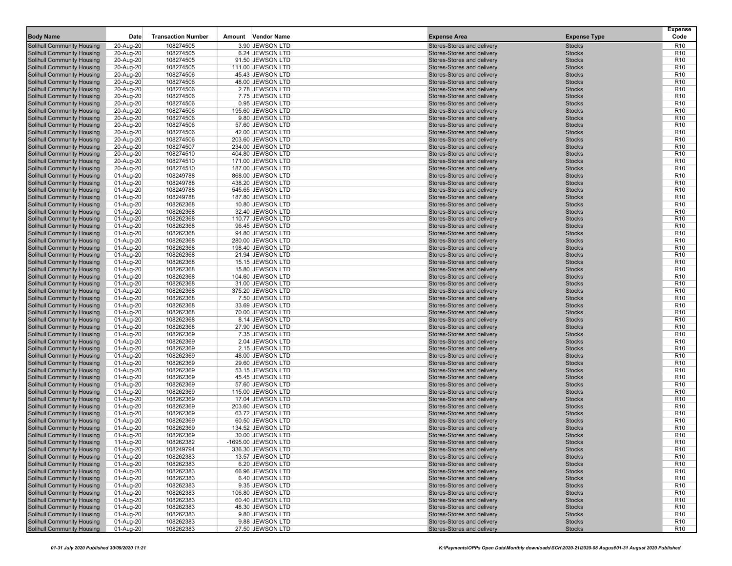| <b>Body Name</b>                                         | Date                   | <b>Transaction Number</b> | Amount Vendor Name                  | <b>Expense Area</b>                                      | <b>Expense Type</b>            | <b>Expense</b><br>Code             |
|----------------------------------------------------------|------------------------|---------------------------|-------------------------------------|----------------------------------------------------------|--------------------------------|------------------------------------|
| Solihull Community Housing                               | 20-Aug-20              | 108274505                 | 3.90 JEWSON LTD                     | Stores-Stores and delivery                               | <b>Stocks</b>                  | R <sub>10</sub>                    |
| Solihull Community Housing                               | 20-Aug-20              | 108274505                 | 6.24 JEWSON LTD                     | Stores-Stores and delivery                               | <b>Stocks</b>                  | R <sub>10</sub>                    |
| <b>Solihull Community Housing</b>                        | 20-Aug-20              | 108274505                 | 91.50 JEWSON LTD                    | Stores-Stores and delivery                               | <b>Stocks</b>                  | R <sub>10</sub>                    |
| <b>Solihull Community Housing</b>                        | 20-Aug-20              | 108274505                 | 111.00 JEWSON LTD                   | Stores-Stores and delivery                               | <b>Stocks</b>                  | R <sub>10</sub>                    |
| Solihull Community Housing                               | 20-Aug-20              | 108274506                 | 45.43 JEWSON LTD                    | Stores-Stores and delivery                               | <b>Stocks</b>                  | R <sub>10</sub>                    |
| Solihull Community Housing                               | 20-Aug-20              | 108274506                 | 48.00 JEWSON LTD                    | Stores-Stores and delivery                               | <b>Stocks</b>                  | R <sub>10</sub>                    |
| Solihull Community Housing                               | 20-Aug-20              | 108274506                 | 2.78 JEWSON LTD                     | Stores-Stores and delivery                               | <b>Stocks</b>                  | R <sub>10</sub>                    |
| Solihull Community Housing                               | 20-Aug-20              | 108274506                 | 7.75 JEWSON LTD                     | Stores-Stores and delivery                               | <b>Stocks</b>                  | R <sub>10</sub>                    |
| <b>Solihull Community Housing</b>                        | 20-Aug-20              | 108274506                 | 0.95 JEWSON LTD                     | Stores-Stores and delivery                               | <b>Stocks</b>                  | R <sub>10</sub>                    |
| Solihull Community Housing                               | 20-Aug-20              | 108274506                 | 195.60 JEWSON LTD                   | Stores-Stores and delivery                               | <b>Stocks</b>                  | R <sub>10</sub>                    |
| <b>Solihull Community Housing</b>                        | 20-Aug-20              | 108274506                 | 9.80 JEWSON LTD                     | Stores-Stores and delivery                               | <b>Stocks</b>                  | R <sub>10</sub>                    |
| <b>Solihull Community Housing</b>                        | 20-Aug-20              | 108274506                 | 57.60 JEWSON LTD                    | Stores-Stores and delivery                               | <b>Stocks</b>                  | R <sub>10</sub>                    |
| Solihull Community Housing                               | 20-Aug-20              | 108274506                 | 42.00 JEWSON LTD                    | Stores-Stores and delivery                               | <b>Stocks</b>                  | R <sub>10</sub>                    |
| Solihull Community Housing                               | 20-Aug-20              | 108274506                 | 203.60 JEWSON LTD                   | Stores-Stores and delivery                               | <b>Stocks</b>                  | R <sub>10</sub>                    |
| Solihull Community Housing                               | 20-Aug-20              | 108274507                 | 234.00 JEWSON LTD                   | Stores-Stores and delivery                               | <b>Stocks</b>                  | R <sub>10</sub>                    |
| Solihull Community Housing                               | 20-Aug-20              | 108274510                 | 404.80 JEWSON LTD                   | Stores-Stores and delivery                               | <b>Stocks</b>                  | R <sub>10</sub>                    |
| Solihull Community Housing                               | 20-Aug-20              | 108274510                 | 171.00 JEWSON LTD                   | Stores-Stores and delivery                               | <b>Stocks</b>                  | R <sub>10</sub>                    |
| Solihull Community Housing                               | 20-Aug-20              | 108274510                 | 187.00 JEWSON LTD                   | Stores-Stores and delivery                               | <b>Stocks</b>                  | R <sub>10</sub>                    |
| <b>Solihull Community Housing</b>                        | 01-Aug-20              | 108249788                 | 868.00 JEWSON LTD                   | Stores-Stores and delivery                               | <b>Stocks</b>                  | R <sub>10</sub>                    |
| Solihull Community Housing                               | 01-Aug-20              | 108249788                 | 438.20 JEWSON LTD                   | Stores-Stores and delivery                               | <b>Stocks</b>                  | R <sub>10</sub>                    |
| <b>Solihull Community Housing</b>                        | 01-Aug-20              | 108249788                 | 545.65 JEWSON LTD                   | Stores-Stores and delivery                               | <b>Stocks</b>                  | R <sub>10</sub>                    |
| <b>Solihull Community Housing</b>                        | 01-Aug-20              | 108249788                 | 187.80 JEWSON LTD                   | Stores-Stores and delivery                               | <b>Stocks</b>                  | R <sub>10</sub>                    |
| Solihull Community Housing                               | 01-Aug-20              | 108262368                 | 10.80 JEWSON LTD                    | Stores-Stores and delivery                               | <b>Stocks</b>                  | R <sub>10</sub>                    |
| <b>Solihull Community Housing</b>                        | 01-Aug-20              | 108262368                 | 32.40 JEWSON LTD                    | Stores-Stores and delivery                               | <b>Stocks</b>                  | R <sub>10</sub>                    |
| Solihull Community Housing                               | 01-Aug-20              | 108262368                 | 110.77 JEWSON LTD                   | Stores-Stores and delivery                               | <b>Stocks</b>                  | R <sub>10</sub>                    |
| Solihull Community Housing                               | 01-Aug-20              | 108262368                 | 96.45 JEWSON LTD                    | Stores-Stores and delivery                               | <b>Stocks</b>                  | R <sub>10</sub>                    |
| <b>Solihull Community Housing</b>                        | 01-Aug-20              | 108262368                 | 94.80 JEWSON LTD                    | Stores-Stores and delivery                               | <b>Stocks</b>                  | R <sub>10</sub>                    |
| Solihull Community Housing                               | 01-Aug-20              | 108262368                 | 280.00 JEWSON LTD                   | Stores-Stores and delivery                               | <b>Stocks</b>                  | R <sub>10</sub>                    |
| <b>Solihull Community Housing</b>                        | 01-Aug-20              | 108262368                 | 198.40 JEWSON LTD                   | Stores-Stores and delivery                               | <b>Stocks</b>                  | R <sub>10</sub>                    |
| Solihull Community Housing                               | 01-Aug-20              | 108262368                 | 21.94 JEWSON LTD                    | Stores-Stores and delivery                               | <b>Stocks</b>                  | R <sub>10</sub>                    |
| <b>Solihull Community Housing</b>                        | 01-Aug-20              | 108262368                 | 15.15 JEWSON LTD                    | Stores-Stores and delivery                               | <b>Stocks</b>                  | R <sub>10</sub>                    |
| <b>Solihull Community Housing</b>                        | 01-Aug-20              | 108262368                 | 15.80 JEWSON LTD                    | Stores-Stores and delivery                               | <b>Stocks</b>                  | R <sub>10</sub>                    |
| Solihull Community Housing                               | 01-Aug-20              | 108262368                 | 104.60 JEWSON LTD                   | Stores-Stores and delivery                               | <b>Stocks</b>                  | R <sub>10</sub>                    |
| <b>Solihull Community Housing</b>                        | 01-Aug-20              | 108262368                 | 31.00 JEWSON LTD                    | Stores-Stores and delivery                               | <b>Stocks</b>                  | R <sub>10</sub>                    |
| Solihull Community Housing                               | 01-Aug-20              | 108262368                 | 375.20 JEWSON LTD                   | Stores-Stores and delivery                               | <b>Stocks</b>                  | R <sub>10</sub>                    |
| Solihull Community Housing<br>Solihull Community Housing | 01-Aug-20              | 108262368<br>108262368    | 7.50 JEWSON LTD<br>33.69 JEWSON LTD | Stores-Stores and delivery<br>Stores-Stores and delivery | <b>Stocks</b><br><b>Stocks</b> | R <sub>10</sub><br>R <sub>10</sub> |
| Solihull Community Housing                               | 01-Aug-20              | 108262368                 | 70.00 JEWSON LTD                    | Stores-Stores and delivery                               | <b>Stocks</b>                  | R <sub>10</sub>                    |
| <b>Solihull Community Housing</b>                        | 01-Aug-20<br>01-Aug-20 | 108262368                 | 8.14 JEWSON LTD                     | Stores-Stores and delivery                               | <b>Stocks</b>                  | R <sub>10</sub>                    |
| Solihull Community Housing                               | 01-Aug-20              | 108262368                 | 27.90 JEWSON LTD                    | Stores-Stores and delivery                               | <b>Stocks</b>                  | R <sub>10</sub>                    |
| Solihull Community Housing                               | 01-Aug-20              | 108262369                 | 7.35 JEWSON LTD                     | Stores-Stores and delivery                               | <b>Stocks</b>                  | R <sub>10</sub>                    |
| Solihull Community Housing                               | 01-Aug-20              | 108262369                 | 2.04 JEWSON LTD                     | Stores-Stores and delivery                               | <b>Stocks</b>                  | R <sub>10</sub>                    |
| Solihull Community Housing                               | 01-Aug-20              | 108262369                 | 2.15 JEWSON LTD                     | Stores-Stores and delivery                               | <b>Stocks</b>                  | R <sub>10</sub>                    |
| <b>Solihull Community Housing</b>                        | 01-Aug-20              | 108262369                 | 48.00 JEWSON LTD                    | Stores-Stores and delivery                               | <b>Stocks</b>                  | R <sub>10</sub>                    |
| Solihull Community Housing                               | 01-Aug-20              | 108262369                 | 29.60 JEWSON LTD                    | Stores-Stores and delivery                               | <b>Stocks</b>                  | R <sub>10</sub>                    |
| Solihull Community Housing                               | 01-Aug-20              | 108262369                 | 53.15 JEWSON LTD                    | Stores-Stores and delivery                               | <b>Stocks</b>                  | R <sub>10</sub>                    |
| <b>Solihull Community Housing</b>                        | 01-Aug-20              | 108262369                 | 45.45 JEWSON LTD                    | Stores-Stores and delivery                               | <b>Stocks</b>                  | R <sub>10</sub>                    |
| Solihull Community Housing                               | 01-Aug-20              | 108262369                 | 57.60 JEWSON LTD                    | Stores-Stores and delivery                               | <b>Stocks</b>                  | R <sub>10</sub>                    |
| <b>Solihull Community Housing</b>                        | 01-Aug-20              | 108262369                 | 115.00 JEWSON LTD                   | Stores-Stores and delivery                               | <b>Stocks</b>                  | R <sub>10</sub>                    |
| Solihull Community Housing                               | 01-Aug-20              | 108262369                 | 17.04 JEWSON LTD                    | Stores-Stores and delivery                               | <b>Stocks</b>                  | R <sub>10</sub>                    |
| <b>Solihull Community Housing</b>                        | 01-Aug-20              | 108262369                 | 203.60 JEWSON LTD                   | Stores-Stores and delivery                               | <b>Stocks</b>                  | R <sub>10</sub>                    |
| <b>Solihull Community Housing</b>                        | 01-Aug-20              | 108262369                 | 63.72 JEWSON LTD                    | Stores-Stores and delivery                               | <b>Stocks</b>                  | R <sub>10</sub>                    |
| <b>Solihull Community Housing</b>                        | 01-Aug-20              | 108262369                 | 60.50 JEWSON LTD                    | Stores-Stores and delivery                               | <b>Stocks</b>                  | R <sub>10</sub>                    |
| <b>Solihull Community Housing</b>                        | 01-Aug-20              | 108262369                 | 134.52 JEWSON LTD                   | Stores-Stores and delivery                               | <b>Stocks</b>                  | R <sub>10</sub>                    |
| <b>Solihull Community Housing</b>                        | 01-Aug-20              | 108262369                 | 30.00 JEWSON LTD                    | Stores-Stores and delivery                               | <b>Stocks</b>                  | R <sub>10</sub>                    |
| Solihull Community Housing                               | 11-Aug-20              | 108262382                 | -1695.00 JEWSON LTD                 | Stores-Stores and delivery                               | <b>Stocks</b>                  | R <sub>10</sub>                    |
| Solihull Community Housing                               | 01-Aug-20              | 108249794                 | 336.30 JEWSON LTD                   | Stores-Stores and delivery                               | <b>Stocks</b>                  | R <sub>10</sub>                    |
| Solihull Community Housing                               | 01-Aug-20              | 108262383                 | 13.57 JEWSON LTD                    | Stores-Stores and delivery                               | <b>Stocks</b>                  | R <sub>10</sub>                    |
| <b>Solihull Community Housing</b>                        | 01-Aug-20              | 108262383                 | 6.20 JEWSON LTD                     | Stores-Stores and delivery                               | <b>Stocks</b>                  | R <sub>10</sub>                    |
| <b>Solihull Community Housing</b>                        | 01-Aug-20              | 108262383                 | 66.96 JEWSON LTD                    | Stores-Stores and delivery                               | <b>Stocks</b>                  | R <sub>10</sub>                    |
| Solihull Community Housing                               | 01-Aug-20              | 108262383                 | 6.40 JEWSON LTD                     | Stores-Stores and delivery                               | <b>Stocks</b>                  | R <sub>10</sub>                    |
| <b>Solihull Community Housing</b>                        | 01-Aug-20              | 108262383                 | 9.35 JEWSON LTD                     | Stores-Stores and delivery                               | <b>Stocks</b>                  | R <sub>10</sub>                    |
| <b>Solihull Community Housing</b>                        | 01-Aug-20              | 108262383                 | 106.80 JEWSON LTD                   | Stores-Stores and delivery                               | <b>Stocks</b>                  | R <sub>10</sub>                    |
| <b>Solihull Community Housing</b>                        | 01-Aug-20              | 108262383                 | 60.40 JEWSON LTD                    | Stores-Stores and delivery                               | <b>Stocks</b>                  | R <sub>10</sub>                    |
| Solihull Community Housing                               | 01-Aug-20              | 108262383                 | 48.30 JEWSON LTD                    | Stores-Stores and delivery                               | <b>Stocks</b>                  | R <sub>10</sub>                    |
| <b>Solihull Community Housing</b>                        | 01-Aug-20              | 108262383                 | 9.80 JEWSON LTD                     | Stores-Stores and delivery                               | <b>Stocks</b>                  | R <sub>10</sub>                    |
| Solihull Community Housing                               | 01-Aug-20              | 108262383                 | 9.88 JEWSON LTD                     | Stores-Stores and delivery                               | <b>Stocks</b>                  | R <sub>10</sub>                    |
| Solihull Community Housing                               | 01-Aug-20              | 108262383                 | 27.50 JEWSON LTD                    | Stores-Stores and delivery                               | <b>Stocks</b>                  | R <sub>10</sub>                    |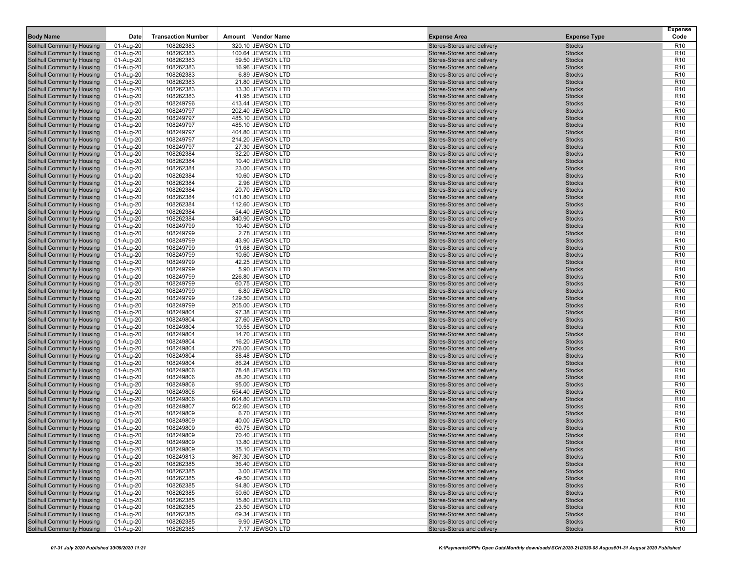| <b>Body Name</b>                                                | Date                   | <b>Transaction Number</b> | Amount Vendor Name                    | <b>Expense Area</b>                                      | <b>Expense Type</b>            | <b>Expense</b><br>Code             |
|-----------------------------------------------------------------|------------------------|---------------------------|---------------------------------------|----------------------------------------------------------|--------------------------------|------------------------------------|
| Solihull Community Housing                                      | 01-Aug-20              | 108262383                 | 320.10 JEWSON LTD                     | Stores-Stores and delivery                               | <b>Stocks</b>                  | R <sub>10</sub>                    |
| Solihull Community Housing                                      | 01-Aug-20              | 108262383                 | 100.64 JEWSON LTD                     | Stores-Stores and delivery                               | <b>Stocks</b>                  | R <sub>10</sub>                    |
| <b>Solihull Community Housing</b>                               | 01-Aug-20              | 108262383                 | 59.50 JEWSON LTD                      | Stores-Stores and delivery                               | <b>Stocks</b>                  | R <sub>10</sub>                    |
| <b>Solihull Community Housing</b>                               | 01-Aug-20              | 108262383                 | 16.96 JEWSON LTD                      | Stores-Stores and delivery                               | <b>Stocks</b>                  | R <sub>10</sub>                    |
| Solihull Community Housing                                      | 01-Aug-20              | 108262383                 | 6.89 JEWSON LTD                       | Stores-Stores and delivery                               | <b>Stocks</b>                  | R <sub>10</sub>                    |
| Solihull Community Housing                                      | 01-Aug-20              | 108262383                 | 21.80 JEWSON LTD                      | Stores-Stores and delivery                               | <b>Stocks</b>                  | R <sub>10</sub>                    |
| Solihull Community Housing                                      | 01-Aug-20              | 108262383                 | 13.30 JEWSON LTD                      | Stores-Stores and delivery                               | <b>Stocks</b>                  | R <sub>10</sub>                    |
| Solihull Community Housing                                      | 01-Aug-20              | 108262383                 | 41.95 JEWSON LTD                      | Stores-Stores and delivery                               | <b>Stocks</b>                  | R <sub>10</sub>                    |
| <b>Solihull Community Housing</b>                               | 01-Aug-20              | 108249796                 | 413.44 JEWSON LTD                     | Stores-Stores and delivery                               | <b>Stocks</b>                  | R <sub>10</sub>                    |
| Solihull Community Housing                                      | 01-Aug-20              | 108249797                 | 202.40 JEWSON LTD                     | Stores-Stores and delivery                               | <b>Stocks</b>                  | R <sub>10</sub>                    |
| <b>Solihull Community Housing</b>                               | 01-Aug-20              | 108249797                 | 485.10 JEWSON LTD                     | Stores-Stores and delivery                               | <b>Stocks</b>                  | R <sub>10</sub>                    |
| <b>Solihull Community Housing</b>                               | 01-Aug-20              | 108249797                 | 485.10 JEWSON LTD                     | Stores-Stores and delivery                               | <b>Stocks</b>                  | R <sub>10</sub>                    |
| Solihull Community Housing                                      | 01-Aug-20              | 108249797                 | 404.80 JEWSON LTD                     | Stores-Stores and delivery                               | <b>Stocks</b>                  | R <sub>10</sub>                    |
| Solihull Community Housing                                      | 01-Aug-20              | 108249797                 | 214.20 JEWSON LTD                     | Stores-Stores and delivery                               | <b>Stocks</b>                  | R <sub>10</sub>                    |
| Solihull Community Housing                                      | 01-Aug-20              | 108249797                 | 27.30 JEWSON LTD                      | Stores-Stores and delivery                               | <b>Stocks</b>                  | R <sub>10</sub>                    |
| Solihull Community Housing                                      | 01-Aug-20              | 108262384                 | 32.20 JEWSON LTD                      | Stores-Stores and delivery                               | <b>Stocks</b>                  | R <sub>10</sub>                    |
| Solihull Community Housing                                      | 01-Aug-20              | 108262384                 | 10.40 JEWSON LTD                      | Stores-Stores and delivery                               | <b>Stocks</b>                  | R <sub>10</sub>                    |
| Solihull Community Housing                                      | 01-Aug-20              | 108262384                 | 23.00 JEWSON LTD                      | Stores-Stores and delivery                               | <b>Stocks</b>                  | R <sub>10</sub>                    |
| <b>Solihull Community Housing</b>                               | 01-Aug-20              | 108262384                 | 10.60 JEWSON LTD                      | Stores-Stores and delivery                               | <b>Stocks</b>                  | R <sub>10</sub>                    |
| Solihull Community Housing                                      | 01-Aug-20              | 108262384                 | 2.96 JEWSON LTD                       | Stores-Stores and delivery                               | <b>Stocks</b>                  | R <sub>10</sub>                    |
| <b>Solihull Community Housing</b>                               | 01-Aug-20              | 108262384                 | 20.70 JEWSON LTD                      | Stores-Stores and delivery                               | <b>Stocks</b>                  | R <sub>10</sub>                    |
| <b>Solihull Community Housing</b>                               | 01-Aug-20              | 108262384                 | 101.80 JEWSON LTD                     | Stores-Stores and delivery                               | <b>Stocks</b>                  | R <sub>10</sub>                    |
| Solihull Community Housing                                      | 01-Aug-20              | 108262384                 | 112.60 JEWSON LTD                     | Stores-Stores and delivery                               | <b>Stocks</b>                  | R <sub>10</sub>                    |
| <b>Solihull Community Housing</b>                               | 01-Aug-20              | 108262384                 | 54.40 JEWSON LTD                      | Stores-Stores and delivery                               | <b>Stocks</b>                  | R <sub>10</sub>                    |
| Solihull Community Housing                                      | 01-Aug-20              | 108262384                 | 340.90 JEWSON LTD                     | Stores-Stores and delivery                               | <b>Stocks</b>                  | R <sub>10</sub>                    |
| Solihull Community Housing                                      | 01-Aug-20              | 108249799                 | 10.40 JEWSON LTD                      | Stores-Stores and delivery                               | <b>Stocks</b>                  | R <sub>10</sub>                    |
| <b>Solihull Community Housing</b>                               | 01-Aug-20              | 108249799                 | 2.78 JEWSON LTD                       | Stores-Stores and delivery                               | <b>Stocks</b>                  | R <sub>10</sub>                    |
| Solihull Community Housing                                      | 01-Aug-20              | 108249799                 | 43.90 JEWSON LTD                      | Stores-Stores and delivery                               | <b>Stocks</b>                  | R <sub>10</sub>                    |
| <b>Solihull Community Housing</b>                               | 01-Aug-20              | 108249799                 | 91.68 JEWSON LTD                      | Stores-Stores and delivery                               | <b>Stocks</b>                  | R <sub>10</sub>                    |
| Solihull Community Housing                                      | 01-Aug-20              | 108249799                 | 10.60 JEWSON LTD                      | Stores-Stores and delivery                               | <b>Stocks</b>                  | R <sub>10</sub>                    |
| <b>Solihull Community Housing</b>                               | 01-Aug-20              | 108249799                 | 42.25 JEWSON LTD                      | Stores-Stores and delivery                               | <b>Stocks</b>                  | R <sub>10</sub>                    |
| <b>Solihull Community Housing</b>                               | 01-Aug-20              | 108249799                 | 5.90 JEWSON LTD                       | Stores-Stores and delivery                               | <b>Stocks</b>                  | R <sub>10</sub>                    |
| Solihull Community Housing                                      | 01-Aug-20              | 108249799                 | 226.80 JEWSON LTD                     | Stores-Stores and delivery                               | <b>Stocks</b>                  | R <sub>10</sub>                    |
| <b>Solihull Community Housing</b>                               | 01-Aug-20              | 108249799                 | 60.75 JEWSON LTD                      | Stores-Stores and delivery                               | <b>Stocks</b>                  | R <sub>10</sub>                    |
| Solihull Community Housing                                      | 01-Aug-20              | 108249799                 | 6.80 JEWSON LTD                       | Stores-Stores and delivery                               | <b>Stocks</b>                  | R <sub>10</sub>                    |
| Solihull Community Housing                                      | 01-Aug-20              | 108249799                 | 129.50 JEWSON LTD                     | Stores-Stores and delivery                               | <b>Stocks</b>                  | R <sub>10</sub>                    |
| Solihull Community Housing                                      | 01-Aug-20              | 108249799                 | 205.00 JEWSON LTD<br>97.38 JEWSON LTD | Stores-Stores and delivery<br>Stores-Stores and delivery | <b>Stocks</b><br><b>Stocks</b> | R <sub>10</sub><br>R <sub>10</sub> |
| Solihull Community Housing                                      | 01-Aug-20              | 108249804<br>108249804    |                                       | Stores-Stores and delivery                               | <b>Stocks</b>                  | R <sub>10</sub>                    |
| <b>Solihull Community Housing</b><br>Solihull Community Housing | 01-Aug-20              | 108249804                 | 27.60 JEWSON LTD<br>10.55 JEWSON LTD  | Stores-Stores and delivery                               | <b>Stocks</b>                  | R <sub>10</sub>                    |
| Solihull Community Housing                                      | 01-Aug-20<br>01-Aug-20 | 108249804                 | 14.70 JEWSON LTD                      | Stores-Stores and delivery                               | <b>Stocks</b>                  | R <sub>10</sub>                    |
| Solihull Community Housing                                      | 01-Aug-20              | 108249804                 | 16.20 JEWSON LTD                      | Stores-Stores and delivery                               | <b>Stocks</b>                  | R <sub>10</sub>                    |
| Solihull Community Housing                                      | 01-Aug-20              | 108249804                 | 276.00 JEWSON LTD                     | Stores-Stores and delivery                               | <b>Stocks</b>                  | R <sub>10</sub>                    |
| <b>Solihull Community Housing</b>                               | 01-Aug-20              | 108249804                 | 88.48 JEWSON LTD                      | Stores-Stores and delivery                               | <b>Stocks</b>                  | R <sub>10</sub>                    |
| Solihull Community Housing                                      | 01-Aug-20              | 108249804                 | 86.24 JEWSON LTD                      | Stores-Stores and delivery                               | <b>Stocks</b>                  | R <sub>10</sub>                    |
| Solihull Community Housing                                      | 01-Aug-20              | 108249806                 | 78.48 JEWSON LTD                      | Stores-Stores and delivery                               | <b>Stocks</b>                  | R <sub>10</sub>                    |
| <b>Solihull Community Housing</b>                               | 01-Aug-20              | 108249806                 | 88.20 JEWSON LTD                      | Stores-Stores and delivery                               | <b>Stocks</b>                  | R <sub>10</sub>                    |
| Solihull Community Housing                                      | 01-Aug-20              | 108249806                 | 95.00 JEWSON LTD                      | Stores-Stores and delivery                               | <b>Stocks</b>                  | R <sub>10</sub>                    |
| <b>Solihull Community Housing</b>                               | 01-Aug-20              | 108249806                 | 554.40 JEWSON LTD                     | Stores-Stores and delivery                               | <b>Stocks</b>                  | R <sub>10</sub>                    |
| Solihull Community Housing                                      | 01-Aug-20              | 108249806                 | 604.80 JEWSON LTD                     | Stores-Stores and delivery                               | <b>Stocks</b>                  | R <sub>10</sub>                    |
| <b>Solihull Community Housing</b>                               | 01-Aug-20              | 108249807                 | 502.60 JEWSON LTD                     | Stores-Stores and delivery                               | <b>Stocks</b>                  | R <sub>10</sub>                    |
| <b>Solihull Community Housing</b>                               | 01-Aug-20              | 108249809                 | 6.70 JEWSON LTD                       | Stores-Stores and delivery                               | <b>Stocks</b>                  | R <sub>10</sub>                    |
| <b>Solihull Community Housing</b>                               | 01-Aug-20              | 108249809                 | 40.00 JEWSON LTD                      | Stores-Stores and delivery                               | <b>Stocks</b>                  | R <sub>10</sub>                    |
| <b>Solihull Community Housing</b>                               | 01-Aug-20              | 108249809                 | 60.75 JEWSON LTD                      | Stores-Stores and delivery                               | <b>Stocks</b>                  | R <sub>10</sub>                    |
| <b>Solihull Community Housing</b>                               | 01-Aug-20              | 108249809                 | 70.40 JEWSON LTD                      | Stores-Stores and delivery                               | <b>Stocks</b>                  | R <sub>10</sub>                    |
| Solihull Community Housing                                      | 01-Aug-20              | 108249809                 | 13.80 JEWSON LTD                      | Stores-Stores and delivery                               | <b>Stocks</b>                  | R <sub>10</sub>                    |
| Solihull Community Housing                                      | 01-Aug-20              | 108249809                 | 35.10 JEWSON LTD                      | Stores-Stores and delivery                               | <b>Stocks</b>                  | R <sub>10</sub>                    |
| Solihull Community Housing                                      | 01-Aug-20              | 108249813                 | 367.30 JEWSON LTD                     | Stores-Stores and delivery                               | <b>Stocks</b>                  | R <sub>10</sub>                    |
| Solihull Community Housing                                      | 01-Aug-20              | 108262385                 | 36.40 JEWSON LTD                      | Stores-Stores and delivery                               | <b>Stocks</b>                  | R <sub>10</sub>                    |
| Solihull Community Housing                                      | 01-Aug-20              | 108262385                 | 3.00 JEWSON LTD                       | Stores-Stores and delivery                               | <b>Stocks</b>                  | R <sub>10</sub>                    |
| Solihull Community Housing                                      | 01-Aug-20              | 108262385                 | 49.50 JEWSON LTD                      | Stores-Stores and delivery                               | <b>Stocks</b>                  | R <sub>10</sub>                    |
| <b>Solihull Community Housing</b>                               | 01-Aug-20              | 108262385                 | 94.80 JEWSON LTD                      | Stores-Stores and delivery                               | <b>Stocks</b>                  | R <sub>10</sub>                    |
| <b>Solihull Community Housing</b>                               | 01-Aug-20              | 108262385                 | 50.60 JEWSON LTD                      | Stores-Stores and delivery                               | <b>Stocks</b>                  | R <sub>10</sub>                    |
| <b>Solihull Community Housing</b>                               | 01-Aug-20              | 108262385                 | 15.80 JEWSON LTD                      | Stores-Stores and delivery                               | <b>Stocks</b>                  | R <sub>10</sub>                    |
| Solihull Community Housing                                      | 01-Aug-20              | 108262385                 | 23.50 JEWSON LTD                      | Stores-Stores and delivery                               | <b>Stocks</b>                  | R <sub>10</sub>                    |
| <b>Solihull Community Housing</b>                               | 01-Aug-20              | 108262385                 | 69.34 JEWSON LTD                      | Stores-Stores and delivery                               | <b>Stocks</b>                  | R <sub>10</sub>                    |
| Solihull Community Housing                                      | 01-Aug-20              | 108262385                 | 9.90 JEWSON LTD                       | Stores-Stores and delivery                               | <b>Stocks</b>                  | R <sub>10</sub>                    |
| Solihull Community Housing                                      | 01-Aug-20              | 108262385                 | 7.17 JEWSON LTD                       | Stores-Stores and delivery                               | <b>Stocks</b>                  | R <sub>10</sub>                    |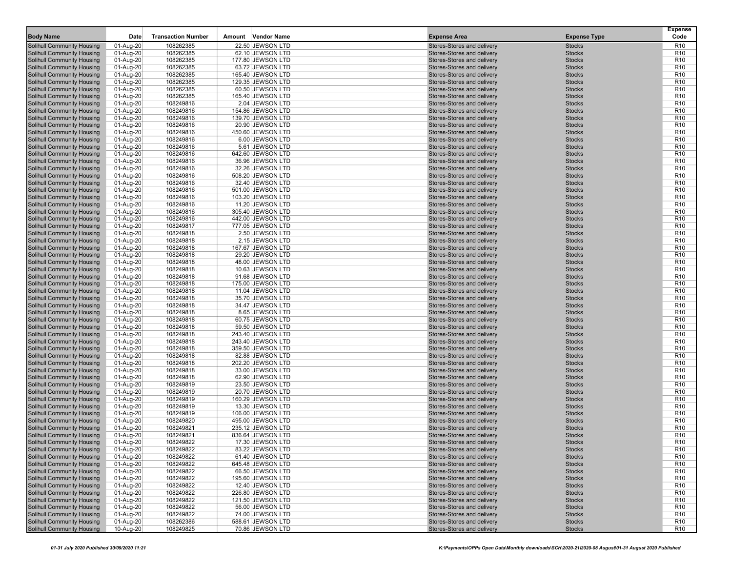| <b>Body Name</b>                                                | Date                   | <b>Transaction Number</b> | Amount Vendor Name                     | <b>Expense Area</b>                                      | <b>Expense Type</b>            | <b>Expense</b><br>Code             |
|-----------------------------------------------------------------|------------------------|---------------------------|----------------------------------------|----------------------------------------------------------|--------------------------------|------------------------------------|
| Solihull Community Housing                                      | 01-Aug-20              | 108262385                 | 22.50 JEWSON LTD                       | Stores-Stores and delivery                               | <b>Stocks</b>                  | R <sub>10</sub>                    |
| Solihull Community Housing                                      | 01-Aug-20              | 108262385                 | 62.10 JEWSON LTD                       | Stores-Stores and delivery                               | <b>Stocks</b>                  | R <sub>10</sub>                    |
| <b>Solihull Community Housing</b>                               | 01-Aug-20              | 108262385                 | 177.80 JEWSON LTD                      | Stores-Stores and delivery                               | <b>Stocks</b>                  | R <sub>10</sub>                    |
| <b>Solihull Community Housing</b>                               | 01-Aug-20              | 108262385                 | 63.72 JEWSON LTD                       | Stores-Stores and delivery                               | <b>Stocks</b>                  | R <sub>10</sub>                    |
| Solihull Community Housing                                      | 01-Aug-20              | 108262385                 | 165.40 JEWSON LTD                      | Stores-Stores and delivery                               | <b>Stocks</b>                  | R <sub>10</sub>                    |
| Solihull Community Housing                                      | 01-Aug-20              | 108262385                 | 129.35 JEWSON LTD                      | Stores-Stores and delivery                               | <b>Stocks</b>                  | R <sub>10</sub>                    |
| Solihull Community Housing                                      | 01-Aug-20              | 108262385                 | 60.50 JEWSON LTD                       | Stores-Stores and delivery                               | <b>Stocks</b>                  | R <sub>10</sub>                    |
| Solihull Community Housing                                      | 01-Aug-20              | 108262385                 | 165.40 JEWSON LTD                      | Stores-Stores and delivery                               | <b>Stocks</b>                  | R <sub>10</sub>                    |
| <b>Solihull Community Housing</b>                               | 01-Aug-20              | 108249816                 | 2.04 JEWSON LTD                        | Stores-Stores and delivery                               | <b>Stocks</b>                  | R <sub>10</sub>                    |
| Solihull Community Housing                                      | 01-Aug-20              | 108249816                 | 154.86 JEWSON LTD                      | Stores-Stores and delivery                               | <b>Stocks</b>                  | R <sub>10</sub>                    |
| <b>Solihull Community Housing</b>                               | 01-Aug-20              | 108249816                 | 139.70 JEWSON LTD                      | Stores-Stores and delivery                               | <b>Stocks</b>                  | R <sub>10</sub>                    |
| <b>Solihull Community Housing</b>                               | 01-Aug-20              | 108249816                 | 20.90 JEWSON LTD                       | Stores-Stores and delivery                               | <b>Stocks</b>                  | R <sub>10</sub>                    |
| Solihull Community Housing                                      | 01-Aug-20              | 108249816                 | 450.60 JEWSON LTD                      | Stores-Stores and delivery                               | <b>Stocks</b>                  | R <sub>10</sub>                    |
| Solihull Community Housing                                      | 01-Aug-20              | 108249816                 | 6.00 JEWSON LTD                        | Stores-Stores and delivery                               | <b>Stocks</b>                  | R <sub>10</sub>                    |
| Solihull Community Housing                                      | 01-Aug-20              | 108249816                 | 5.61 JEWSON LTD                        | Stores-Stores and delivery                               | <b>Stocks</b>                  | R <sub>10</sub>                    |
| Solihull Community Housing                                      | 01-Aug-20              | 108249816                 | 642.60 JEWSON LTD                      | Stores-Stores and delivery                               | <b>Stocks</b>                  | R <sub>10</sub>                    |
| Solihull Community Housing                                      | 01-Aug-20              | 108249816                 | 36.96 JEWSON LTD                       | Stores-Stores and delivery                               | <b>Stocks</b>                  | R <sub>10</sub>                    |
| Solihull Community Housing                                      | 01-Aug-20              | 108249816                 | 32.26 JEWSON LTD                       | Stores-Stores and delivery                               | <b>Stocks</b>                  | R <sub>10</sub>                    |
| <b>Solihull Community Housing</b>                               | 01-Aug-20              | 108249816                 | 508.20 JEWSON LTD                      | Stores-Stores and delivery                               | <b>Stocks</b>                  | R <sub>10</sub>                    |
| Solihull Community Housing                                      | 01-Aug-20              | 108249816                 | 32.40 JEWSON LTD                       | Stores-Stores and delivery                               | <b>Stocks</b>                  | R <sub>10</sub>                    |
| <b>Solihull Community Housing</b>                               | 01-Aug-20              | 108249816                 | 501.00 JEWSON LTD                      | Stores-Stores and delivery                               | <b>Stocks</b>                  | R <sub>10</sub>                    |
| <b>Solihull Community Housing</b>                               | 01-Aug-20              | 108249816                 | 103.20 JEWSON LTD                      | Stores-Stores and delivery                               | <b>Stocks</b>                  | R <sub>10</sub>                    |
| Solihull Community Housing                                      | 01-Aug-20              | 108249816                 | 11.20 JEWSON LTD                       | Stores-Stores and delivery                               | <b>Stocks</b>                  | R <sub>10</sub>                    |
| <b>Solihull Community Housing</b>                               | 01-Aug-20              | 108249816                 | 305.40 JEWSON LTD                      | Stores-Stores and delivery                               | <b>Stocks</b>                  | R <sub>10</sub>                    |
| Solihull Community Housing                                      | 01-Aug-20              | 108249816                 | 442.00 JEWSON LTD                      | Stores-Stores and delivery                               | <b>Stocks</b>                  | R <sub>10</sub>                    |
| Solihull Community Housing                                      | 01-Aug-20              | 108249817                 | 777.05 JEWSON LTD                      | Stores-Stores and delivery                               | <b>Stocks</b>                  | R <sub>10</sub>                    |
| <b>Solihull Community Housing</b>                               | 01-Aug-20              | 108249818                 | 2.50 JEWSON LTD                        | Stores-Stores and delivery                               | <b>Stocks</b>                  | R <sub>10</sub>                    |
| Solihull Community Housing                                      | 01-Aug-20              | 108249818                 | 2.15 JEWSON LTD                        | Stores-Stores and delivery                               | <b>Stocks</b>                  | R <sub>10</sub>                    |
| <b>Solihull Community Housing</b>                               | 01-Aug-20              | 108249818                 | 167.67 JEWSON LTD                      | Stores-Stores and delivery                               | <b>Stocks</b>                  | R <sub>10</sub>                    |
| Solihull Community Housing                                      | 01-Aug-20              | 108249818                 | 29.20 JEWSON LTD                       | Stores-Stores and delivery                               | <b>Stocks</b>                  | R <sub>10</sub>                    |
| <b>Solihull Community Housing</b>                               | 01-Aug-20              | 108249818                 | 48.00 JEWSON LTD                       | Stores-Stores and delivery                               | <b>Stocks</b>                  | R <sub>10</sub>                    |
| <b>Solihull Community Housing</b>                               | 01-Aug-20              | 108249818                 | 10.63 JEWSON LTD                       | Stores-Stores and delivery                               | <b>Stocks</b>                  | R <sub>10</sub>                    |
| Solihull Community Housing                                      | 01-Aug-20              | 108249818                 | 91.68 JEWSON LTD                       | Stores-Stores and delivery                               | <b>Stocks</b>                  | R <sub>10</sub>                    |
| <b>Solihull Community Housing</b>                               | 01-Aug-20              | 108249818                 | 175.00 JEWSON LTD                      | Stores-Stores and delivery                               | <b>Stocks</b>                  | R <sub>10</sub>                    |
| Solihull Community Housing                                      | 01-Aug-20              | 108249818                 | 11.04 JEWSON LTD                       | Stores-Stores and delivery                               | <b>Stocks</b>                  | R <sub>10</sub>                    |
| Solihull Community Housing                                      | 01-Aug-20              | 108249818                 | 35.70 JEWSON LTD                       | Stores-Stores and delivery                               | <b>Stocks</b>                  | R <sub>10</sub>                    |
| Solihull Community Housing                                      | 01-Aug-20              | 108249818                 | 34.47 JEWSON LTD                       | Stores-Stores and delivery                               | <b>Stocks</b>                  | R <sub>10</sub>                    |
| Solihull Community Housing                                      | 01-Aug-20              | 108249818                 | 8.65 JEWSON LTD                        | Stores-Stores and delivery                               | <b>Stocks</b>                  | R <sub>10</sub>                    |
| <b>Solihull Community Housing</b>                               | 01-Aug-20              | 108249818                 | 60.75 JEWSON LTD                       | Stores-Stores and delivery                               | <b>Stocks</b>                  | R <sub>10</sub>                    |
| Solihull Community Housing                                      | 01-Aug-20              | 108249818                 | 59.50 JEWSON LTD                       | Stores-Stores and delivery                               | <b>Stocks</b>                  | R <sub>10</sub>                    |
| Solihull Community Housing                                      | 01-Aug-20              | 108249818                 | 243.40 JEWSON LTD                      | Stores-Stores and delivery                               | <b>Stocks</b>                  | R <sub>10</sub>                    |
| Solihull Community Housing                                      | 01-Aug-20              | 108249818                 | 243.40 JEWSON LTD<br>359.50 JEWSON LTD | Stores-Stores and delivery<br>Stores-Stores and delivery | <b>Stocks</b><br><b>Stocks</b> | R <sub>10</sub><br>R <sub>10</sub> |
| Solihull Community Housing<br><b>Solihull Community Housing</b> | 01-Aug-20              | 108249818                 | 82.88 JEWSON LTD                       | Stores-Stores and delivery                               | <b>Stocks</b>                  | R <sub>10</sub>                    |
| Solihull Community Housing                                      | 01-Aug-20              | 108249818<br>108249818    | 202.20 JEWSON LTD                      | Stores-Stores and delivery                               | <b>Stocks</b>                  | R <sub>10</sub>                    |
| Solihull Community Housing                                      | 01-Aug-20              | 108249818                 | 33.00 JEWSON LTD                       | Stores-Stores and delivery                               | <b>Stocks</b>                  | R <sub>10</sub>                    |
| <b>Solihull Community Housing</b>                               | 01-Aug-20              | 108249818                 | 62.90 JEWSON LTD                       | Stores-Stores and delivery                               | <b>Stocks</b>                  | R <sub>10</sub>                    |
| Solihull Community Housing                                      | 01-Aug-20<br>01-Aug-20 | 108249819                 | 23.50 JEWSON LTD                       | Stores-Stores and delivery                               | <b>Stocks</b>                  | R <sub>10</sub>                    |
| <b>Solihull Community Housing</b>                               | 01-Aug-20              | 108249819                 | 20.70 JEWSON LTD                       | Stores-Stores and delivery                               | <b>Stocks</b>                  | R <sub>10</sub>                    |
| Solihull Community Housing                                      | 01-Aug-20              | 108249819                 | 160.29 JEWSON LTD                      | Stores-Stores and delivery                               | <b>Stocks</b>                  | R <sub>10</sub>                    |
| <b>Solihull Community Housing</b>                               | 01-Aug-20              | 108249819                 | 13.30 JEWSON LTD                       | Stores-Stores and delivery                               | <b>Stocks</b>                  | R <sub>10</sub>                    |
| <b>Solihull Community Housing</b>                               | 01-Aug-20              | 108249819                 | 106.00 JEWSON LTD                      | Stores-Stores and delivery                               | <b>Stocks</b>                  | R <sub>10</sub>                    |
| <b>Solihull Community Housing</b>                               | 01-Aug-20              | 108249820                 | 495.00 JEWSON LTD                      | Stores-Stores and delivery                               | <b>Stocks</b>                  | R <sub>10</sub>                    |
| <b>Solihull Community Housing</b>                               | 01-Aug-20              | 108249821                 | 235.12 JEWSON LTD                      | Stores-Stores and delivery                               | <b>Stocks</b>                  | R <sub>10</sub>                    |
| <b>Solihull Community Housing</b>                               | 01-Aug-20              | 108249821                 | 836.64 JEWSON LTD                      | Stores-Stores and delivery                               | <b>Stocks</b>                  | R <sub>10</sub>                    |
| Solihull Community Housing                                      | 01-Aug-20              | 108249822                 | 17.30 JEWSON LTD                       | Stores-Stores and delivery                               | <b>Stocks</b>                  | R <sub>10</sub>                    |
| Solihull Community Housing                                      | 01-Aug-20              | 108249822                 | 83.22 JEWSON LTD                       | Stores-Stores and delivery                               | <b>Stocks</b>                  | R <sub>10</sub>                    |
| Solihull Community Housing                                      | 01-Aug-20              | 108249822                 | 61.40 JEWSON LTD                       | Stores-Stores and delivery                               | <b>Stocks</b>                  | R <sub>10</sub>                    |
| Solihull Community Housing                                      | 01-Aug-20              | 108249822                 | 645.48 JEWSON LTD                      | Stores-Stores and delivery                               | <b>Stocks</b>                  | R <sub>10</sub>                    |
| Solihull Community Housing                                      | 01-Aug-20              | 108249822                 | 66.50 JEWSON LTD                       | Stores-Stores and delivery                               | <b>Stocks</b>                  | R <sub>10</sub>                    |
| Solihull Community Housing                                      | 01-Aug-20              | 108249822                 | 195.60 JEWSON LTD                      | Stores-Stores and delivery                               | <b>Stocks</b>                  | R <sub>10</sub>                    |
| <b>Solihull Community Housing</b>                               | 01-Aug-20              | 108249822                 | 12.40 JEWSON LTD                       | Stores-Stores and delivery                               | <b>Stocks</b>                  | R <sub>10</sub>                    |
| <b>Solihull Community Housing</b>                               | 01-Aug-20              | 108249822                 | 226.80 JEWSON LTD                      | Stores-Stores and delivery                               | <b>Stocks</b>                  | R <sub>10</sub>                    |
| <b>Solihull Community Housing</b>                               | 01-Aug-20              | 108249822                 | 121.50 JEWSON LTD                      | Stores-Stores and delivery                               | <b>Stocks</b>                  | R <sub>10</sub>                    |
| Solihull Community Housing                                      | 01-Aug-20              | 108249822                 | 56.00 JEWSON LTD                       | Stores-Stores and delivery                               | <b>Stocks</b>                  | R <sub>10</sub>                    |
| <b>Solihull Community Housing</b>                               | 01-Aug-20              | 108249822                 | 74.00 JEWSON LTD                       | Stores-Stores and delivery                               | <b>Stocks</b>                  | R <sub>10</sub>                    |
| Solihull Community Housing                                      | 01-Aug-20              | 108262386                 | 588.61 JEWSON LTD                      | Stores-Stores and delivery                               | <b>Stocks</b>                  | R <sub>10</sub>                    |
| Solihull Community Housing                                      | 10-Aug-20              | 108249825                 | 70.86 JEWSON LTD                       | Stores-Stores and delivery                               | <b>Stocks</b>                  | R <sub>10</sub>                    |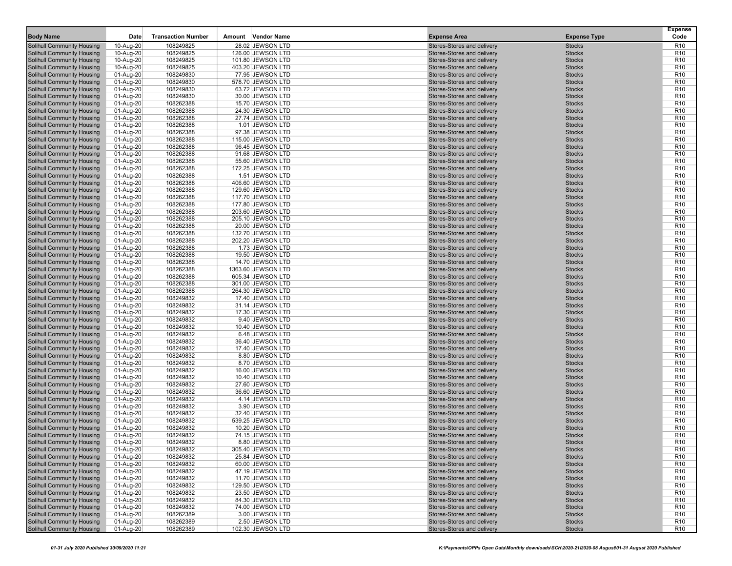| <b>Body Name</b>                                                | Date                   | <b>Transaction Number</b> | Amount Vendor Name                  | <b>Expense Area</b>                                      | <b>Expense Type</b>            | <b>Expense</b><br>Code             |
|-----------------------------------------------------------------|------------------------|---------------------------|-------------------------------------|----------------------------------------------------------|--------------------------------|------------------------------------|
| Solihull Community Housing                                      | 10-Aug-20              | 108249825                 | 28.02 JEWSON LTD                    | Stores-Stores and delivery                               | <b>Stocks</b>                  | R <sub>10</sub>                    |
| Solihull Community Housing                                      | 10-Aug-20              | 108249825                 | 126.00 JEWSON LTD                   | Stores-Stores and delivery                               | <b>Stocks</b>                  | R <sub>10</sub>                    |
| <b>Solihull Community Housing</b>                               | 10-Aug-20              | 108249825                 | 101.80 JEWSON LTD                   | Stores-Stores and delivery                               | <b>Stocks</b>                  | R <sub>10</sub>                    |
| <b>Solihull Community Housing</b>                               | 10-Aug-20              | 108249825                 | 403.20 JEWSON LTD                   | Stores-Stores and delivery                               | <b>Stocks</b>                  | R <sub>10</sub>                    |
| Solihull Community Housing                                      | 01-Aug-20              | 108249830                 | 77.95 JEWSON LTD                    | Stores-Stores and delivery                               | <b>Stocks</b>                  | R <sub>10</sub>                    |
| Solihull Community Housing                                      | 01-Aug-20              | 108249830                 | 578.70 JEWSON LTD                   | Stores-Stores and delivery                               | <b>Stocks</b>                  | R <sub>10</sub>                    |
| Solihull Community Housing                                      | 01-Aug-20              | 108249830                 | 63.72 JEWSON LTD                    | Stores-Stores and delivery                               | <b>Stocks</b>                  | R <sub>10</sub>                    |
| Solihull Community Housing                                      | 01-Aug-20              | 108249830                 | 30.00 JEWSON LTD                    | Stores-Stores and delivery                               | <b>Stocks</b>                  | R <sub>10</sub>                    |
| <b>Solihull Community Housing</b>                               | 01-Aug-20              | 108262388                 | 15.70 JEWSON LTD                    | Stores-Stores and delivery                               | <b>Stocks</b>                  | R <sub>10</sub>                    |
| Solihull Community Housing                                      | 01-Aug-20              | 108262388                 | 24.30 JEWSON LTD                    | Stores-Stores and delivery                               | <b>Stocks</b>                  | R <sub>10</sub>                    |
| <b>Solihull Community Housing</b>                               | 01-Aug-20              | 108262388                 | 27.74 JEWSON LTD                    | Stores-Stores and delivery                               | <b>Stocks</b>                  | R <sub>10</sub>                    |
| <b>Solihull Community Housing</b>                               | 01-Aug-20              | 108262388                 | 1.01 JEWSON LTD                     | Stores-Stores and delivery                               | <b>Stocks</b>                  | R <sub>10</sub>                    |
| Solihull Community Housing                                      | 01-Aug-20              | 108262388                 | 97.38 JEWSON LTD                    | Stores-Stores and delivery                               | <b>Stocks</b>                  | R <sub>10</sub>                    |
| Solihull Community Housing                                      | 01-Aug-20              | 108262388                 | 115.00 JEWSON LTD                   | Stores-Stores and delivery                               | <b>Stocks</b>                  | R <sub>10</sub>                    |
| Solihull Community Housing                                      | 01-Aug-20              | 108262388                 | 96.45 JEWSON LTD                    | Stores-Stores and delivery                               | <b>Stocks</b>                  | R <sub>10</sub>                    |
| Solihull Community Housing                                      | 01-Aug-20              | 108262388                 | 91.68 JEWSON LTD                    | Stores-Stores and delivery                               | <b>Stocks</b>                  | R <sub>10</sub>                    |
| Solihull Community Housing                                      | 01-Aug-20              | 108262388                 | 55.60 JEWSON LTD                    | Stores-Stores and delivery                               | <b>Stocks</b>                  | R <sub>10</sub>                    |
| Solihull Community Housing                                      | 01-Aug-20              | 108262388                 | 172.25 JEWSON LTD                   | Stores-Stores and delivery                               | <b>Stocks</b>                  | R <sub>10</sub>                    |
| <b>Solihull Community Housing</b>                               | 01-Aug-20              | 108262388                 | 1.51 JEWSON LTD                     | Stores-Stores and delivery                               | <b>Stocks</b>                  | R <sub>10</sub>                    |
| Solihull Community Housing                                      | 01-Aug-20              | 108262388                 | 406.60 JEWSON LTD                   | Stores-Stores and delivery                               | <b>Stocks</b>                  | R <sub>10</sub>                    |
| <b>Solihull Community Housing</b>                               | 01-Aug-20              | 108262388                 | 129.60 JEWSON LTD                   | Stores-Stores and delivery                               | <b>Stocks</b>                  | R <sub>10</sub>                    |
| <b>Solihull Community Housing</b>                               | 01-Aug-20              | 108262388                 | 117.70 JEWSON LTD                   | Stores-Stores and delivery                               | <b>Stocks</b>                  | R <sub>10</sub>                    |
| Solihull Community Housing                                      | 01-Aug-20              | 108262388                 | 177.80 JEWSON LTD                   | Stores-Stores and delivery                               | <b>Stocks</b>                  | R <sub>10</sub>                    |
| <b>Solihull Community Housing</b>                               | 01-Aug-20              | 108262388                 | 203.60 JEWSON LTD                   | Stores-Stores and delivery                               | <b>Stocks</b>                  | R <sub>10</sub>                    |
| Solihull Community Housing                                      | 01-Aug-20              | 108262388                 | 205.10 JEWSON LTD                   | Stores-Stores and delivery                               | <b>Stocks</b>                  | R <sub>10</sub>                    |
| Solihull Community Housing                                      | 01-Aug-20              | 108262388                 | 20.00 JEWSON LTD                    | Stores-Stores and delivery                               | <b>Stocks</b>                  | R <sub>10</sub>                    |
| <b>Solihull Community Housing</b>                               | 01-Aug-20              | 108262388                 | 132.70 JEWSON LTD                   | Stores-Stores and delivery                               | <b>Stocks</b>                  | R <sub>10</sub>                    |
| Solihull Community Housing                                      | 01-Aug-20              | 108262388                 | 202.20 JEWSON LTD                   | Stores-Stores and delivery                               | <b>Stocks</b>                  | R <sub>10</sub>                    |
| <b>Solihull Community Housing</b>                               | 01-Aug-20              | 108262388                 | 1.73 JEWSON LTD                     | Stores-Stores and delivery                               | <b>Stocks</b>                  | R <sub>10</sub>                    |
| Solihull Community Housing                                      | 01-Aug-20              | 108262388                 | 19.50 JEWSON LTD                    | Stores-Stores and delivery                               | <b>Stocks</b>                  | R <sub>10</sub>                    |
| <b>Solihull Community Housing</b>                               | 01-Aug-20              | 108262388                 | 14.70 JEWSON LTD                    | Stores-Stores and delivery                               | <b>Stocks</b>                  | R <sub>10</sub>                    |
| <b>Solihull Community Housing</b>                               | 01-Aug-20              | 108262388                 | 1363.60 JEWSON LTD                  | Stores-Stores and delivery                               | <b>Stocks</b>                  | R <sub>10</sub>                    |
| Solihull Community Housing                                      | 01-Aug-20              | 108262388                 | 605.34 JEWSON LTD                   | Stores-Stores and delivery                               | <b>Stocks</b>                  | R <sub>10</sub>                    |
| <b>Solihull Community Housing</b>                               | 01-Aug-20              | 108262388                 | 301.00 JEWSON LTD                   | Stores-Stores and delivery                               | <b>Stocks</b>                  | R <sub>10</sub>                    |
| Solihull Community Housing                                      | 01-Aug-20              | 108262388                 | 264.30 JEWSON LTD                   | Stores-Stores and delivery                               | <b>Stocks</b>                  | R <sub>10</sub>                    |
| Solihull Community Housing                                      | 01-Aug-20              | 108249832                 | 17.40 JEWSON LTD                    | Stores-Stores and delivery                               | <b>Stocks</b>                  | R <sub>10</sub>                    |
| Solihull Community Housing                                      | 01-Aug-20              | 108249832                 | 31.14 JEWSON LTD                    | Stores-Stores and delivery<br>Stores-Stores and delivery | <b>Stocks</b><br><b>Stocks</b> | R <sub>10</sub><br>R <sub>10</sub> |
| Solihull Community Housing                                      | 01-Aug-20              | 108249832<br>108249832    | 17.30 JEWSON LTD                    | Stores-Stores and delivery                               | <b>Stocks</b>                  | R <sub>10</sub>                    |
| <b>Solihull Community Housing</b><br>Solihull Community Housing | 01-Aug-20              | 108249832                 | 9.40 JEWSON LTD<br>10.40 JEWSON LTD | Stores-Stores and delivery                               | <b>Stocks</b>                  | R <sub>10</sub>                    |
| Solihull Community Housing                                      | 01-Aug-20<br>01-Aug-20 | 108249832                 | 6.48 JEWSON LTD                     | Stores-Stores and delivery                               | <b>Stocks</b>                  | R <sub>10</sub>                    |
| Solihull Community Housing                                      | 01-Aug-20              | 108249832                 | 36.40 JEWSON LTD                    | Stores-Stores and delivery                               | <b>Stocks</b>                  | R <sub>10</sub>                    |
| Solihull Community Housing                                      | 01-Aug-20              | 108249832                 | 17.40 JEWSON LTD                    | Stores-Stores and delivery                               | <b>Stocks</b>                  | R <sub>10</sub>                    |
| <b>Solihull Community Housing</b>                               | 01-Aug-20              | 108249832                 | 8.80 JEWSON LTD                     | Stores-Stores and delivery                               | <b>Stocks</b>                  | R <sub>10</sub>                    |
| Solihull Community Housing                                      | 01-Aug-20              | 108249832                 | 8.70 JEWSON LTD                     | Stores-Stores and delivery                               | <b>Stocks</b>                  | R <sub>10</sub>                    |
| Solihull Community Housing                                      | 01-Aug-20              | 108249832                 | 16.00 JEWSON LTD                    | Stores-Stores and delivery                               | <b>Stocks</b>                  | R <sub>10</sub>                    |
| <b>Solihull Community Housing</b>                               | 01-Aug-20              | 108249832                 | 10.40 JEWSON LTD                    | Stores-Stores and delivery                               | <b>Stocks</b>                  | R <sub>10</sub>                    |
| Solihull Community Housing                                      | 01-Aug-20              | 108249832                 | 27.60 JEWSON LTD                    | Stores-Stores and delivery                               | <b>Stocks</b>                  | R <sub>10</sub>                    |
| <b>Solihull Community Housing</b>                               | 01-Aug-20              | 108249832                 | 36.60 JEWSON LTD                    | Stores-Stores and delivery                               | <b>Stocks</b>                  | R <sub>10</sub>                    |
| Solihull Community Housing                                      | 01-Aug-20              | 108249832                 | 4.14 JEWSON LTD                     | Stores-Stores and delivery                               | <b>Stocks</b>                  | R <sub>10</sub>                    |
| <b>Solihull Community Housing</b>                               | 01-Aug-20              | 108249832                 | 3.90 JEWSON LTD                     | Stores-Stores and delivery                               | <b>Stocks</b>                  | R <sub>10</sub>                    |
| <b>Solihull Community Housing</b>                               | 01-Aug-20              | 108249832                 | 32.40 JEWSON LTD                    | Stores-Stores and delivery                               | <b>Stocks</b>                  | R <sub>10</sub>                    |
| Solihull Community Housing                                      | 01-Aug-20              | 108249832                 | 539.25 JEWSON LTD                   | Stores-Stores and delivery                               | <b>Stocks</b>                  | R <sub>10</sub>                    |
| <b>Solihull Community Housing</b>                               | 01-Aug-20              | 108249832                 | 10.20 JEWSON LTD                    | Stores-Stores and delivery                               | <b>Stocks</b>                  | R <sub>10</sub>                    |
| <b>Solihull Community Housing</b>                               | 01-Aug-20              | 108249832                 | 74.15 JEWSON LTD                    | Stores-Stores and delivery                               | <b>Stocks</b>                  | R <sub>10</sub>                    |
| Solihull Community Housing                                      | 01-Aug-20              | 108249832                 | 8.80 JEWSON LTD                     | Stores-Stores and delivery                               | <b>Stocks</b>                  | R <sub>10</sub>                    |
| Solihull Community Housing                                      | 01-Aug-20              | 108249832                 | 305.40 JEWSON LTD                   | Stores-Stores and delivery                               | <b>Stocks</b>                  | R <sub>10</sub>                    |
| Solihull Community Housing                                      | 01-Aug-20              | 108249832                 | 25.84 JEWSON LTD                    | Stores-Stores and delivery                               | <b>Stocks</b>                  | R <sub>10</sub>                    |
| Solihull Community Housing                                      | 01-Aug-20              | 108249832                 | 60.00 JEWSON LTD                    | Stores-Stores and delivery                               | <b>Stocks</b>                  | R <sub>10</sub>                    |
| Solihull Community Housing                                      | 01-Aug-20              | 108249832                 | 47.19 JEWSON LTD                    | Stores-Stores and delivery                               | <b>Stocks</b>                  | R <sub>10</sub>                    |
| Solihull Community Housing                                      | 01-Aug-20              | 108249832                 | 11.70 JEWSON LTD                    | Stores-Stores and delivery                               | <b>Stocks</b>                  | R <sub>10</sub>                    |
| <b>Solihull Community Housing</b>                               | 01-Aug-20              | 108249832                 | 129.50 JEWSON LTD                   | Stores-Stores and delivery                               | <b>Stocks</b>                  | R <sub>10</sub>                    |
| <b>Solihull Community Housing</b>                               | 01-Aug-20              | 108249832                 | 23.50 JEWSON LTD                    | Stores-Stores and delivery                               | <b>Stocks</b>                  | R <sub>10</sub>                    |
| <b>Solihull Community Housing</b>                               | 01-Aug-20              | 108249832                 | 84.30 JEWSON LTD                    | Stores-Stores and delivery                               | <b>Stocks</b>                  | R <sub>10</sub>                    |
| Solihull Community Housing                                      | 01-Aug-20              | 108249832                 | 74.00 JEWSON LTD                    | Stores-Stores and delivery                               | <b>Stocks</b>                  | R <sub>10</sub>                    |
| <b>Solihull Community Housing</b>                               | 01-Aug-20              | 108262389                 | 3.00 JEWSON LTD                     | Stores-Stores and delivery                               | <b>Stocks</b>                  | R <sub>10</sub>                    |
| Solihull Community Housing                                      | 01-Aug-20              | 108262389                 | 2.50 JEWSON LTD                     | Stores-Stores and delivery                               | <b>Stocks</b>                  | R <sub>10</sub>                    |
| Solihull Community Housing                                      | 01-Aug-20              | 108262389                 | 102.30 JEWSON LTD                   | Stores-Stores and delivery                               | <b>Stocks</b>                  | R <sub>10</sub>                    |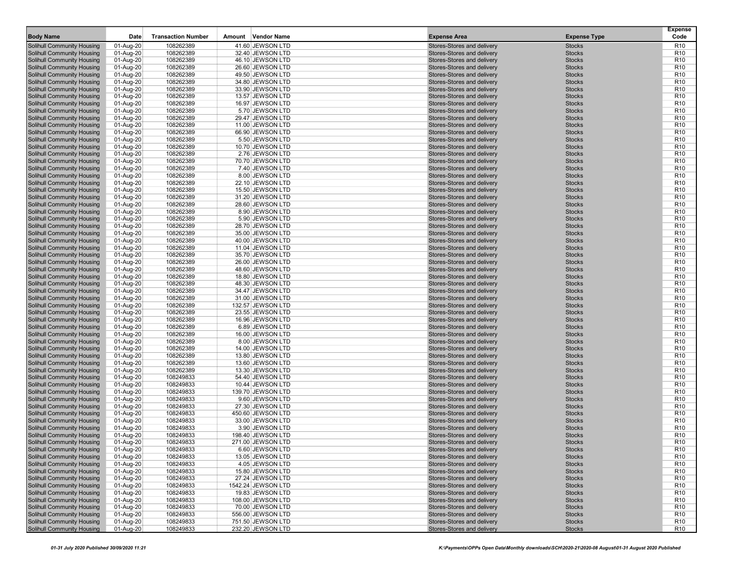| <b>Body Name</b>                                                | Date                   | <b>Transaction Number</b> | Amount Vendor Name                    | <b>Expense Area</b>                                      | <b>Expense Type</b>            | <b>Expense</b><br>Code             |
|-----------------------------------------------------------------|------------------------|---------------------------|---------------------------------------|----------------------------------------------------------|--------------------------------|------------------------------------|
| Solihull Community Housing                                      | 01-Aug-20              | 108262389                 | 41.60 JEWSON LTD                      | Stores-Stores and delivery                               | <b>Stocks</b>                  | R <sub>10</sub>                    |
| Solihull Community Housing                                      | 01-Aug-20              | 108262389                 | 32.40 JEWSON LTD                      | Stores-Stores and delivery                               | <b>Stocks</b>                  | R <sub>10</sub>                    |
| <b>Solihull Community Housing</b>                               | 01-Aug-20              | 108262389                 | 46.10 JEWSON LTD                      | Stores-Stores and delivery                               | <b>Stocks</b>                  | R <sub>10</sub>                    |
| <b>Solihull Community Housing</b>                               | 01-Aug-20              | 108262389                 | 26.60 JEWSON LTD                      | Stores-Stores and delivery                               | <b>Stocks</b>                  | R <sub>10</sub>                    |
| Solihull Community Housing                                      | 01-Aug-20              | 108262389                 | 49.50 JEWSON LTD                      | Stores-Stores and delivery                               | <b>Stocks</b>                  | R <sub>10</sub>                    |
| Solihull Community Housing                                      | 01-Aug-20              | 108262389                 | 34.80 JEWSON LTD                      | Stores-Stores and delivery                               | <b>Stocks</b>                  | R <sub>10</sub>                    |
| Solihull Community Housing                                      | 01-Aug-20              | 108262389                 | 33.90 JEWSON LTD                      | Stores-Stores and delivery                               | <b>Stocks</b>                  | R <sub>10</sub>                    |
| Solihull Community Housing                                      | 01-Aug-20              | 108262389                 | 13.57 JEWSON LTD                      | Stores-Stores and delivery                               | <b>Stocks</b>                  | R <sub>10</sub>                    |
| <b>Solihull Community Housing</b>                               | 01-Aug-20              | 108262389                 | 16.97 JEWSON LTD                      | Stores-Stores and delivery                               | <b>Stocks</b>                  | R <sub>10</sub>                    |
| Solihull Community Housing                                      | 01-Aug-20              | 108262389                 | 5.70 JEWSON LTD                       | Stores-Stores and delivery                               | <b>Stocks</b>                  | R <sub>10</sub>                    |
| <b>Solihull Community Housing</b>                               | 01-Aug-20              | 108262389                 | 29.47 JEWSON LTD                      | Stores-Stores and delivery                               | <b>Stocks</b>                  | R <sub>10</sub>                    |
| <b>Solihull Community Housing</b>                               | 01-Aug-20              | 108262389                 | 11.00 JEWSON LTD                      | Stores-Stores and delivery                               | <b>Stocks</b>                  | R <sub>10</sub>                    |
| Solihull Community Housing                                      | 01-Aug-20              | 108262389                 | 66.90 JEWSON LTD                      | Stores-Stores and delivery                               | <b>Stocks</b>                  | R <sub>10</sub>                    |
| Solihull Community Housing                                      | 01-Aug-20              | 108262389                 | 5.50 JEWSON LTD                       | Stores-Stores and delivery                               | <b>Stocks</b>                  | R <sub>10</sub>                    |
| Solihull Community Housing                                      | 01-Aug-20              | 108262389                 | 10.70 JEWSON LTD                      | Stores-Stores and delivery                               | <b>Stocks</b>                  | R <sub>10</sub>                    |
| Solihull Community Housing                                      | 01-Aug-20              | 108262389                 | 2.76 JEWSON LTD                       | Stores-Stores and delivery                               | <b>Stocks</b>                  | R <sub>10</sub>                    |
| Solihull Community Housing                                      | 01-Aug-20              | 108262389                 | 70.70 JEWSON LTD                      | Stores-Stores and delivery                               | <b>Stocks</b>                  | R <sub>10</sub>                    |
| Solihull Community Housing                                      | 01-Aug-20              | 108262389                 | 7.40 JEWSON LTD                       | Stores-Stores and delivery                               | <b>Stocks</b>                  | R <sub>10</sub>                    |
| <b>Solihull Community Housing</b>                               | 01-Aug-20              | 108262389                 | 8.00 JEWSON LTD                       | Stores-Stores and delivery                               | <b>Stocks</b>                  | R <sub>10</sub>                    |
| Solihull Community Housing                                      | 01-Aug-20              | 108262389                 | 22.10 JEWSON LTD                      | Stores-Stores and delivery                               | <b>Stocks</b>                  | R <sub>10</sub>                    |
| <b>Solihull Community Housing</b>                               | 01-Aug-20              | 108262389                 | 15.50 JEWSON LTD                      | Stores-Stores and delivery                               | <b>Stocks</b>                  | R <sub>10</sub>                    |
| <b>Solihull Community Housing</b>                               | 01-Aug-20              | 108262389                 | 31.20 JEWSON LTD                      | Stores-Stores and delivery                               | <b>Stocks</b>                  | R <sub>10</sub>                    |
| Solihull Community Housing                                      | 01-Aug-20              | 108262389                 | 28.60 JEWSON LTD                      | Stores-Stores and delivery                               | <b>Stocks</b>                  | R <sub>10</sub>                    |
| <b>Solihull Community Housing</b>                               | 01-Aug-20              | 108262389                 | 8.90 JEWSON LTD                       | Stores-Stores and delivery                               | <b>Stocks</b>                  | R <sub>10</sub>                    |
| Solihull Community Housing                                      | 01-Aug-20              | 108262389                 | 5.90 JEWSON LTD                       | Stores-Stores and delivery                               | <b>Stocks</b>                  | R <sub>10</sub>                    |
| Solihull Community Housing                                      | 01-Aug-20              | 108262389                 | 28.70 JEWSON LTD                      | Stores-Stores and delivery                               | <b>Stocks</b>                  | R <sub>10</sub>                    |
| <b>Solihull Community Housing</b>                               | 01-Aug-20              | 108262389                 | 35.00 JEWSON LTD                      | Stores-Stores and delivery                               | <b>Stocks</b>                  | R <sub>10</sub>                    |
| Solihull Community Housing                                      | 01-Aug-20              | 108262389                 | 40.00 JEWSON LTD                      | Stores-Stores and delivery                               | <b>Stocks</b>                  | R <sub>10</sub>                    |
| <b>Solihull Community Housing</b>                               | 01-Aug-20              | 108262389                 | 11.04 JEWSON LTD                      | Stores-Stores and delivery                               | <b>Stocks</b>                  | R <sub>10</sub>                    |
| Solihull Community Housing                                      | 01-Aug-20              | 108262389                 | 35.70 JEWSON LTD                      | Stores-Stores and delivery                               | <b>Stocks</b>                  | R <sub>10</sub>                    |
| <b>Solihull Community Housing</b>                               | 01-Aug-20              | 108262389                 | 26.00 JEWSON LTD                      | Stores-Stores and delivery                               | <b>Stocks</b>                  | R <sub>10</sub>                    |
| <b>Solihull Community Housing</b>                               | 01-Aug-20              | 108262389                 | 48.60 JEWSON LTD                      | Stores-Stores and delivery                               | <b>Stocks</b>                  | R <sub>10</sub>                    |
| Solihull Community Housing                                      | 01-Aug-20              | 108262389                 | 18.80 JEWSON LTD                      | Stores-Stores and delivery                               | <b>Stocks</b>                  | R <sub>10</sub>                    |
| <b>Solihull Community Housing</b>                               | 01-Aug-20              | 108262389                 | 48.30 JEWSON LTD                      | Stores-Stores and delivery                               | <b>Stocks</b>                  | R <sub>10</sub>                    |
| Solihull Community Housing                                      | 01-Aug-20              | 108262389                 | 34.47 JEWSON LTD                      | Stores-Stores and delivery                               | <b>Stocks</b>                  | R <sub>10</sub>                    |
| Solihull Community Housing                                      | 01-Aug-20              | 108262389                 | 31.00 JEWSON LTD                      | Stores-Stores and delivery                               | <b>Stocks</b>                  | R <sub>10</sub>                    |
| Solihull Community Housing                                      | 01-Aug-20              | 108262389<br>108262389    | 132.57 JEWSON LTD<br>23.55 JEWSON LTD | Stores-Stores and delivery<br>Stores-Stores and delivery | <b>Stocks</b><br><b>Stocks</b> | R <sub>10</sub><br>R <sub>10</sub> |
| Solihull Community Housing                                      | 01-Aug-20              | 108262389                 | 16.96 JEWSON LTD                      | Stores-Stores and delivery                               | <b>Stocks</b>                  | R <sub>10</sub>                    |
| <b>Solihull Community Housing</b><br>Solihull Community Housing | 01-Aug-20              | 108262389                 | 6.89 JEWSON LTD                       | Stores-Stores and delivery                               | <b>Stocks</b>                  | R <sub>10</sub>                    |
| Solihull Community Housing                                      | 01-Aug-20<br>01-Aug-20 | 108262389                 | 16.00 JEWSON LTD                      | Stores-Stores and delivery                               | <b>Stocks</b>                  | R <sub>10</sub>                    |
| Solihull Community Housing                                      | 01-Aug-20              | 108262389                 | 8.00 JEWSON LTD                       | Stores-Stores and delivery                               | <b>Stocks</b>                  | R <sub>10</sub>                    |
| Solihull Community Housing                                      | 01-Aug-20              | 108262389                 | 14.00 JEWSON LTD                      | Stores-Stores and delivery                               | <b>Stocks</b>                  | R <sub>10</sub>                    |
| <b>Solihull Community Housing</b>                               | 01-Aug-20              | 108262389                 | 13.80 JEWSON LTD                      | Stores-Stores and delivery                               | <b>Stocks</b>                  | R <sub>10</sub>                    |
| Solihull Community Housing                                      | 01-Aug-20              | 108262389                 | 13.60 JEWSON LTD                      | Stores-Stores and delivery                               | <b>Stocks</b>                  | R <sub>10</sub>                    |
| Solihull Community Housing                                      | 01-Aug-20              | 108262389                 | 13.30 JEWSON LTD                      | Stores-Stores and delivery                               | <b>Stocks</b>                  | R <sub>10</sub>                    |
| <b>Solihull Community Housing</b>                               | 01-Aug-20              | 108249833                 | 54.40 JEWSON LTD                      | Stores-Stores and delivery                               | <b>Stocks</b>                  | R <sub>10</sub>                    |
| Solihull Community Housing                                      | 01-Aug-20              | 108249833                 | 10.44 JEWSON LTD                      | Stores-Stores and delivery                               | <b>Stocks</b>                  | R <sub>10</sub>                    |
| <b>Solihull Community Housing</b>                               | 01-Aug-20              | 108249833                 | 139.70 JEWSON LTD                     | Stores-Stores and delivery                               | <b>Stocks</b>                  | R <sub>10</sub>                    |
| Solihull Community Housing                                      | 01-Aug-20              | 108249833                 | 9.60 JEWSON LTD                       | Stores-Stores and delivery                               | <b>Stocks</b>                  | R <sub>10</sub>                    |
| <b>Solihull Community Housing</b>                               | 01-Aug-20              | 108249833                 | 27.30 JEWSON LTD                      | Stores-Stores and delivery                               | <b>Stocks</b>                  | R <sub>10</sub>                    |
| <b>Solihull Community Housing</b>                               | 01-Aug-20              | 108249833                 | 450.60 JEWSON LTD                     | Stores-Stores and delivery                               | <b>Stocks</b>                  | R <sub>10</sub>                    |
| <b>Solihull Community Housing</b>                               | 01-Aug-20              | 108249833                 | 33.00 JEWSON LTD                      | Stores-Stores and delivery                               | <b>Stocks</b>                  | R <sub>10</sub>                    |
| <b>Solihull Community Housing</b>                               | 01-Aug-20              | 108249833                 | 3.90 JEWSON LTD                       | Stores-Stores and delivery                               | <b>Stocks</b>                  | R <sub>10</sub>                    |
| <b>Solihull Community Housing</b>                               | 01-Aug-20              | 108249833                 | 198.40 JEWSON LTD                     | Stores-Stores and delivery                               | <b>Stocks</b>                  | R <sub>10</sub>                    |
| Solihull Community Housing                                      | 01-Aug-20              | 108249833                 | 271.00 JEWSON LTD                     | Stores-Stores and delivery                               | <b>Stocks</b>                  | R <sub>10</sub>                    |
| Solihull Community Housing                                      | 01-Aug-20              | 108249833                 | 6.60 JEWSON LTD                       | Stores-Stores and delivery                               | <b>Stocks</b>                  | R <sub>10</sub>                    |
| Solihull Community Housing                                      | 01-Aug-20              | 108249833                 | 13.05 JEWSON LTD                      | Stores-Stores and delivery                               | <b>Stocks</b>                  | R <sub>10</sub>                    |
| Solihull Community Housing                                      | 01-Aug-20              | 108249833                 | 4.05 JEWSON LTD                       | Stores-Stores and delivery                               | <b>Stocks</b>                  | R <sub>10</sub>                    |
| Solihull Community Housing                                      | 01-Aug-20              | 108249833                 | 15.80 JEWSON LTD                      | Stores-Stores and delivery                               | <b>Stocks</b>                  | R <sub>10</sub>                    |
| Solihull Community Housing                                      | 01-Aug-20              | 108249833                 | 27.24 JEWSON LTD                      | Stores-Stores and delivery                               | <b>Stocks</b>                  | R <sub>10</sub>                    |
| <b>Solihull Community Housing</b>                               | 01-Aug-20              | 108249833                 | 1542.24 JEWSON LTD                    | Stores-Stores and delivery                               | <b>Stocks</b>                  | R <sub>10</sub>                    |
| <b>Solihull Community Housing</b>                               | 01-Aug-20              | 108249833                 | 19.83 JEWSON LTD                      | Stores-Stores and delivery                               | <b>Stocks</b>                  | R <sub>10</sub>                    |
| <b>Solihull Community Housing</b>                               | 01-Aug-20              | 108249833                 | 108.00 JEWSON LTD                     | Stores-Stores and delivery                               | <b>Stocks</b>                  | R <sub>10</sub>                    |
| Solihull Community Housing                                      | 01-Aug-20              | 108249833                 | 70.00 JEWSON LTD                      | Stores-Stores and delivery                               | <b>Stocks</b>                  | R <sub>10</sub>                    |
| <b>Solihull Community Housing</b>                               | 01-Aug-20              | 108249833                 | 556.00 JEWSON LTD                     | Stores-Stores and delivery                               | <b>Stocks</b>                  | R <sub>10</sub>                    |
| Solihull Community Housing                                      | 01-Aug-20              | 108249833                 | 751.50 JEWSON LTD                     | Stores-Stores and delivery                               | <b>Stocks</b>                  | R <sub>10</sub>                    |
| Solihull Community Housing                                      | 01-Aug-20              | 108249833                 | 232.20 JEWSON LTD                     | Stores-Stores and delivery                               | <b>Stocks</b>                  | R <sub>10</sub>                    |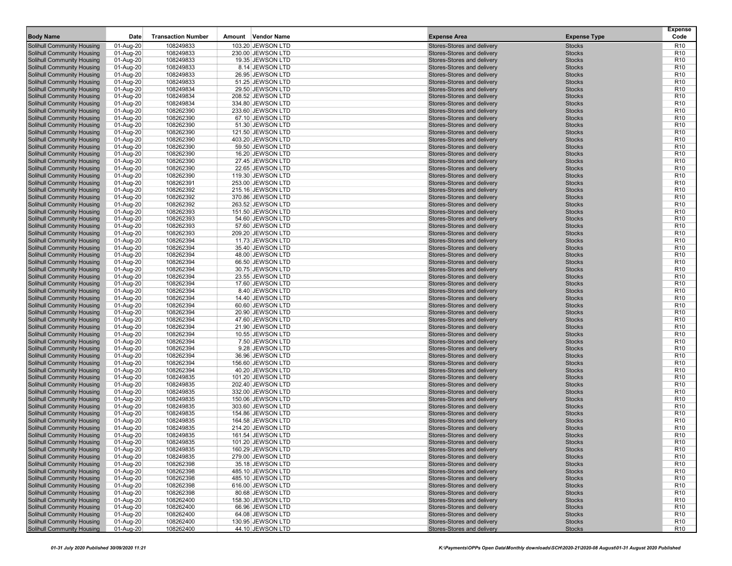| <b>Body Name</b>                                                | Date                   | <b>Transaction Number</b> | Amount Vendor Name                     | <b>Expense Area</b>                                      | <b>Expense Type</b>            | <b>Expense</b><br>Code             |
|-----------------------------------------------------------------|------------------------|---------------------------|----------------------------------------|----------------------------------------------------------|--------------------------------|------------------------------------|
| <b>Solihull Community Housing</b>                               | 01-Aug-20              | 108249833                 | 103.20 JEWSON LTD                      | Stores-Stores and delivery                               | <b>Stocks</b>                  | R <sub>10</sub>                    |
| <b>Solihull Community Housing</b>                               | 01-Aug-20              | 108249833                 | 230.00 JEWSON LTD                      | Stores-Stores and delivery                               | <b>Stocks</b>                  | R <sub>10</sub>                    |
| <b>Solihull Community Housing</b>                               | 01-Aug-20              | 108249833                 | 19.35 JEWSON LTD                       | Stores-Stores and delivery                               | <b>Stocks</b>                  | R <sub>10</sub>                    |
| <b>Solihull Community Housing</b>                               | 01-Aug-20              | 108249833                 | 8.14 JEWSON LTD                        | Stores-Stores and delivery                               | <b>Stocks</b>                  | R <sub>10</sub>                    |
| <b>Solihull Community Housing</b>                               | 01-Aug-20              | 108249833                 | 26.95 JEWSON LTD                       | Stores-Stores and delivery                               | <b>Stocks</b>                  | R <sub>10</sub>                    |
| Solihull Community Housing                                      | 01-Aug-20              | 108249833                 | 51.25 JEWSON LTD                       | Stores-Stores and delivery                               | <b>Stocks</b>                  | R <sub>10</sub>                    |
| Solihull Community Housing                                      | 01-Aug-20              | 108249834                 | 29.50 JEWSON LTD                       | Stores-Stores and delivery                               | <b>Stocks</b>                  | R <sub>10</sub>                    |
| <b>Solihull Community Housing</b>                               | 01-Aug-20              | 108249834                 | 208.52 JEWSON LTD                      | Stores-Stores and delivery                               | <b>Stocks</b>                  | R <sub>10</sub>                    |
| <b>Solihull Community Housing</b>                               | 01-Aug-20              | 108249834                 | 334.80 JEWSON LTD                      | Stores-Stores and delivery                               | <b>Stocks</b>                  | R <sub>10</sub>                    |
| Solihull Community Housing                                      | 01-Aug-20              | 108262390                 | 233.60 JEWSON LTD                      | Stores-Stores and delivery                               | <b>Stocks</b>                  | R <sub>10</sub>                    |
| Solihull Community Housing                                      | 01-Aug-20              | 108262390                 | 67.10 JEWSON LTD                       | Stores-Stores and delivery                               | <b>Stocks</b>                  | R <sub>10</sub>                    |
| Solihull Community Housing                                      | 01-Aug-20              | 108262390                 | 51.30 JEWSON LTD                       | Stores-Stores and delivery                               | <b>Stocks</b>                  | R <sub>10</sub>                    |
| <b>Solihull Community Housing</b>                               | 01-Aug-20              | 108262390                 | 121.50 JEWSON LTD                      | Stores-Stores and delivery                               | <b>Stocks</b>                  | R <sub>10</sub>                    |
| <b>Solihull Community Housing</b>                               | 01-Aug-20              | 108262390                 | 403.20 JEWSON LTD                      | Stores-Stores and delivery                               | <b>Stocks</b>                  | R <sub>10</sub>                    |
| <b>Solihull Community Housing</b>                               | 01-Aug-20              | 108262390                 | 59.50 JEWSON LTD                       | Stores-Stores and delivery                               | <b>Stocks</b>                  | R <sub>10</sub>                    |
| Solihull Community Housing                                      | 01-Aug-20              | 108262390                 | 16.20 JEWSON LTD                       | Stores-Stores and delivery                               | <b>Stocks</b>                  | R <sub>10</sub>                    |
| Solihull Community Housing                                      | 01-Aug-20              | 108262390                 | 27.45 JEWSON LTD                       | Stores-Stores and delivery                               | <b>Stocks</b>                  | R <sub>10</sub>                    |
| <b>Solihull Community Housing</b>                               | 01-Aug-20              | 108262390                 | 22.65 JEWSON LTD                       | Stores-Stores and delivery                               | <b>Stocks</b>                  | R <sub>10</sub>                    |
| <b>Solihull Community Housing</b>                               | 01-Aug-20              | 108262390                 | 119.30 JEWSON LTD                      | Stores-Stores and delivery                               | <b>Stocks</b>                  | R <sub>10</sub>                    |
| Solihull Community Housing                                      | 01-Aug-20              | 108262391                 | 253.00 JEWSON LTD                      | Stores-Stores and delivery                               | <b>Stocks</b>                  | R <sub>10</sub>                    |
| Solihull Community Housing                                      | 01-Aug-20              | 108262392                 | 215.16 JEWSON LTD                      | Stores-Stores and delivery                               | <b>Stocks</b>                  | R <sub>10</sub>                    |
| <b>Solihull Community Housing</b>                               | 01-Aug-20              | 108262392                 | 370.86 JEWSON LTD                      | Stores-Stores and delivery                               | <b>Stocks</b>                  | R <sub>10</sub>                    |
| <b>Solihull Community Housing</b>                               | 01-Aug-20              | 108262392                 | 263.52 JEWSON LTD                      | Stores-Stores and delivery                               | <b>Stocks</b>                  | R <sub>10</sub>                    |
| <b>Solihull Community Housing</b>                               | 01-Aug-20              | 108262393                 | 151.50 JEWSON LTD                      | Stores-Stores and delivery                               | <b>Stocks</b>                  | R <sub>10</sub>                    |
| <b>Solihull Community Housing</b>                               | 01-Aug-20              | 108262393                 | 54.60 JEWSON LTD                       | Stores-Stores and delivery                               | <b>Stocks</b>                  | R <sub>10</sub>                    |
| Solihull Community Housing                                      | 01-Aug-20              | 108262393                 | 57.60 JEWSON LTD                       | Stores-Stores and delivery                               | <b>Stocks</b>                  | R <sub>10</sub>                    |
| Solihull Community Housing                                      | 01-Aug-20              | 108262393                 | 209.20 JEWSON LTD                      | Stores-Stores and delivery                               | <b>Stocks</b>                  | R <sub>10</sub>                    |
| <b>Solihull Community Housing</b>                               | 01-Aug-20              | 108262394                 | 11.73 JEWSON LTD                       | Stores-Stores and delivery                               | <b>Stocks</b>                  | R <sub>10</sub>                    |
| <b>Solihull Community Housing</b>                               | 01-Aug-20              | 108262394                 | 35.40 JEWSON LTD                       | Stores-Stores and delivery                               | <b>Stocks</b>                  | R <sub>10</sub>                    |
| Solihull Community Housing                                      | 01-Aug-20              | 108262394                 | 48.00 JEWSON LTD                       | Stores-Stores and delivery                               | <b>Stocks</b>                  | R <sub>10</sub>                    |
| Solihull Community Housing                                      | 01-Aug-20              | 108262394                 | 66.50 JEWSON LTD                       | Stores-Stores and delivery                               | <b>Stocks</b>                  | R <sub>10</sub>                    |
| Solihull Community Housing                                      | 01-Aug-20              | 108262394                 | 30.75 JEWSON LTD                       | Stores-Stores and delivery                               | <b>Stocks</b>                  | R <sub>10</sub>                    |
| <b>Solihull Community Housing</b>                               | 01-Aug-20              | 108262394                 | 23.55 JEWSON LTD                       | Stores-Stores and delivery                               | <b>Stocks</b>                  | R <sub>10</sub>                    |
| <b>Solihull Community Housing</b>                               | 01-Aug-20              | 108262394                 | 17.60 JEWSON LTD                       | Stores-Stores and delivery                               | <b>Stocks</b>                  | R <sub>10</sub>                    |
| <b>Solihull Community Housing</b>                               | 01-Aug-20              | 108262394                 | 8.40 JEWSON LTD                        | Stores-Stores and delivery                               | <b>Stocks</b>                  | R <sub>10</sub>                    |
| Solihull Community Housing                                      | 01-Aug-20              | 108262394                 | 14.40 JEWSON LTD                       | Stores-Stores and delivery                               | <b>Stocks</b>                  | R <sub>10</sub>                    |
| Solihull Community Housing                                      | 01-Aug-20              | 108262394                 | 60.60 JEWSON LTD                       | Stores-Stores and delivery                               | <b>Stocks</b>                  | R <sub>10</sub>                    |
| <b>Solihull Community Housing</b>                               | 01-Aug-20              | 108262394                 | 20.90 JEWSON LTD                       | Stores-Stores and delivery                               | <b>Stocks</b>                  | R <sub>10</sub>                    |
| <b>Solihull Community Housing</b>                               | 01-Aug-20              | 108262394                 | 47.60 JEWSON LTD                       | Stores-Stores and delivery                               | <b>Stocks</b>                  | R <sub>10</sub>                    |
| Solihull Community Housing                                      | 01-Aug-20              | 108262394                 | 21.90 JEWSON LTD                       | Stores-Stores and delivery                               | <b>Stocks</b>                  | R <sub>10</sub>                    |
| Solihull Community Housing                                      | 01-Aug-20              | 108262394                 | 10.55 JEWSON LTD                       | Stores-Stores and delivery                               | <b>Stocks</b>                  | R <sub>10</sub>                    |
| Solihull Community Housing                                      | 01-Aug-20              | 108262394                 | 7.50 JEWSON LTD                        | Stores-Stores and delivery                               | <b>Stocks</b>                  | R <sub>10</sub>                    |
| <b>Solihull Community Housing</b>                               | 01-Aug-20              | 108262394                 | 9.28 JEWSON LTD                        | Stores-Stores and delivery                               | <b>Stocks</b>                  | R <sub>10</sub>                    |
| <b>Solihull Community Housing</b>                               | 01-Aug-20              | 108262394                 | 36.96 JEWSON LTD                       | Stores-Stores and delivery                               | <b>Stocks</b>                  | R <sub>10</sub>                    |
| <b>Solihull Community Housing</b>                               | 01-Aug-20              | 108262394                 | 156.60 JEWSON LTD                      | Stores-Stores and delivery                               | <b>Stocks</b>                  | R <sub>10</sub>                    |
| Solihull Community Housing                                      | 01-Aug-20              | 108262394                 | 40.20 JEWSON LTD                       | Stores-Stores and delivery                               | <b>Stocks</b><br><b>Stocks</b> | R <sub>10</sub><br>R <sub>10</sub> |
| Solihull Community Housing<br><b>Solihull Community Housing</b> | 01-Aug-20              | 108249835<br>108249835    | 101.20 JEWSON LTD<br>202.40 JEWSON LTD | Stores-Stores and delivery<br>Stores-Stores and delivery | <b>Stocks</b>                  | R <sub>10</sub>                    |
| <b>Solihull Community Housing</b>                               | 01-Aug-20<br>01-Aug-20 | 108249835                 | 332.00 JEWSON LTD                      | Stores-Stores and delivery                               | <b>Stocks</b>                  | R <sub>10</sub>                    |
| <b>Solihull Community Housing</b>                               | 01-Aug-20              | 108249835                 | 150.06 JEWSON LTD                      | Stores-Stores and delivery                               | <b>Stocks</b>                  | R <sub>10</sub>                    |
| Solihull Community Housing                                      | 01-Aug-20              | 108249835                 | 303.60 JEWSON LTD                      | Stores-Stores and delivery                               | <b>Stocks</b>                  | R <sub>10</sub>                    |
| Solihull Community Housing                                      | 01-Aug-20              | 108249835                 | 154.86 JEWSON LTD                      | Stores-Stores and delivery                               | <b>Stocks</b>                  | R <sub>10</sub>                    |
| <b>Solihull Community Housing</b>                               | 01-Aug-20              | 108249835                 | 164.58 JEWSON LTD                      | Stores-Stores and delivery                               | <b>Stocks</b>                  | R <sub>10</sub>                    |
| <b>Solihull Community Housing</b>                               | 01-Aug-20              | 108249835                 | 214.20 JEWSON LTD                      | Stores-Stores and delivery                               | <b>Stocks</b>                  | R <sub>10</sub>                    |
| Solihull Community Housing                                      | 01-Aug-20              | 108249835                 | 161.54 JEWSON LTD                      | Stores-Stores and delivery                               | <b>Stocks</b>                  | R <sub>10</sub>                    |
| Solihull Community Housing                                      | 01-Aug-20              | 108249835                 | 101.20 JEWSON LTD                      | Stores-Stores and delivery                               | <b>Stocks</b>                  | R <sub>10</sub>                    |
| Solihull Community Housing                                      | 01-Aug-20              | 108249835                 | 160.29 JEWSON LTD                      | Stores-Stores and delivery                               | <b>Stocks</b>                  | R <sub>10</sub>                    |
| Solihull Community Housing                                      | 01-Aug-20              | 108249835                 | 279.00 JEWSON LTD                      | Stores-Stores and delivery                               | <b>Stocks</b>                  | R <sub>10</sub>                    |
| Solihull Community Housing                                      | 01-Aug-20              | 108262398                 | 35.18 JEWSON LTD                       | Stores-Stores and delivery                               | <b>Stocks</b>                  | R <sub>10</sub>                    |
| <b>Solihull Community Housing</b>                               | 01-Aug-20              | 108262398                 | 485.10 JEWSON LTD                      | Stores-Stores and delivery                               | <b>Stocks</b>                  | R <sub>10</sub>                    |
| Solihull Community Housing                                      | 01-Aug-20              | 108262398                 | 485.10 JEWSON LTD                      | Stores-Stores and delivery                               | <b>Stocks</b>                  | R <sub>10</sub>                    |
| <b>Solihull Community Housing</b>                               | 01-Aug-20              | 108262398                 | 616.00 JEWSON LTD                      | Stores-Stores and delivery                               | <b>Stocks</b>                  | R <sub>10</sub>                    |
| Solihull Community Housing                                      | 01-Aug-20              | 108262398                 | 80.68 JEWSON LTD                       | Stores-Stores and delivery                               | <b>Stocks</b>                  | R <sub>10</sub>                    |
| Solihull Community Housing                                      | 01-Aug-20              | 108262400                 | 158.30 JEWSON LTD                      | Stores-Stores and delivery                               | <b>Stocks</b>                  | R <sub>10</sub>                    |
| Solihull Community Housing                                      | 01-Aug-20              | 108262400                 | 66.96 JEWSON LTD                       | Stores-Stores and delivery                               | <b>Stocks</b>                  | R <sub>10</sub>                    |
| Solihull Community Housing                                      | 01-Aug-20              | 108262400                 | 64.08 JEWSON LTD                       | Stores-Stores and delivery                               | <b>Stocks</b>                  | R <sub>10</sub>                    |
| Solihull Community Housing                                      | 01-Aug-20              | 108262400                 | 130.95 JEWSON LTD                      | Stores-Stores and delivery                               | <b>Stocks</b>                  | R <sub>10</sub>                    |
| Solihull Community Housing                                      | 01-Aug-20              | 108262400                 | 44.10 JEWSON LTD                       | Stores-Stores and delivery                               | <b>Stocks</b>                  | R <sub>10</sub>                    |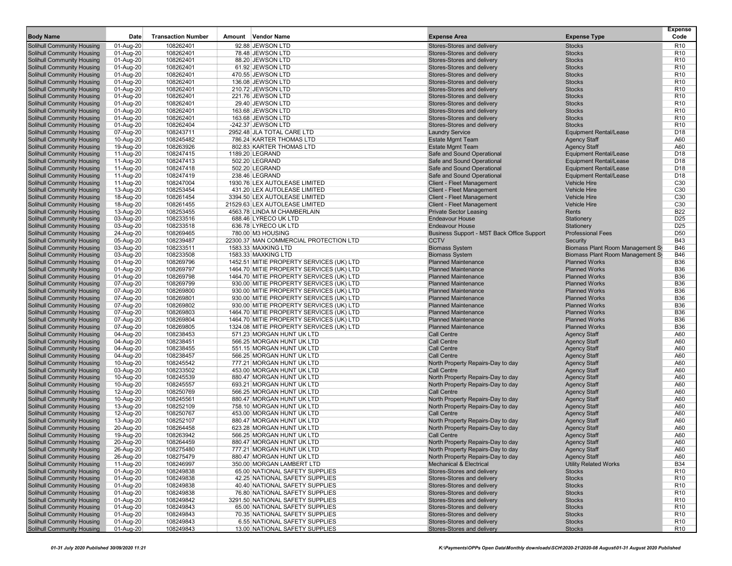| <b>Body Name</b>                  | Date                     | <b>Transaction Number</b> | Amount Vendor Name                       | <b>Expense Area</b>                        | <b>Expense Type</b>              | <b>Expense</b><br>Code             |
|-----------------------------------|--------------------------|---------------------------|------------------------------------------|--------------------------------------------|----------------------------------|------------------------------------|
| Solihull Community Housing        | 01-Aug-20                | 108262401                 | 92.88 JEWSON LTD                         | Stores-Stores and delivery                 | <b>Stocks</b>                    | R <sub>10</sub>                    |
| <b>Solihull Community Housing</b> | 01-Aug-20                | 108262401                 | 78.48 JEWSON LTD                         | Stores-Stores and delivery                 | <b>Stocks</b>                    | R <sub>10</sub>                    |
| Solihull Community Housing        | 01-Aug-20                | 108262401                 | 88.20 JEWSON LTD                         | Stores-Stores and delivery                 | <b>Stocks</b>                    | R <sub>10</sub>                    |
| <b>Solihull Community Housing</b> | 01-Aug-20                | 108262401                 | 61.92 JEWSON LTD                         | Stores-Stores and delivery                 | <b>Stocks</b>                    | R <sub>10</sub>                    |
| <b>Solihull Community Housing</b> | 01-Aug-20                | 108262401                 | 470.55 JEWSON LTD                        | Stores-Stores and delivery                 | <b>Stocks</b>                    | R <sub>10</sub>                    |
|                                   |                          |                           |                                          |                                            |                                  |                                    |
| Solihull Community Housing        | 01-Aug-20<br>$01-Aug-20$ | 108262401                 | 136.08 JEWSON LTD                        | Stores-Stores and delivery                 | <b>Stocks</b><br><b>Stocks</b>   | R <sub>10</sub><br>R <sub>10</sub> |
| Solihull Community Housing        |                          | 108262401                 | 210.72 JEWSON LTD                        | Stores-Stores and delivery                 |                                  |                                    |
| Solihull Community Housing        | 01-Aug-20                | 108262401<br>108262401    | 221.76 JEWSON LTD                        | Stores-Stores and delivery                 | <b>Stocks</b>                    | R <sub>10</sub><br>R <sub>10</sub> |
| <b>Solihull Community Housing</b> | 01-Aug-20                |                           | 29.40 JEWSON LTD                         | Stores-Stores and delivery                 | <b>Stocks</b>                    |                                    |
| Solihull Community Housing        | 01-Aug-20                | 108262401                 | 163.68 JEWSON LTD                        | Stores-Stores and delivery                 | <b>Stocks</b>                    | R <sub>10</sub>                    |
| Solihull Community Housing        | 01-Aug-20                | 108262401                 | 163.68 JEWSON LTD                        | Stores-Stores and delivery                 | <b>Stocks</b><br><b>Stocks</b>   | R <sub>10</sub>                    |
| Solihull Community Housing        | 01-Aug-20                | 108262404                 | -242.37 JEWSON LTD                       | Stores-Stores and delivery                 |                                  | R <sub>10</sub>                    |
| Solihull Community Housing        | 07-Aug-20                | 108243711                 | 2952.48 JLA TOTAL CARE LTD               | <b>Laundry Service</b>                     | <b>Equipment Rental/Lease</b>    | D <sub>18</sub>                    |
| <b>Solihull Community Housing</b> | 10-Aug-20                | 108245482                 | 786.24 KARTER THOMAS LTD                 | <b>Estate Mgmt Team</b>                    | <b>Agency Staff</b>              | A60                                |
| <b>Solihull Community Housing</b> | 19-Aug-20                | 108263926                 | 802.83 KARTER THOMAS LTD                 | <b>Estate Mgmt Team</b>                    | <b>Agency Staff</b>              | A60                                |
| Solihull Community Housing        | 11-Aug-20                | 108247415                 | 1189.20 LEGRAND                          | Safe and Sound Operational                 | <b>Equipment Rental/Lease</b>    | D <sub>18</sub>                    |
| Solihull Community Housing        | 11-Aug-20                | 108247413                 | 502.20 LEGRAND                           | Safe and Sound Operational                 | <b>Equipment Rental/Lease</b>    | D <sub>18</sub>                    |
| Solihull Community Housing        | 11-Aug-20                | 108247418                 | 502.20 LEGRAND                           | Safe and Sound Operational                 | <b>Equipment Rental/Lease</b>    | D <sub>18</sub>                    |
| Solihull Community Housing        | 11-Aug-20                | 108247419                 | 238.46 LEGRAND                           | Safe and Sound Operational                 | <b>Equipment Rental/Lease</b>    | D <sub>18</sub>                    |
| Solihull Community Housing        | 11-Aug-20                | 108247004                 | 1930.76 LEX AUTOLEASE LIMITED            | <b>Client - Fleet Management</b>           | <b>Vehicle Hire</b>              | C <sub>30</sub>                    |
| Solihull Community Housing        | 13-Aug-20                | 108253454                 | 431.20 LEX AUTOLEASE LIMITED             | Client - Fleet Management                  | <b>Vehicle Hire</b>              | C <sub>30</sub>                    |
| <b>Solihull Community Housing</b> | 18-Aug-20                | 108261454                 | 3394.50 LEX AUTOLEASE LIMITED            | Client - Fleet Management                  | <b>Vehicle Hire</b>              | C <sub>30</sub>                    |
| Solihull Community Housing        | 18-Aug-20                | 108261455                 | 21529.63 LEX AUTOLEASE LIMITED           | Client - Fleet Management                  | <b>Vehicle Hire</b>              | C <sub>30</sub>                    |
| <b>Solihull Community Housing</b> | 13-Aug-20                | 108253455                 | 4563.78 LINDA M CHAMBERLAIN              | <b>Private Sector Leasing</b>              | Rents                            | <b>B22</b>                         |
| <b>Solihull Community Housing</b> | 03-Aug-20                | 108233516                 | 688.46 LYRECO UK LTD                     | <b>Endeavour House</b>                     | Stationery                       | D <sub>25</sub>                    |
| Solihull Community Housing        | 03-Aug-20                | 108233518                 | 636.78 LYRECO UK LTD                     | <b>Endeavour House</b>                     | Stationery                       | D <sub>25</sub>                    |
| Solihull Community Housing        | 24-Aug-20                | 108269465                 | 780.00 M3 HOUSING                        | Business Support - MST Back Office Support | <b>Professional Fees</b>         | D <sub>50</sub>                    |
| Solihull Community Housing        | 05-Aug-20                | 108239487                 | 22300.37 MAN COMMERCIAL PROTECTION LTD   | <b>CCTV</b>                                | Security                         | <b>B43</b>                         |
| <b>Solihull Community Housing</b> | 03-Aug-20                | 108233511                 | 1583.33 MAXKING LTD                      | <b>Biomass System</b>                      | Biomass Plant Room Management Sy | <b>B46</b>                         |
| Solihull Community Housing        | 03-Aug-20                | 108233508                 | 1583.33 MAXKING LTD                      | <b>Biomass System</b>                      | Biomass Plant Room Management Sy | <b>B46</b>                         |
| Solihull Community Housing        | 01-Aug-20                | 108269796                 | 1452.51 MITIE PROPERTY SERVICES (UK) LTD | <b>Planned Maintenance</b>                 | <b>Planned Works</b>             | <b>B36</b>                         |
| Solihull Community Housing        | 01-Aug-20                | 108269797                 | 1464.70 MITIE PROPERTY SERVICES (UK) LTD | <b>Planned Maintenance</b>                 | <b>Planned Works</b>             | <b>B36</b>                         |
| <b>Solihull Community Housing</b> | 01-Aug-20                | 108269798                 | 1464.70 MITIE PROPERTY SERVICES (UK) LTD | <b>Planned Maintenance</b>                 | <b>Planned Works</b>             | <b>B36</b>                         |
| <b>Solihull Community Housing</b> | 07-Aug-20                | 108269799                 | 930.00 MITIE PROPERTY SERVICES (UK) LTD  | <b>Planned Maintenance</b>                 | <b>Planned Works</b>             | <b>B36</b>                         |
| Solihull Community Housing        | 07-Aug-20                | 108269800                 | 930.00 MITIE PROPERTY SERVICES (UK) LTD  | <b>Planned Maintenance</b>                 | <b>Planned Works</b>             | <b>B36</b>                         |
| Solihull Community Housing        | 07-Aug-20                | 108269801                 | 930.00 MITIE PROPERTY SERVICES (UK) LTD  | <b>Planned Maintenance</b>                 | <b>Planned Works</b>             | <b>B36</b>                         |
| Solihull Community Housing        | 07-Aug-20                | 108269802                 | 930.00 MITIE PROPERTY SERVICES (UK) LTD  | <b>Planned Maintenance</b>                 | <b>Planned Works</b>             | <b>B36</b>                         |
| <b>Solihull Community Housing</b> | 07-Aug-20                | 108269803                 | 1464.70 MITIE PROPERTY SERVICES (UK) LTD | <b>Planned Maintenance</b>                 | <b>Planned Works</b>             | <b>B36</b>                         |
| <b>Solihull Community Housing</b> | 07-Aug-20                | 108269804                 | 1464.70 MITIE PROPERTY SERVICES (UK) LTD | <b>Planned Maintenance</b>                 | <b>Planned Works</b>             | <b>B36</b>                         |
| Solihull Community Housing        | 07-Aug-20                | 108269805                 | 1324.08 MITIE PROPERTY SERVICES (UK) LTD | <b>Planned Maintenance</b>                 | <b>Planned Works</b>             | <b>B36</b>                         |
| Solihull Community Housing        | 04-Aug-20                | 108238453                 | 571.23 MORGAN HUNT UK LTD                | <b>Call Centre</b>                         | <b>Agency Staff</b>              | A60                                |
| Solihull Community Housing        | 04-Aug-20                | 108238451                 | 566.25 MORGAN HUNT UK LTD                | <b>Call Centre</b>                         | <b>Agency Staff</b>              | A60                                |
| Solihull Community Housing        | 04-Aug-20                | 108238455                 | 551.15 MORGAN HUNT UK LTD                | <b>Call Centre</b>                         | <b>Agency Staff</b>              | A60                                |
| <b>Solihull Community Housing</b> | 04-Aug-20                | 108238457                 | 566.25 MORGAN HUNT UK LTD                | <b>Call Centre</b>                         | <b>Agency Staff</b>              | A60                                |
| <b>Solihull Community Housing</b> | 10-Aug-20                | 108245542                 | 777.21 MORGAN HUNT UK LTD                | North Property Repairs-Day to day          | <b>Agency Staff</b>              | A60                                |
| Solihull Community Housing        | 03-Aug-20                | 108233502                 | 453.00 MORGAN HUNT UK LTD                | <b>Call Centre</b>                         | <b>Agency Staff</b>              | A60                                |
| Solihull Community Housing        | 10-Aug-20                | 108245539                 | 880.47 MORGAN HUNT UK LTD                | North Property Repairs-Day to day          | <b>Agency Staff</b>              | A60                                |
| Solihull Community Housing        | 10-Aug-20                | 108245557                 | 693.21 MORGAN HUNT UK LTD                | North Property Repairs-Day to day          | <b>Agency Staff</b>              | A60                                |
| <b>Solihull Community Housing</b> | 12-Aug-20                | 108250769                 | 566.25 MORGAN HUNT UK LTD                | <b>Call Centre</b>                         | <b>Agency Staff</b>              | A60                                |
| Solihull Community Housing        | 10-Aug-20                | 108245561                 | 880.47 MORGAN HUNT UK LTD                | North Property Repairs-Day to day          | <b>Agency Staff</b>              | A60                                |
| Solihull Community Housing        | 13-Aug-20                | 108252109                 | 758.10 MORGAN HUNT UK LTD                | North Property Repairs-Day to day          | <b>Agency Staff</b>              | A60                                |
| Solihull Community Housing        | 12-Aug-20                | 108250767                 | 453.00 MORGAN HUNT UK LTD                | <b>Call Centre</b>                         | <b>Agency Staff</b>              | A60                                |
| Solihull Community Housing        | 13-Aug-20                | 108252107                 | 880.47 MORGAN HUNT UK LTD                | North Property Repairs-Day to day          | <b>Agency Staff</b>              | A60                                |
| <b>Solihull Community Housing</b> | 20-Aug-20                | 108264458                 | 623.28 MORGAN HUNT UK LTD                | North Property Repairs-Day to day          | <b>Agency Staff</b>              | A60                                |
| <b>Solihull Community Housing</b> | 19-Aug-20                | 108263942                 | 566.25 MORGAN HUNT UK LTD                | <b>Call Centre</b>                         | <b>Agency Staff</b>              | A60                                |
| Solihull Community Housing        | 20-Aug-20                | 108264459                 | 880.47 MORGAN HUNT UK LTD                | North Property Repairs-Day to day          | Agency Staff                     | A60                                |
| Solihull Community Housing        | 26-Aug-20                | 108275480                 | 777.21 MORGAN HUNT UK LTD                | North Property Repairs-Day to day          | <b>Agency Staff</b>              | A60                                |
| Solihull Community Housing        | 26-Aug-20                | 108275479                 | 880.47 MORGAN HUNT UK LTD                | North Property Repairs-Day to day          | <b>Agency Staff</b>              | A60                                |
| Solihull Community Housing        | 11-Aug-20                | 108246997                 | 350.00 MORGAN LAMBERT LTD                | <b>Mechanical &amp; Electrical</b>         | <b>Utility Related Works</b>     | <b>B34</b>                         |
| <b>Solihull Community Housing</b> | 01-Aug-20                | 108249838                 | 65.00 NATIONAL SAFETY SUPPLIES           | Stores-Stores and delivery                 | <b>Stocks</b>                    | R <sub>10</sub>                    |
| Solihull Community Housing        | 01-Aug-20                | 108249838                 | 42.25 NATIONAL SAFETY SUPPLIES           | Stores-Stores and delivery                 | <b>Stocks</b>                    | R <sub>10</sub>                    |
| Solihull Community Housing        | 01-Aug-20                | 108249838                 | 40.40 NATIONAL SAFETY SUPPLIES           | Stores-Stores and delivery                 | <b>Stocks</b>                    | R <sub>10</sub>                    |
| Solihull Community Housing        | 01-Aug-20                | 108249838                 | 76.80 NATIONAL SAFETY SUPPLIES           | Stores-Stores and delivery                 | <b>Stocks</b>                    | R <sub>10</sub>                    |
| Solihull Community Housing        | 01-Aug-20                | 108249842                 | 3291.50 NATIONAL SAFETY SUPPLIES         | Stores-Stores and delivery                 | <b>Stocks</b>                    | R <sub>10</sub>                    |
| Solihull Community Housing        | 01-Aug-20                | 108249843                 | 65.00 NATIONAL SAFETY SUPPLIES           | Stores-Stores and delivery                 | <b>Stocks</b>                    | R <sub>10</sub>                    |
| Solihull Community Housing        | 01-Aug-20                | 108249843                 | 70.35 NATIONAL SAFETY SUPPLIES           | Stores-Stores and delivery                 | <b>Stocks</b>                    | R <sub>10</sub>                    |
| Solihull Community Housing        | 01-Aug-20                | 108249843                 | 6.55 NATIONAL SAFETY SUPPLIES            | Stores-Stores and delivery                 | <b>Stocks</b>                    | R <sub>10</sub>                    |
| <b>Solihull Community Housing</b> | 01-Aug-20                | 108249843                 | 13.00 NATIONAL SAFETY SUPPLIES           | Stores-Stores and delivery                 | <b>Stocks</b>                    | R <sub>10</sub>                    |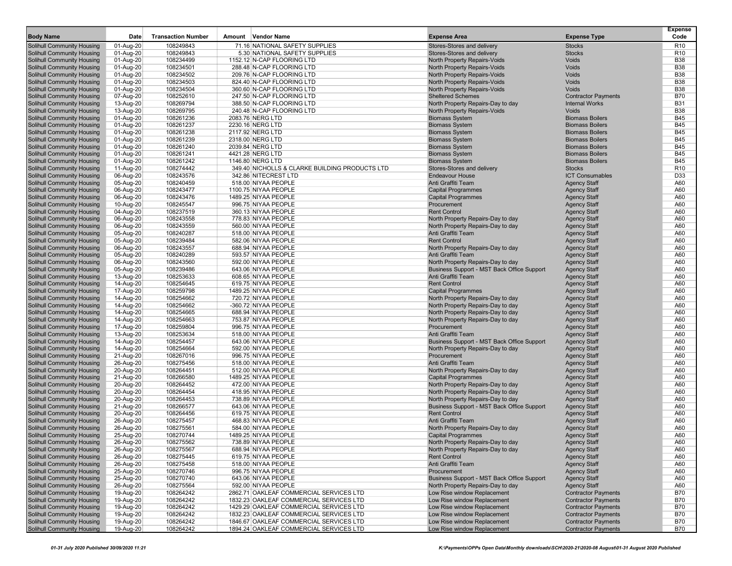| <b>Body Name</b>                                                       | Date                   | <b>Transaction Number</b> | Amount Vendor Name                             | <b>Expense Area</b>                                                    | <b>Expense Type</b>                        | <b>Expense</b><br>Code |
|------------------------------------------------------------------------|------------------------|---------------------------|------------------------------------------------|------------------------------------------------------------------------|--------------------------------------------|------------------------|
| Solihull Community Housing                                             | 01-Aug-20              | 108249843                 | 71.16 NATIONAL SAFETY SUPPLIES                 | Stores-Stores and delivery                                             | <b>Stocks</b>                              | R <sub>10</sub>        |
| Solihull Community Housing                                             | 01-Aug-20              | 108249843                 | 5.30 NATIONAL SAFETY SUPPLIES                  | Stores-Stores and delivery                                             | <b>Stocks</b>                              | R <sub>10</sub>        |
| <b>Solihull Community Housing</b>                                      | 01-Aug-20              | 108234499                 | 1152.12 N-CAP FLOORING LTD                     | North Property Repairs-Voids                                           | Voids                                      | <b>B38</b>             |
| <b>Solihull Community Housing</b>                                      | 01-Aug-20              | 108234501                 | 288.48 N-CAP FLOORING LTD                      | North Property Repairs-Voids                                           | Voids                                      | <b>B38</b>             |
| <b>Solihull Community Housing</b>                                      | 01-Aug-20              | 108234502                 | 209.76 N-CAP FLOORING LTD                      | North Property Repairs-Voids                                           | Voids                                      | <b>B38</b>             |
| <b>Solihull Community Housing</b>                                      | 01-Aug-20              | 108234503                 | 824.40 N-CAP FLOORING LTD                      | North Property Repairs-Voids                                           | Voids                                      | <b>B38</b>             |
| <b>Solihull Community Housing</b>                                      | 01-Aug-20              | 108234504                 | 360.60 N-CAP FLOORING LTD                      | North Property Repairs-Voids                                           | <b>Voids</b>                               | <b>B38</b>             |
| <b>Solihull Community Housing</b>                                      | 07-Aug-20              | 108252610                 | 247.50 N-CAP FLOORING LTD                      | <b>Sheltered Schemes</b>                                               | <b>Contractor Payments</b>                 | <b>B70</b>             |
| <b>Solihull Community Housing</b>                                      | 13-Aug-20              | 108269794                 | 388.50 N-CAP FLOORING LTD                      | North Property Repairs-Day to day                                      | <b>Internal Works</b>                      | <b>B31</b>             |
| <b>Solihull Community Housing</b>                                      | 13-Aug-20              | 108269795                 | 240.48 N-CAP FLOORING LTD                      | North Property Repairs-Voids                                           | Voids                                      | <b>B38</b>             |
| <b>Solihull Community Housing</b>                                      | 01-Aug-20              | 108261236                 | 2083.76 NERG LTD                               | <b>Biomass System</b>                                                  | <b>Biomass Boilers</b>                     | <b>B45</b>             |
| <b>Solihull Community Housing</b>                                      | 01-Aug-20              | 108261237                 | 2230.16 NERG LTD                               | <b>Biomass System</b>                                                  | <b>Biomass Boilers</b>                     | <b>B45</b>             |
| <b>Solihull Community Housing</b>                                      | 01-Aug-20              | 108261238                 | 2117.92 NERG LTD                               | <b>Biomass System</b>                                                  | <b>Biomass Boilers</b>                     | <b>B45</b>             |
| <b>Solihull Community Housing</b>                                      | 01-Aug-20              | 108261239                 | 2318.00 NERG LTD                               | <b>Biomass System</b>                                                  | <b>Biomass Boilers</b>                     | <b>B45</b>             |
| <b>Solihull Community Housing</b>                                      | 01-Aug-20              | 108261240                 | 2039.84 NERG LTD                               | <b>Biomass System</b>                                                  | <b>Biomass Boilers</b>                     | <b>B45</b>             |
| Solihull Community Housing                                             | 01-Aug-20              | 108261241                 | 4421.28 NERG LTD                               | <b>Biomass System</b>                                                  | <b>Biomass Boilers</b>                     | <b>B45</b>             |
| <b>Solihull Community Housing</b>                                      | $01-Aug-20$            | 108261242                 | 1146.80 NERG LTD                               | <b>Biomass System</b>                                                  | <b>Biomass Boilers</b>                     | <b>B45</b>             |
| <b>Solihull Community Housing</b>                                      | 11-Aug-20              | 108274442                 | 349.40 NICHOLLS & CLARKE BUILDING PRODUCTS LTD | Stores-Stores and delivery                                             | <b>Stocks</b>                              | R <sub>10</sub>        |
| <b>Solihull Community Housing</b>                                      | 06-Aug-20              | 108243576                 | 342.86 NITECREST LTD                           | <b>Endeavour House</b>                                                 | <b>ICT Consumables</b>                     | D33                    |
| <b>Solihull Community Housing</b>                                      | 05-Aug-20              | 108240459                 | 518.00 NIYAA PEOPLE                            | Anti Graffiti Team                                                     | <b>Agency Staff</b>                        | A60                    |
| <b>Solihull Community Housing</b>                                      | 06-Aug-20              | 108243477                 | 1100.75 NIYAA PEOPLE                           | <b>Capital Programmes</b>                                              | <b>Agency Staff</b>                        | A60                    |
| <b>Solihull Community Housing</b>                                      | 06-Aug-20              | 108243476                 | 1489.25 NIYAA PEOPLE                           | <b>Capital Programmes</b>                                              | <b>Agency Staff</b>                        | A60                    |
| <b>Solihull Community Housing</b>                                      | 10-Aug-20              | 108245547                 | 996.75 NIYAA PEOPLE                            | Procurement                                                            | <b>Agency Staff</b>                        | A60<br>A60             |
| <b>Solihull Community Housing</b><br><b>Solihull Community Housing</b> | 04-Aug-20<br>06-Aug-20 | 108237519<br>108243558    | 360.13 NIYAA PEOPLE<br>778.83 NIYAA PEOPLE     | <b>Rent Control</b><br>North Property Repairs-Day to day               | <b>Agency Staff</b><br><b>Agency Staff</b> | A60                    |
| <b>Solihull Community Housing</b>                                      | 06-Aug-20              | 108243559                 | 560.00 NIYAA PEOPLE                            | North Property Repairs-Day to day                                      | <b>Agency Staff</b>                        | A60                    |
| <b>Solihull Community Housing</b>                                      | 05-Aug-20              | 108240287                 | 518.00 NIYAA PEOPLE                            | Anti Graffiti Team                                                     | <b>Agency Staff</b>                        | A60                    |
| <b>Solihull Community Housing</b>                                      | 05-Aug-20              | 108239484                 | 582.06 NIYAA PEOPLE                            | <b>Rent Control</b>                                                    | <b>Agency Staff</b>                        | A60                    |
| <b>Solihull Community Housing</b>                                      | 06-Aug-20              | 108243557                 | 688.94 NIYAA PEOPLE                            | North Property Repairs-Day to day                                      | <b>Agency Staff</b>                        | A60                    |
| <b>Solihull Community Housing</b>                                      | 05-Aug-20              | 108240289                 | 593.57 NIYAA PEOPLE                            | Anti Graffiti Team                                                     | <b>Agency Staff</b>                        | A60                    |
| <b>Solihull Community Housing</b>                                      | 06-Aug-20              | 108243560                 | 592.00 NIYAA PEOPLE                            | North Property Repairs-Day to day                                      | <b>Agency Staff</b>                        | A60                    |
| <b>Solihull Community Housing</b>                                      | 05-Aug-20              | 108239486                 | 643.06 NIYAA PEOPLE                            | Business Support - MST Back Office Support                             | <b>Agency Staff</b>                        | A60                    |
| <b>Solihull Community Housing</b>                                      | 13-Aug-20              | 108253633                 | 608.65 NIYAA PEOPLE                            | Anti Graffiti Team                                                     | <b>Agency Staff</b>                        | A60                    |
| <b>Solihull Community Housing</b>                                      | 14-Aug-20              | 108254645                 | 619.75 NIYAA PEOPLE                            | <b>Rent Control</b>                                                    | <b>Agency Staff</b>                        | A60                    |
| <b>Solihull Community Housing</b>                                      | 17-Aug-20              | 108259798                 | 1489.25 NIYAA PEOPLE                           | <b>Capital Programmes</b>                                              | <b>Agency Staff</b>                        | A60                    |
| <b>Solihull Community Housing</b>                                      | 14-Aug-20              | 108254662                 | 720.72 NIYAA PEOPLE                            | North Property Repairs-Day to day                                      | <b>Agency Staff</b>                        | A60                    |
| <b>Solihull Community Housing</b>                                      | 14-Aug-20              | 108254662                 | -360.72 NIYAA PEOPLE                           | North Property Repairs-Day to day                                      | <b>Agency Staff</b>                        | A60                    |
| <b>Solihull Community Housing</b>                                      | 14-Aug-20              | 108254665                 | 688.94 NIYAA PEOPLE                            | North Property Repairs-Day to day                                      | <b>Agency Staff</b>                        | A60                    |
| <b>Solihull Community Housing</b>                                      | 14-Aug-20              | 108254663                 | 753.87 NIYAA PEOPLE                            | North Property Repairs-Day to day                                      | <b>Agency Staff</b>                        | A60                    |
| <b>Solihull Community Housing</b>                                      | 17-Aug-20              | 108259804                 | 996.75 NIYAA PEOPLE                            | Procurement                                                            | <b>Agency Staff</b>                        | A60                    |
| <b>Solihull Community Housing</b>                                      | 13-Aug-20              | 108253634                 | 518.00 NIYAA PEOPLE                            | Anti Graffiti Team                                                     | <b>Agency Staff</b>                        | A60                    |
| Solihull Community Housing                                             | 14-Aug-20              | 108254457                 | 643.06 NIYAA PEOPLE                            | Business Support - MST Back Office Support                             | <b>Agency Staff</b>                        | A60                    |
| <b>Solihull Community Housing</b>                                      | 14-Aug-20              | 108254664                 | 592.00 NIYAA PEOPLE                            | North Property Repairs-Day to day                                      | <b>Agency Staff</b>                        | A60                    |
| <b>Solihull Community Housing</b>                                      | 21-Aug-20              | 108267016                 | 996.75 NIYAA PEOPLE                            | Procurement                                                            | <b>Agency Staff</b>                        | A60                    |
| <b>Solihull Community Housing</b>                                      | 26-Aug-20              | 108275456                 | 518.00 NIYAA PEOPLE                            | Anti Graffiti Team                                                     | <b>Agency Staff</b>                        | A60                    |
| <b>Solihull Community Housing</b>                                      | 20-Aug-20              | 108264451                 | 512.00 NIYAA PEOPLE                            | North Property Repairs-Day to day                                      | <b>Agency Staff</b>                        | A60                    |
| <b>Solihull Community Housing</b>                                      | 21-Aug-20              | 108266580                 | 1489.25 NIYAA PEOPLE                           | <b>Capital Programmes</b>                                              | <b>Agency Staff</b>                        | A60                    |
| <b>Solihull Community Housing</b>                                      | 20-Aug-20              | 108264452                 | 472.00 NIYAA PEOPLE                            | North Property Repairs-Day to day                                      | <b>Agency Staff</b>                        | A60                    |
| <b>Solihull Community Housing</b>                                      | 20-Aug-20              | 108264454                 | 418.95 NIYAA PEOPLE                            | North Property Repairs-Day to day                                      | <b>Agency Staff</b>                        | A60                    |
| <b>Solihull Community Housing</b>                                      | 20-Aug-20              | 108264453                 | 738.89 NIYAA PEOPLE                            | North Property Repairs-Day to day                                      | <b>Agency Staff</b>                        | A60                    |
| <b>Solihull Community Housing</b>                                      | 21-Aug-20              | 108266577                 | 643.06 NIYAA PEOPLE                            | Business Support - MST Back Office Support<br><b>Rent Control</b>      | <b>Agency Staff</b>                        | A60                    |
| <b>Solihull Community Housing</b><br><b>Solihull Community Housing</b> | 20-Aug-20              | 108264456                 | 619.75 NIYAA PEOPLE<br>468.83 NIYAA PEOPLE     | Anti Graffiti Team                                                     | <b>Agency Staff</b>                        | A60<br>A60             |
|                                                                        | 26-Aug-20              | 108275457                 | 584.00 NIYAA PEOPLE                            |                                                                        | <b>Agency Staff</b><br><b>Agency Staff</b> | A60                    |
| <b>Solihull Community Housing</b><br><b>Solihull Community Housing</b> | 26-Aug-20<br>25-Aug-20 | 108275561<br>108270744    | 1489.25 NIYAA PEOPLE                           | North Property Repairs-Day to day<br><b>Capital Programmes</b>         | <b>Agency Staff</b>                        | A60                    |
|                                                                        |                        |                           |                                                |                                                                        |                                            |                        |
| Solihull Community Housing<br><b>Solihull Community Housing</b>        | 26-Aug-20<br>26-Aug-20 | 108275562<br>108275567    | 738.89 NIYAA PEOPLE<br>688.94 NIYAA PEOPLE     | North Property Repairs-Day to day<br>North Property Repairs-Day to day | Agency Staff<br><b>Agency Staff</b>        | A60<br>A60             |
| <b>Solihull Community Housing</b>                                      | 26-Aug-20              | 108275445                 | 619.75 NIYAA PEOPLE                            | <b>Rent Control</b>                                                    | <b>Agency Staff</b>                        | A60                    |
| <b>Solihull Community Housing</b>                                      | 26-Aug-20              | 108275458                 | 518.00 NIYAA PEOPLE                            | Anti Graffiti Team                                                     | <b>Agency Staff</b>                        | A60                    |
| <b>Solihull Community Housing</b>                                      | 25-Aug-20              | 108270746                 | 996.75 NIYAA PEOPLE                            | Procurement                                                            | <b>Agency Staff</b>                        | A60                    |
| <b>Solihull Community Housing</b>                                      | 25-Aug-20              | 108270740                 | 643.06 NIYAA PEOPLE                            | Business Support - MST Back Office Support                             | <b>Agency Staff</b>                        | A60                    |
| <b>Solihull Community Housing</b>                                      | 26-Aug-20              | 108275564                 | 592.00 NIYAA PEOPLE                            | North Property Repairs-Day to day                                      | <b>Agency Staff</b>                        | A60                    |
| <b>Solihull Community Housing</b>                                      | 19-Aug-20              | 108264242                 | 2862.71 OAKLEAF COMMERCIAL SERVICES LTD        | Low Rise window Replacement                                            | <b>Contractor Payments</b>                 | <b>B70</b>             |
| <b>Solihull Community Housing</b>                                      | 19-Aug-20              | 108264242                 | 1832.23 OAKLEAF COMMERCIAL SERVICES LTD        | Low Rise window Replacement                                            | <b>Contractor Payments</b>                 | <b>B70</b>             |
| <b>Solihull Community Housing</b>                                      | 19-Aug-20              | 108264242                 | 1429.29 OAKLEAF COMMERCIAL SERVICES LTD        | Low Rise window Replacement                                            | <b>Contractor Payments</b>                 | <b>B70</b>             |
| <b>Solihull Community Housing</b>                                      | 19-Aug-20              | 108264242                 | 1832.23 OAKLEAF COMMERCIAL SERVICES LTD        | Low Rise window Replacement                                            | <b>Contractor Payments</b>                 | <b>B70</b>             |
| <b>Solihull Community Housing</b>                                      | 19-Aug-20              | 108264242                 | 1846.67 OAKLEAF COMMERCIAL SERVICES LTD        | Low Rise window Replacement                                            | <b>Contractor Payments</b>                 | <b>B70</b>             |
| <b>Solihull Community Housing</b>                                      | 19-Aug-20              | 108264242                 | 1894.24 OAKLEAF COMMERCIAL SERVICES LTD        | Low Rise window Replacement                                            | <b>Contractor Payments</b>                 | <b>B70</b>             |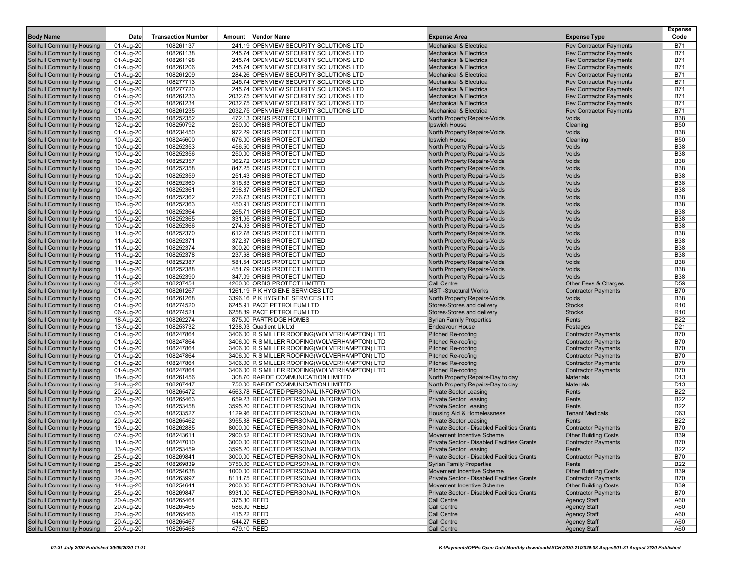| <b>Body Name</b>                                                       | Date                   | <b>Transaction Number</b> | Amount Vendor Name                                             | <b>Expense Area</b>                                       | <b>Expense Type</b>                    | Expense<br>Code               |
|------------------------------------------------------------------------|------------------------|---------------------------|----------------------------------------------------------------|-----------------------------------------------------------|----------------------------------------|-------------------------------|
| <b>Solihull Community Housing</b>                                      | 01-Aug-20              | 108261137                 | 241.19 OPENVIEW SECURITY SOLUTIONS LTD                         | <b>Mechanical &amp; Electrical</b>                        | <b>Rev Contractor Payments</b>         | <b>B71</b>                    |
| Solihull Community Housing                                             | 01-Aug-20              | 108261138                 | 245.74 OPENVIEW SECURITY SOLUTIONS LTD                         | <b>Mechanical &amp; Electrical</b>                        | <b>Rev Contractor Payments</b>         | <b>B71</b>                    |
| <b>Solihull Community Housing</b>                                      | 01-Aug-20              | 108261198                 | 245.74 OPENVIEW SECURITY SOLUTIONS LTD                         | <b>Mechanical &amp; Electrical</b>                        | <b>Rev Contractor Payments</b>         | <b>B71</b>                    |
| <b>Solihull Community Housing</b>                                      | 01-Aug-20              | 108261206                 | 245.74 OPENVIEW SECURITY SOLUTIONS LTD                         | <b>Mechanical &amp; Electrical</b>                        | <b>Rev Contractor Payments</b>         | <b>B71</b>                    |
| Solihull Community Housing                                             | 01-Aug-20              | 108261209                 | 284.26 OPENVIEW SECURITY SOLUTIONS LTD                         | <b>Mechanical &amp; Electrical</b>                        | <b>Rev Contractor Payments</b>         | <b>B71</b>                    |
| <b>Solihull Community Housing</b>                                      | 01-Aug-20              | 108277713                 | 245.74 OPENVIEW SECURITY SOLUTIONS LTD                         | <b>Mechanical &amp; Electrical</b>                        | <b>Rev Contractor Payments</b>         | <b>B71</b>                    |
| <b>Solihull Community Housing</b>                                      | 01-Aug-20              | 108277720                 | 245.74 OPENVIEW SECURITY SOLUTIONS LTD                         | <b>Mechanical &amp; Electrical</b>                        | <b>Rev Contractor Payments</b>         | <b>B71</b>                    |
| <b>Solihull Community Housing</b>                                      | 01-Aug-20              | 108261233                 | 2032.75 OPENVIEW SECURITY SOLUTIONS LTD                        | <b>Mechanical &amp; Electrical</b>                        | <b>Rev Contractor Payments</b>         | <b>B71</b>                    |
| <b>Solihull Community Housing</b>                                      | 01-Aug-20              | 108261234                 | 2032.75 OPENVIEW SECURITY SOLUTIONS LTD                        | <b>Mechanical &amp; Electrical</b>                        | <b>Rev Contractor Payments</b>         | <b>B71</b>                    |
| <b>Solihull Community Housing</b>                                      | 01-Aug-20              | 108261235                 | 2032.75 OPENVIEW SECURITY SOLUTIONS LTD                        | <b>Mechanical &amp; Electrical</b>                        | <b>Rev Contractor Payments</b>         | <b>B71</b>                    |
| Solihull Community Housing                                             | 10-Aug-20              | 108252352                 | 472.13 ORBIS PROTECT LIMITED                                   | North Property Repairs-Voids                              | Voids                                  | <b>B38</b>                    |
| <b>Solihull Community Housing</b>                                      | 12-Aug-20              | 108250792                 | 250.00 ORBIS PROTECT LIMITED                                   | Ipswich House                                             | Cleaning                               | <b>B50</b>                    |
| <b>Solihull Community Housing</b>                                      | 01-Aug-20              | 108234450                 | 972.29 ORBIS PROTECT LIMITED                                   | North Property Repairs-Voids                              | Voids                                  | <b>B38</b>                    |
| <b>Solihull Community Housing</b>                                      | 10-Aug-20              | 108245600                 | 676.00 ORBIS PROTECT LIMITED                                   | Ipswich House                                             | Cleaning                               | <b>B50</b>                    |
| <b>Solihull Community Housing</b>                                      | 10-Aug-20              | 108252353                 | 456.50 ORBIS PROTECT LIMITED                                   | North Property Repairs-Voids                              | Voids                                  | <b>B38</b>                    |
| <b>Solihull Community Housing</b>                                      | 10-Aug-20              | 108252356                 | 250.00 ORBIS PROTECT LIMITED                                   | North Property Repairs-Voids                              | Voids<br>Voids                         | <b>B38</b>                    |
| <b>Solihull Community Housing</b>                                      | 10-Aug-20              | 108252357                 | 362.72 ORBIS PROTECT LIMITED                                   | North Property Repairs-Voids                              |                                        | <b>B38</b>                    |
| <b>Solihull Community Housing</b>                                      | 10-Aug-20              | 108252358                 | 847.25 ORBIS PROTECT LIMITED                                   | North Property Repairs-Voids                              | Voids                                  | <b>B38</b>                    |
| <b>Solihull Community Housing</b>                                      | 10-Aug-20              | 108252359                 | 251.43 ORBIS PROTECT LIMITED                                   | North Property Repairs-Voids                              | Voids                                  | <b>B38</b>                    |
| <b>Solihull Community Housing</b>                                      | 10-Aug-20              | 108252360                 | 315.83 ORBIS PROTECT LIMITED                                   | North Property Repairs-Voids                              | Voids                                  | <b>B38</b>                    |
| <b>Solihull Community Housing</b>                                      | 10-Aug-20              | 108252361                 | 298.37 ORBIS PROTECT LIMITED                                   | North Property Repairs-Voids                              | Voids                                  | <b>B38</b>                    |
| <b>Solihull Community Housing</b>                                      | 10-Aug-20              | 108252362                 | 226.73 ORBIS PROTECT LIMITED                                   | North Property Repairs-Voids                              | Voids                                  | <b>B38</b>                    |
| <b>Solihull Community Housing</b>                                      | 10-Aug-20              | 108252363                 | 450.91 ORBIS PROTECT LIMITED                                   | North Property Repairs-Voids                              | Voids                                  | <b>B38</b>                    |
| <b>Solihull Community Housing</b>                                      | 10-Aug-20              | 108252364                 | 265.71 ORBIS PROTECT LIMITED                                   | North Property Repairs-Voids                              | Voids                                  | <b>B38</b>                    |
| <b>Solihull Community Housing</b>                                      | 10-Aug-20              | 108252365                 | 331.95 ORBIS PROTECT LIMITED                                   | North Property Repairs-Voids                              | Voids                                  | <b>B38</b>                    |
| <b>Solihull Community Housing</b>                                      | 10-Aug-20              | 108252366                 | 274.93 ORBIS PROTECT LIMITED                                   | North Property Repairs-Voids                              | Voids                                  | <b>B38</b>                    |
| <b>Solihull Community Housing</b>                                      | 11-Aug-20              | 108252370                 | 612.78 ORBIS PROTECT LIMITED                                   | North Property Repairs-Voids                              | Voids                                  | <b>B38</b>                    |
| <b>Solihull Community Housing</b>                                      | 11-Aug-20              | 108252371                 | 372.37 ORBIS PROTECT LIMITED                                   | North Property Repairs-Voids                              | Voids                                  | <b>B38</b>                    |
| <b>Solihull Community Housing</b>                                      | 11-Aug-20              | 108252374                 | 300.20 ORBIS PROTECT LIMITED                                   | North Property Repairs-Voids                              | Voids                                  | <b>B38</b>                    |
| Solihull Community Housing                                             | 11-Aug-20              | 108252378                 | 237.68 ORBIS PROTECT LIMITED                                   | North Property Repairs-Voids                              | Voids                                  | <b>B38</b>                    |
| <b>Solihull Community Housing</b>                                      | 11-Aug-20              | 108252387                 | 581.54 ORBIS PROTECT LIMITED                                   | North Property Repairs-Voids                              | Voids                                  | <b>B38</b>                    |
| <b>Solihull Community Housing</b>                                      | 11-Aug-20              | 108252388                 | 451.79 ORBIS PROTECT LIMITED<br>347.09 ORBIS PROTECT LIMITED   | North Property Repairs-Voids                              | Voids                                  | <b>B38</b>                    |
| <b>Solihull Community Housing</b>                                      | 11-Aug-20              | 108252390                 |                                                                | North Property Repairs-Voids                              | Voids                                  | <b>B38</b>                    |
| <b>Solihull Community Housing</b>                                      | 04-Aug-20              | 108237454                 | 4260.00 ORBIS PROTECT LIMITED                                  | <b>Call Centre</b>                                        | Other Fees & Charges                   | D <sub>59</sub>               |
| <b>Solihull Community Housing</b>                                      | 01-Aug-20              | 108261267                 | 1261.19 P K HYGIENE SERVICES LTD                               | <b>MST-Structural Works</b>                               | <b>Contractor Payments</b>             | <b>B70</b>                    |
| <b>Solihull Community Housing</b>                                      | 01-Aug-20              | 108261268                 | 3396.16 P K HYGIENE SERVICES LTD<br>6245.91 PACE PETROLEUM LTD | North Property Repairs-Voids                              | <b>Voids</b><br><b>Stocks</b>          | <b>B38</b><br>R <sub>10</sub> |
| <b>Solihull Community Housing</b>                                      | 01-Aug-20              | 108274520                 |                                                                | Stores-Stores and delivery                                | <b>Stocks</b>                          |                               |
| <b>Solihull Community Housing</b>                                      | 06-Aug-20              | 108274521<br>108262274    | 6258.89 PACE PETROLEUM LTD<br>875.00 PARTRIDGE HOMES           | Stores-Stores and delivery                                | Rents                                  | R <sub>10</sub><br><b>B22</b> |
| <b>Solihull Community Housing</b><br><b>Solihull Community Housing</b> | 18-Aug-20              | 108253732                 | 1238.93 Quadient Uk Ltd                                        | <b>Syrian Family Properties</b><br><b>Endeavour House</b> |                                        | D <sub>21</sub>               |
| <b>Solihull Community Housing</b>                                      | 13-Aug-20<br>01-Aug-20 | 108247864                 | 3406.00 R S MILLER ROOFING(WOLVERHAMPTON) LTD                  | <b>Pitched Re-roofing</b>                                 | Postages<br><b>Contractor Payments</b> | <b>B70</b>                    |
| <b>Solihull Community Housing</b>                                      | 01-Aug-20              | 108247864                 | 3406.00 R S MILLER ROOFING(WOLVERHAMPTON) LTD                  | <b>Pitched Re-roofing</b>                                 | <b>Contractor Payments</b>             | <b>B70</b>                    |
| <b>Solihull Community Housing</b>                                      | 01-Aug-20              | 108247864                 | 3406.00 R S MILLER ROOFING(WOLVERHAMPTON) LTD                  | Pitched Re-roofing                                        | <b>Contractor Payments</b>             | <b>B70</b>                    |
| <b>Solihull Community Housing</b>                                      | 01-Aug-20              | 108247864                 | 3406.00 R S MILLER ROOFING(WOLVERHAMPTON) LTD                  | Pitched Re-roofing                                        | <b>Contractor Payments</b>             | <b>B70</b>                    |
| <b>Solihull Community Housing</b>                                      | 01-Aug-20              | 108247864                 | 3406.00 R S MILLER ROOFING(WOLVERHAMPTON) LTD                  | <b>Pitched Re-roofing</b>                                 | <b>Contractor Payments</b>             | <b>B70</b>                    |
| <b>Solihull Community Housing</b>                                      | 01-Aug-20              | 108247864                 | 3406.00 R S MILLER ROOFING(WOLVERHAMPTON) LTD                  | <b>Pitched Re-roofing</b>                                 | <b>Contractor Payments</b>             | <b>B70</b>                    |
| <b>Solihull Community Housing</b>                                      | 18-Aug-20              | 108261456                 | 308.70 RAPIDE COMMUNICATION LIMITED                            | North Property Repairs-Day to day                         | <b>Materials</b>                       | D <sub>13</sub>               |
| <b>Solihull Community Housing</b>                                      | 24-Aug-20              | 108267447                 | 750.00 RAPIDE COMMUNICATION LIMITED                            | North Property Repairs-Day to day                         | <b>Materials</b>                       | D <sub>13</sub>               |
| <b>Solihull Community Housing</b>                                      | 20-Aug-20              | 108265472                 | 4563.78 REDACTED PERSONAL INFORMATION                          | <b>Private Sector Leasing</b>                             | Rents                                  | <b>B22</b>                    |
| <b>Solihull Community Housing</b>                                      | 20-Aug-20              | 108265463                 | 659.23 REDACTED PERSONAL INFORMATION                           | <b>Private Sector Leasing</b>                             | Rents                                  | <b>B22</b>                    |
| Solihull Community Housing                                             | 13-Aug-20              | 108253458                 | 3595.20 REDACTED PERSONAL INFORMATION                          | <b>Private Sector Leasing</b>                             | Rents                                  | <b>B22</b>                    |
| <b>Solihull Community Housing</b>                                      | 03-Aug-20              | 108233527                 | 1129.96 REDACTED PERSONAL INFORMATION                          | Housing Aid & Homelessness                                | <b>Tenant Medicals</b>                 | D63                           |
| <b>Solihull Community Housing</b>                                      | 20-Aug-20              | 108265462                 | 3955.38 REDACTED PERSONAL INFORMATION                          | <b>Private Sector Leasing</b>                             | Rents                                  | <b>B22</b>                    |
| <b>Solihull Community Housing</b>                                      | 19-Aug-20              | 108262885                 | 8000.00 REDACTED PERSONAL INFORMATION                          | Private Sector - Disabled Facilities Grants               | <b>Contractor Payments</b>             | <b>B70</b>                    |
| <b>Solihull Community Housing</b>                                      | 07-Aug-20              | 108243611                 | 2900.52 REDACTED PERSONAL INFORMATION                          | Movement Incentive Scheme                                 | <b>Other Building Costs</b>            | <b>B39</b>                    |
| Solihull Community Housing                                             | 11-Aug-20              | 108247010                 | 3000.00 REDACTED PERSONAL INFORMATION                          | Private Sector - Disabled Facilities Grants               | <b>Contractor Payments</b>             | B70                           |
| <b>Solihull Community Housing</b>                                      | 13-Aug-20              | 108253459                 | 3595.20 REDACTED PERSONAL INFORMATION                          | <b>Private Sector Leasing</b>                             | Rents                                  | <b>B22</b>                    |
| Solihull Community Housing                                             | 25-Aug-20              | 108269841                 | 3000.00 REDACTED PERSONAL INFORMATION                          | Private Sector - Disabled Facilities Grants               | <b>Contractor Payments</b>             | B70                           |
| <b>Solihull Community Housing</b>                                      | 25-Aug-20              | 108269839                 | 3750.00 REDACTED PERSONAL INFORMATION                          | <b>Syrian Family Properties</b>                           | Rents                                  | <b>B22</b>                    |
| <b>Solihull Community Housing</b>                                      | 14-Aug-20              | 108254638                 | 1000.00 REDACTED PERSONAL INFORMATION                          | Movement Incentive Scheme                                 | <b>Other Building Costs</b>            | <b>B39</b>                    |
| Solihull Community Housing                                             | 20-Aug-20              | 108263997                 | 8111.75 REDACTED PERSONAL INFORMATION                          | Private Sector - Disabled Facilities Grants               | <b>Contractor Payments</b>             | <b>B70</b>                    |
| <b>Solihull Community Housing</b>                                      | 14-Aug-20              | 108254641                 | 2000.00 REDACTED PERSONAL INFORMATION                          | Movement Incentive Scheme                                 | <b>Other Building Costs</b>            | <b>B39</b>                    |
| <b>Solihull Community Housing</b>                                      | 25-Aug-20              | 108269847                 | 8931.00 REDACTED PERSONAL INFORMATION                          | Private Sector - Disabled Facilities Grants               | <b>Contractor Payments</b>             | B70                           |
| <b>Solihull Community Housing</b>                                      | 20-Aug-20              | 108265464                 | 375.30 REED                                                    | <b>Call Centre</b>                                        | <b>Agency Staff</b>                    | A60                           |
| <b>Solihull Community Housing</b>                                      | 20-Aug-20              | 108265465                 | 586.90 REED                                                    | <b>Call Centre</b>                                        | <b>Agency Staff</b>                    | A60                           |
| <b>Solihull Community Housing</b>                                      | 20-Aug-20              | 108265466                 | 415.22 REED                                                    | <b>Call Centre</b>                                        | <b>Agency Staff</b>                    | A60                           |
| <b>Solihull Community Housing</b>                                      | 20-Aug-20              | 108265467                 | 544.27 REED                                                    | <b>Call Centre</b>                                        | <b>Agency Staff</b>                    | A60                           |
| Solihull Community Housing                                             | 20-Aug-20              | 108265468                 | 479.10 REED                                                    | <b>Call Centre</b>                                        | <b>Agency Staff</b>                    | A60                           |